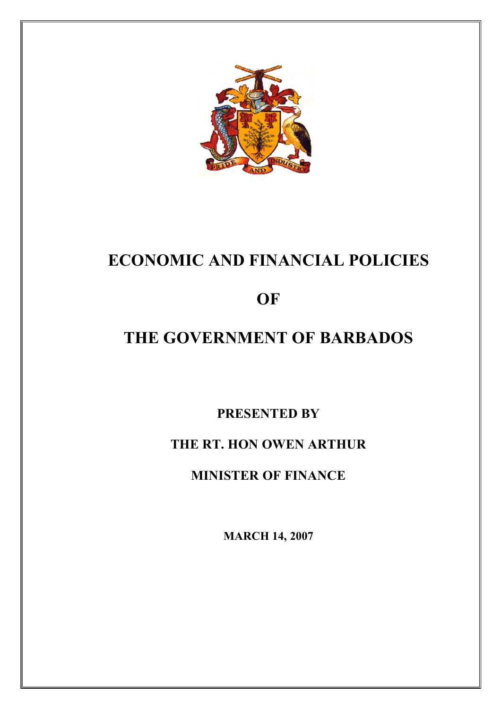

# **ECONOMIC AND FINANCIAL POLICIES**

# **OF**

# **THE GOVERNMENT OF BARBADOS**

**PRESENTED BY**

# **THE RT. HON OWEN ARTHUR**

**MINISTER OF FINANCE**

**MARCH 14, 2007**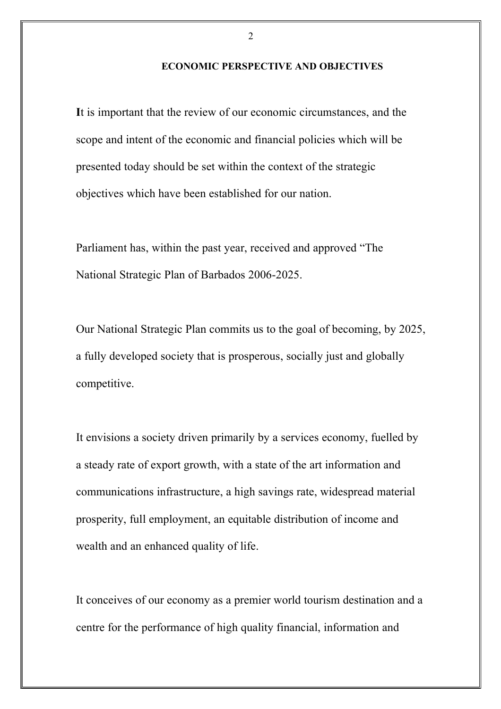#### **ECONOMIC PERSPECTIVE AND OBJECTIVES**

**I**t is important that the review of our economic circumstances, and the scope and intent of the economic and financial policies which will be presented today should be set within the context of the strategic objectives which have been established for our nation.

Parliament has, within the past year, received and approved "The National Strategic Plan of Barbados 2006-2025.

Our National Strategic Plan commits us to the goal of becoming, by 2025, a fully developed society that is prosperous, socially just and globally competitive.

It envisions a society driven primarily by a services economy, fuelled by a steady rate of export growth, with a state of the art information and communications infrastructure, a high savings rate, widespread material prosperity, full employment, an equitable distribution of income and wealth and an enhanced quality of life.

It conceives of our economy as a premier world tourism destination and a centre for the performance of high quality financial, information and

 $\mathfrak{D}$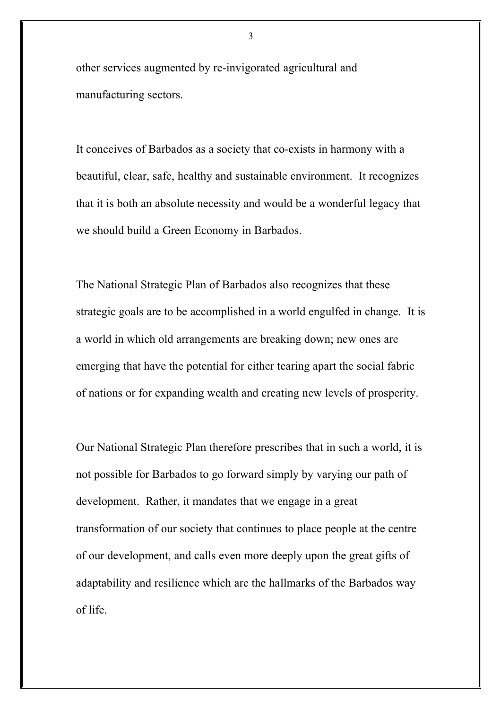other services augmented by re-invigorated agricultural and manufacturing sectors.

It conceives of Barbados as a society that co-exists in harmony with a beautiful, clear, safe, healthy and sustainable environment. It recognizes that it is both an absolute necessity and would be a wonderful legacy that we should build a Green Economy in Barbados.

The National Strategic Plan of Barbados also recognizes that these strategic goals are to be accomplished in a world engulfed in change. It is a world in which old arrangements are breaking down; new ones are emerging that have the potential for either tearing apart the social fabric of nations or for expanding wealth and creating new levels of prosperity.

Our National Strategic Plan therefore prescribes that in such a world, it is not possible for Barbados to go forward simply by varying our path of development. Rather, it mandates that we engage in a great transformation of our society that continues to place people at the centre of our development, and calls even more deeply upon the great gifts of adaptability and resilience which are the hallmarks of the Barbados way of life.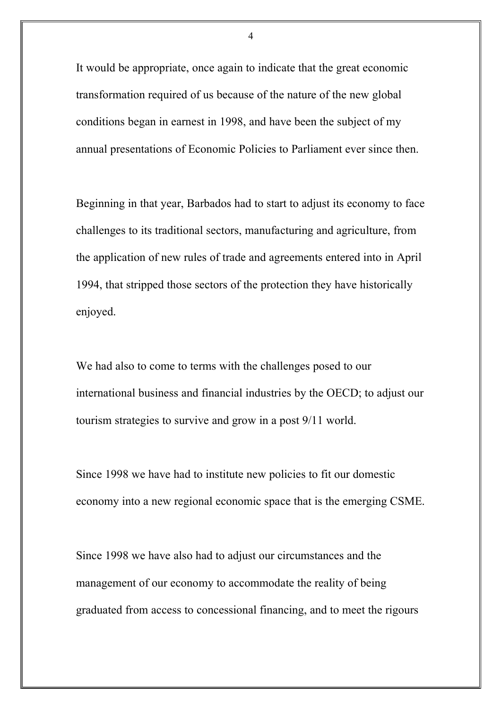It would be appropriate, once again to indicate that the great economic transformation required of us because of the nature of the new global conditions began in earnest in 1998, and have been the subject of my annual presentations of Economic Policies to Parliament ever since then.

Beginning in that year, Barbados had to start to adjust its economy to face challenges to its traditional sectors, manufacturing and agriculture, from the application of new rules of trade and agreements entered into in April 1994, that stripped those sectors of the protection they have historically enjoyed.

We had also to come to terms with the challenges posed to our international business and financial industries by the OECD; to adjust our tourism strategies to survive and grow in a post 9/11 world.

Since 1998 we have had to institute new policies to fit our domestic economy into a new regional economic space that is the emerging CSME.

Since 1998 we have also had to adjust our circumstances and the management of our economy to accommodate the reality of being graduated from access to concessional financing, and to meet the rigours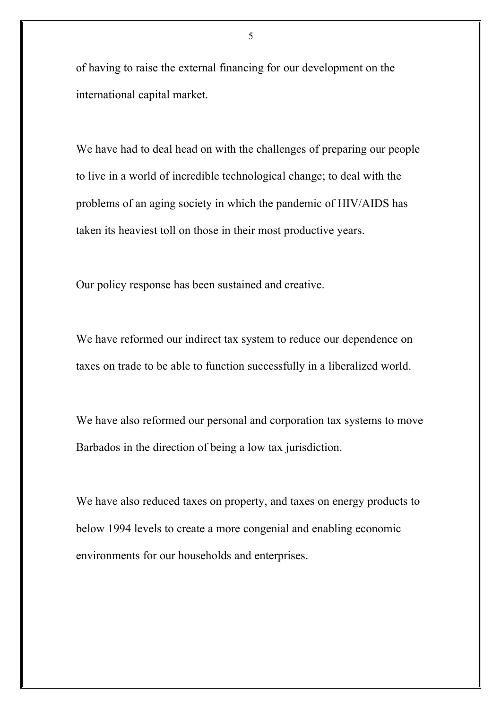of having to raise the external financing for our development on the international capital market.

We have had to deal head on with the challenges of preparing our people to live in a world of incredible technological change; to deal with the problems of an aging society in which the pandemic of HIV/AIDS has taken its heaviest toll on those in their most productive years.

Our policy response has been sustained and creative.

We have reformed our indirect tax system to reduce our dependence on taxes on trade to be able to function successfully in a liberalized world.

We have also reformed our personal and corporation tax systems to move Barbados in the direction of being a low tax jurisdiction.

We have also reduced taxes on property, and taxes on energy products to below 1994 levels to create a more congenial and enabling economic environments for our households and enterprises.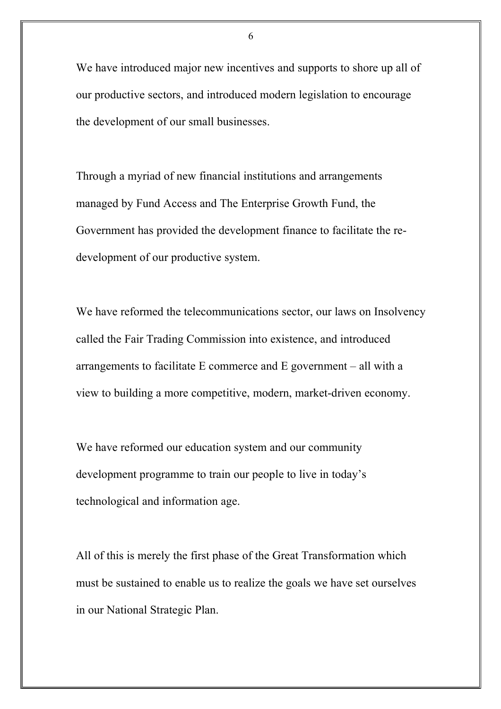We have introduced major new incentives and supports to shore up all of our productive sectors, and introduced modern legislation to encourage the development of our small businesses.

Through a myriad of new financial institutions and arrangements managed by Fund Access and The Enterprise Growth Fund, the Government has provided the development finance to facilitate the redevelopment of our productive system.

We have reformed the telecommunications sector, our laws on Insolvency called the Fair Trading Commission into existence, and introduced arrangements to facilitate E commerce and E government – all with a view to building a more competitive, modern, market-driven economy.

We have reformed our education system and our community development programme to train our people to live in today's technological and information age.

All of this is merely the first phase of the Great Transformation which must be sustained to enable us to realize the goals we have set ourselves in our National Strategic Plan.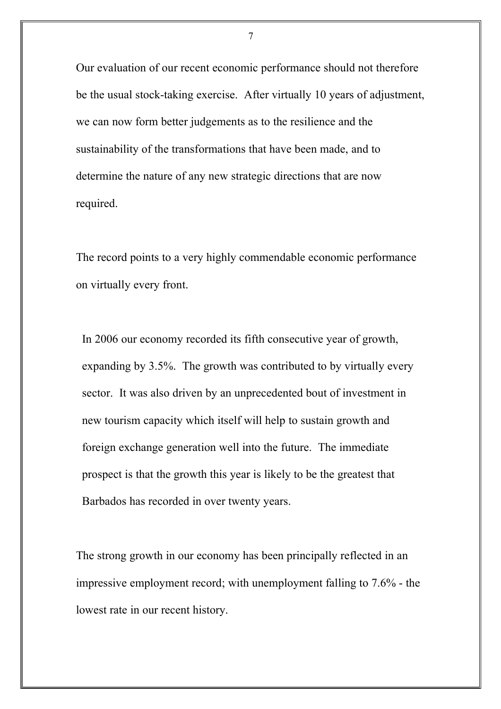Our evaluation of our recent economic performance should not therefore be the usual stock-taking exercise. After virtually 10 years of adjustment, we can now form better judgements as to the resilience and the sustainability of the transformations that have been made, and to determine the nature of any new strategic directions that are now required.

The record points to a very highly commendable economic performance on virtually every front.

In 2006 our economy recorded its fifth consecutive year of growth, expanding by 3.5%. The growth was contributed to by virtually every sector. It was also driven by an unprecedented bout of investment in new tourism capacity which itself will help to sustain growth and foreign exchange generation well into the future. The immediate prospect is that the growth this year is likely to be the greatest that Barbados has recorded in over twenty years.

The strong growth in our economy has been principally reflected in an impressive employment record; with unemployment falling to 7.6% - the lowest rate in our recent history.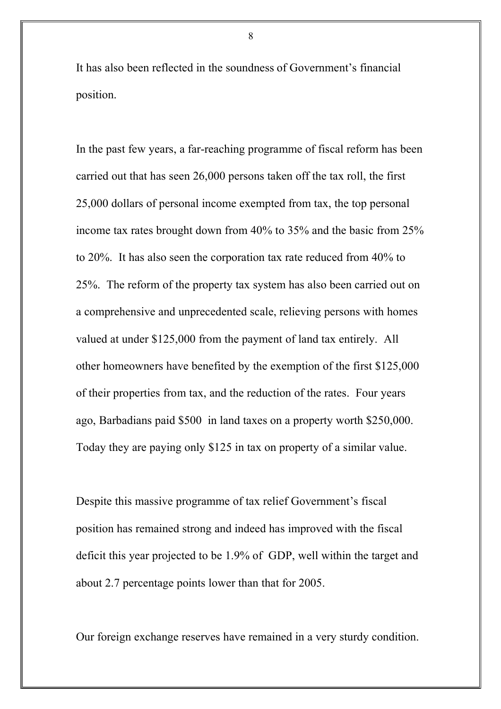It has also been reflected in the soundness of Government's financial position.

In the past few years, a far-reaching programme of fiscal reform has been carried out that has seen 26,000 persons taken off the tax roll, the first 25,000 dollars of personal income exempted from tax, the top personal income tax rates brought down from 40% to 35% and the basic from 25% to 20%. It has also seen the corporation tax rate reduced from 40% to 25%. The reform of the property tax system has also been carried out on a comprehensive and unprecedented scale, relieving persons with homes valued at under \$125,000 from the payment of land tax entirely. All other homeowners have benefited by the exemption of the first \$125,000 of their properties from tax, and the reduction of the rates. Four years ago, Barbadians paid \$500 in land taxes on a property worth \$250,000. Today they are paying only \$125 in tax on property of a similar value.

Despite this massive programme of tax relief Government's fiscal position has remained strong and indeed has improved with the fiscal deficit this year projected to be 1.9% of GDP, well within the target and about 2.7 percentage points lower than that for 2005.

Our foreign exchange reserves have remained in a very sturdy condition.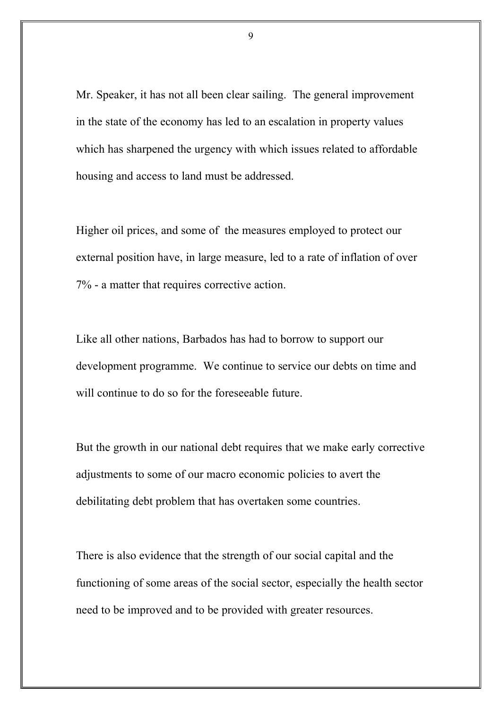Mr. Speaker, it has not all been clear sailing. The general improvement in the state of the economy has led to an escalation in property values which has sharpened the urgency with which issues related to affordable housing and access to land must be addressed.

Higher oil prices, and some of the measures employed to protect our external position have, in large measure, led to a rate of inflation of over 7% - a matter that requires corrective action.

Like all other nations, Barbados has had to borrow to support our development programme. We continue to service our debts on time and will continue to do so for the foreseeable future.

But the growth in our national debt requires that we make early corrective adjustments to some of our macro economic policies to avert the debilitating debt problem that has overtaken some countries.

There is also evidence that the strength of our social capital and the functioning of some areas of the social sector, especially the health sector need to be improved and to be provided with greater resources.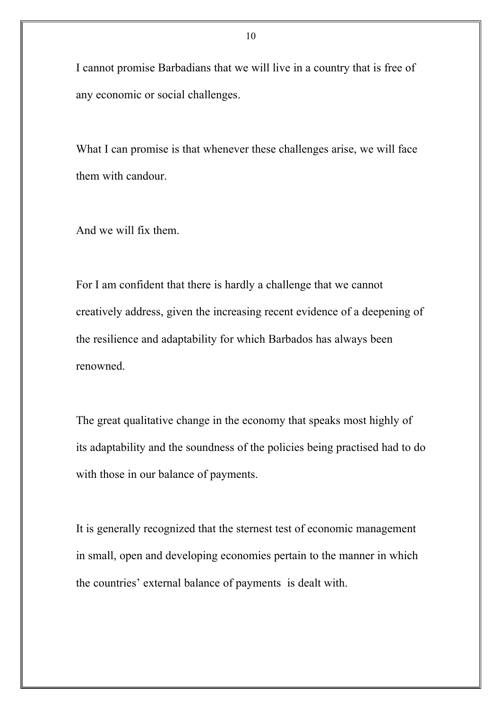I cannot promise Barbadians that we will live in a country that is free of any economic or social challenges.

What I can promise is that whenever these challenges arise, we will face them with candour.

And we will fix them.

For I am confident that there is hardly a challenge that we cannot creatively address, given the increasing recent evidence of a deepening of the resilience and adaptability for which Barbados has always been renowned.

The great qualitative change in the economy that speaks most highly of its adaptability and the soundness of the policies being practised had to do with those in our balance of payments.

It is generally recognized that the sternest test of economic management in small, open and developing economies pertain to the manner in which the countries' external balance of payments is dealt with.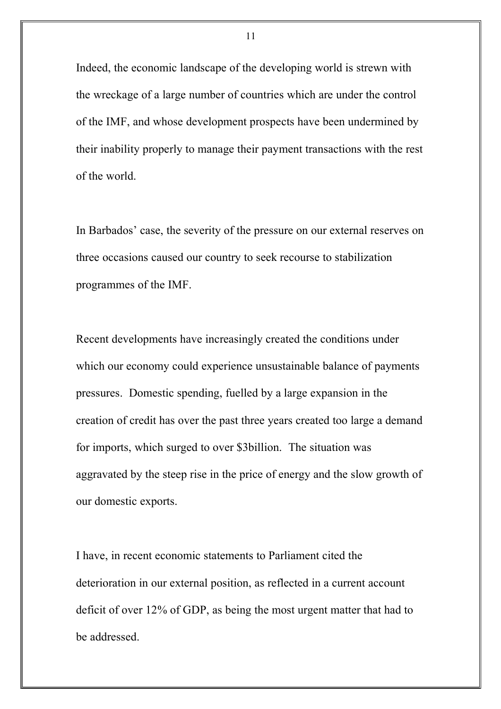Indeed, the economic landscape of the developing world is strewn with the wreckage of a large number of countries which are under the control of the IMF, and whose development prospects have been undermined by their inability properly to manage their payment transactions with the rest of the world.

In Barbados' case, the severity of the pressure on our external reserves on three occasions caused our country to seek recourse to stabilization programmes of the IMF.

Recent developments have increasingly created the conditions under which our economy could experience unsustainable balance of payments pressures. Domestic spending, fuelled by a large expansion in the creation of credit has over the past three years created too large a demand for imports, which surged to over \$3billion. The situation was aggravated by the steep rise in the price of energy and the slow growth of our domestic exports.

I have, in recent economic statements to Parliament cited the deterioration in our external position, as reflected in a current account deficit of over 12% of GDP, as being the most urgent matter that had to be addressed.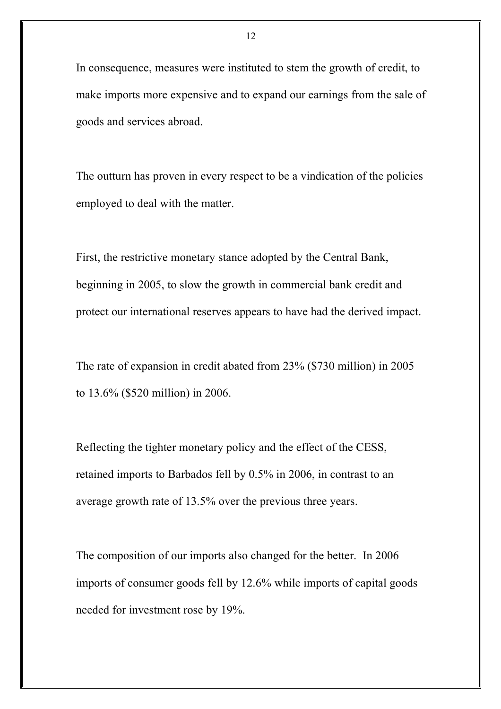In consequence, measures were instituted to stem the growth of credit, to make imports more expensive and to expand our earnings from the sale of goods and services abroad.

The outturn has proven in every respect to be a vindication of the policies employed to deal with the matter.

First, the restrictive monetary stance adopted by the Central Bank, beginning in 2005, to slow the growth in commercial bank credit and protect our international reserves appears to have had the derived impact.

The rate of expansion in credit abated from 23% (\$730 million) in 2005 to 13.6% (\$520 million) in 2006.

Reflecting the tighter monetary policy and the effect of the CESS, retained imports to Barbados fell by 0.5% in 2006, in contrast to an average growth rate of 13.5% over the previous three years.

The composition of our imports also changed for the better. In 2006 imports of consumer goods fell by 12.6% while imports of capital goods needed for investment rose by 19%.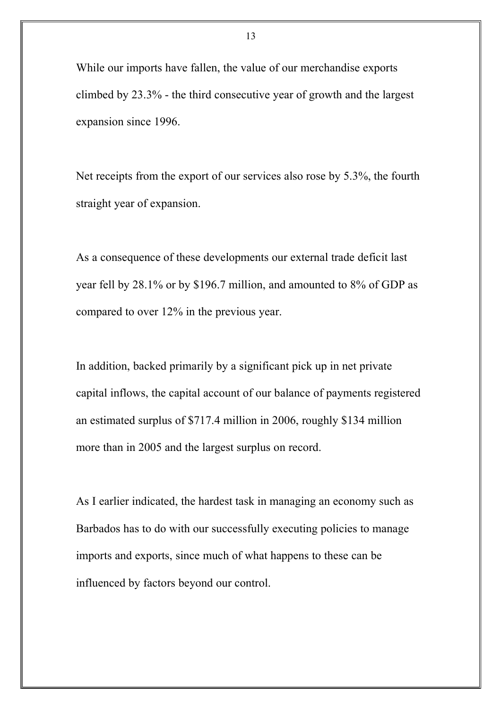While our imports have fallen, the value of our merchandise exports climbed by 23.3% - the third consecutive year of growth and the largest expansion since 1996.

Net receipts from the export of our services also rose by 5.3%, the fourth straight year of expansion.

As a consequence of these developments our external trade deficit last year fell by 28.1% or by \$196.7 million, and amounted to 8% of GDP as compared to over 12% in the previous year.

In addition, backed primarily by a significant pick up in net private capital inflows, the capital account of our balance of payments registered an estimated surplus of \$717.4 million in 2006, roughly \$134 million more than in 2005 and the largest surplus on record.

As I earlier indicated, the hardest task in managing an economy such as Barbados has to do with our successfully executing policies to manage imports and exports, since much of what happens to these can be influenced by factors beyond our control.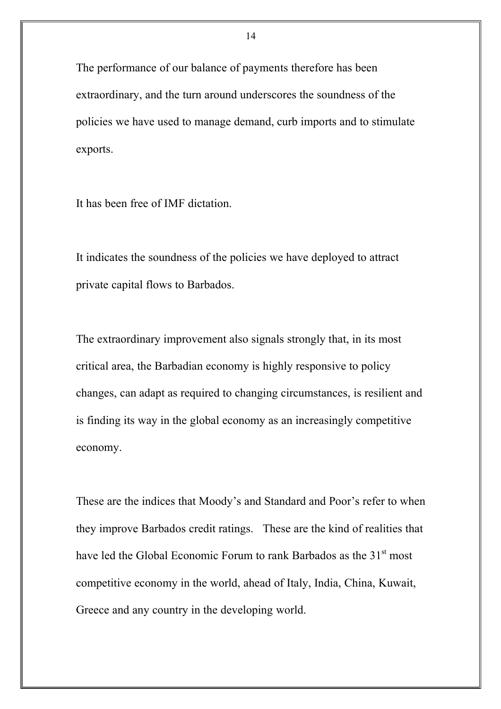The performance of our balance of payments therefore has been extraordinary, and the turn around underscores the soundness of the policies we have used to manage demand, curb imports and to stimulate exports.

It has been free of IMF dictation.

It indicates the soundness of the policies we have deployed to attract private capital flows to Barbados.

The extraordinary improvement also signals strongly that, in its most critical area, the Barbadian economy is highly responsive to policy changes, can adapt as required to changing circumstances, is resilient and is finding its way in the global economy as an increasingly competitive economy.

These are the indices that Moody's and Standard and Poor's refer to when they improve Barbados credit ratings. These are the kind of realities that have led the Global Economic Forum to rank Barbados as the 31<sup>st</sup> most competitive economy in the world, ahead of Italy, India, China, Kuwait, Greece and any country in the developing world.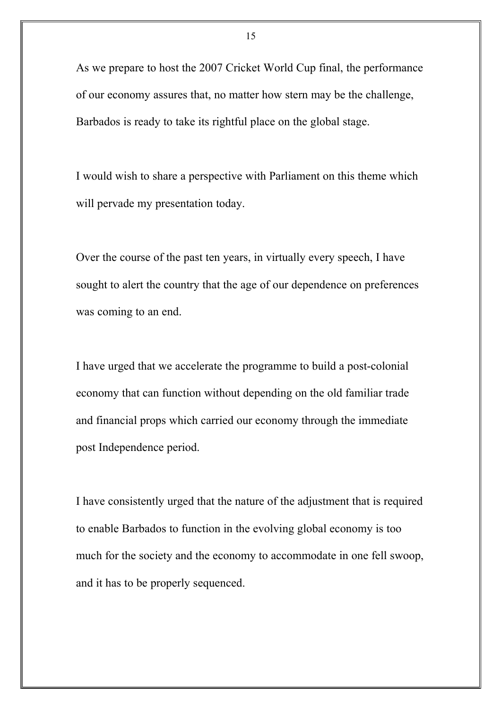As we prepare to host the 2007 Cricket World Cup final, the performance of our economy assures that, no matter how stern may be the challenge, Barbados is ready to take its rightful place on the global stage.

I would wish to share a perspective with Parliament on this theme which will pervade my presentation today.

Over the course of the past ten years, in virtually every speech, I have sought to alert the country that the age of our dependence on preferences was coming to an end.

I have urged that we accelerate the programme to build a post-colonial economy that can function without depending on the old familiar trade and financial props which carried our economy through the immediate post Independence period.

I have consistently urged that the nature of the adjustment that is required to enable Barbados to function in the evolving global economy is too much for the society and the economy to accommodate in one fell swoop, and it has to be properly sequenced.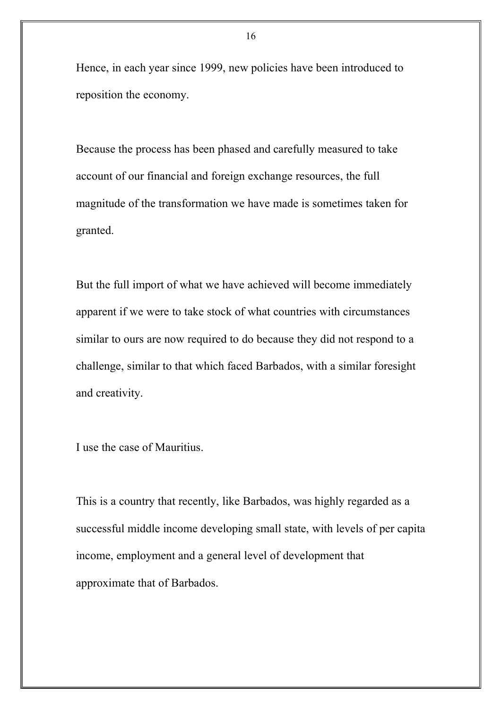Hence, in each year since 1999, new policies have been introduced to reposition the economy.

Because the process has been phased and carefully measured to take account of our financial and foreign exchange resources, the full magnitude of the transformation we have made is sometimes taken for granted.

But the full import of what we have achieved will become immediately apparent if we were to take stock of what countries with circumstances similar to ours are now required to do because they did not respond to a challenge, similar to that which faced Barbados, with a similar foresight and creativity.

I use the case of Mauritius.

This is a country that recently, like Barbados, was highly regarded as a successful middle income developing small state, with levels of per capita income, employment and a general level of development that approximate that of Barbados.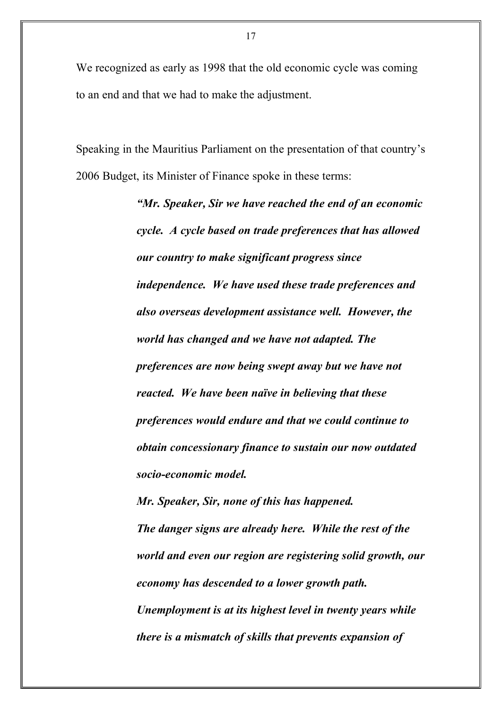We recognized as early as 1998 that the old economic cycle was coming to an end and that we had to make the adjustment.

Speaking in the Mauritius Parliament on the presentation of that country's 2006 Budget, its Minister of Finance spoke in these terms:

> *"Mr. Speaker, Sir we have reached the end of an economic cycle. A cycle based on trade preferences that has allowed our country to make significant progress since independence. We have used these trade preferences and also overseas development assistance well. However, the world has changed and we have not adapted. The preferences are now being swept away but we have not reacted. We have been naïve in believing that these preferences would endure and that we could continue to obtain concessionary finance to sustain our now outdated socio-economic model.*

> *Mr. Speaker, Sir, none of this has happened. The danger signs are already here. While the rest of the world and even our region are registering solid growth, our economy has descended to a lower growth path. Unemployment is at its highest level in twenty years while there is a mismatch of skills that prevents expansion of*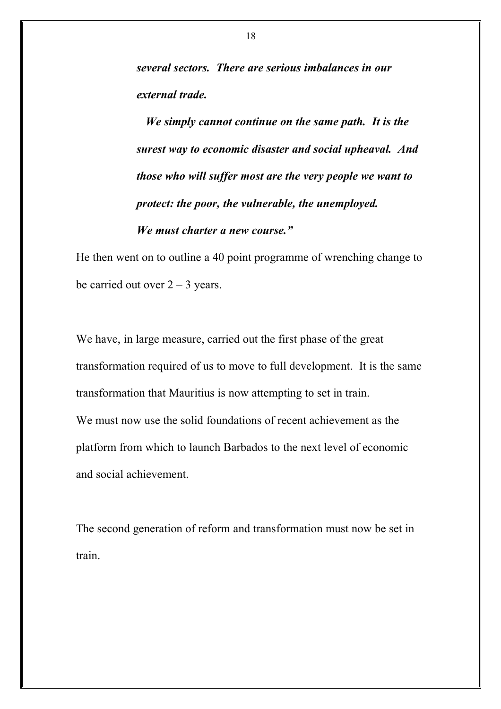*several sectors. There are serious imbalances in our external trade.*

*We simply cannot continue on the same path. It is the surest way to economic disaster and social upheaval. And those who will suffer most are the very people we want to protect: the poor, the vulnerable, the unemployed. We must charter a new course."*

He then went on to outline a 40 point programme of wrenching change to be carried out over  $2 - 3$  years.

We have, in large measure, carried out the first phase of the great transformation required of us to move to full development. It is the same transformation that Mauritius is now attempting to set in train. We must now use the solid foundations of recent achievement as the platform from which to launch Barbados to the next level of economic and social achievement.

The second generation of reform and transformation must now be set in train.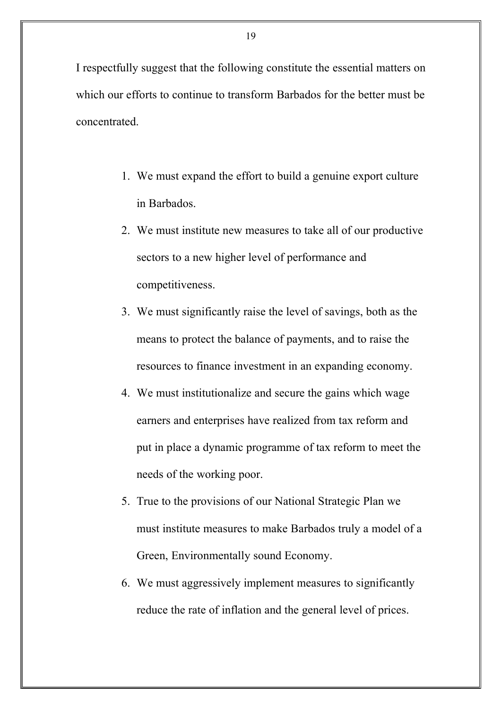I respectfully suggest that the following constitute the essential matters on which our efforts to continue to transform Barbados for the better must be concentrated.

- 1. We must expand the effort to build a genuine export culture in Barbados.
- 2. We must institute new measures to take all of our productive sectors to a new higher level of performance and competitiveness.
- 3. We must significantly raise the level of savings, both as the means to protect the balance of payments, and to raise the resources to finance investment in an expanding economy.
- 4. We must institutionalize and secure the gains which wage earners and enterprises have realized from tax reform and put in place a dynamic programme of tax reform to meet the needs of the working poor.
- 5. True to the provisions of our National Strategic Plan we must institute measures to make Barbados truly a model of a Green, Environmentally sound Economy.
- 6. We must aggressively implement measures to significantly reduce the rate of inflation and the general level of prices.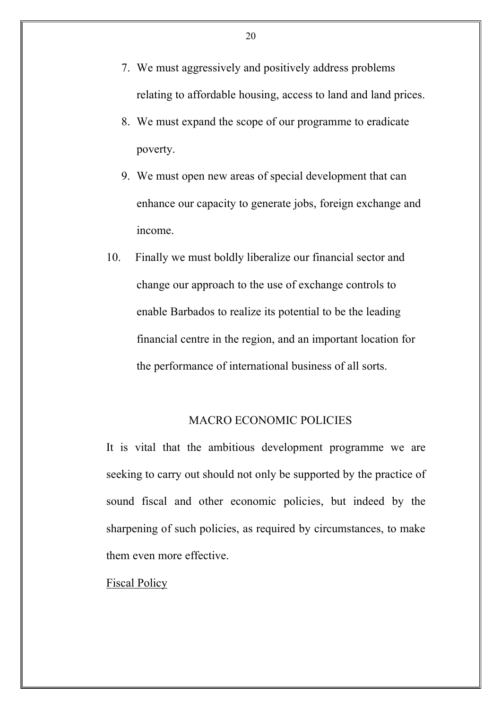- 7. We must aggressively and positively address problems relating to affordable housing, access to land and land prices.
- 8. We must expand the scope of our programme to eradicate poverty.
- 9. We must open new areas of special development that can enhance our capacity to generate jobs, foreign exchange and income.
- 10. Finally we must boldly liberalize our financial sector and change our approach to the use of exchange controls to enable Barbados to realize its potential to be the leading financial centre in the region, and an important location for the performance of international business of all sorts.

## MACRO ECONOMIC POLICIES

It is vital that the ambitious development programme we are seeking to carry out should not only be supported by the practice of sound fiscal and other economic policies, but indeed by the sharpening of such policies, as required by circumstances, to make them even more effective.

#### Fiscal Policy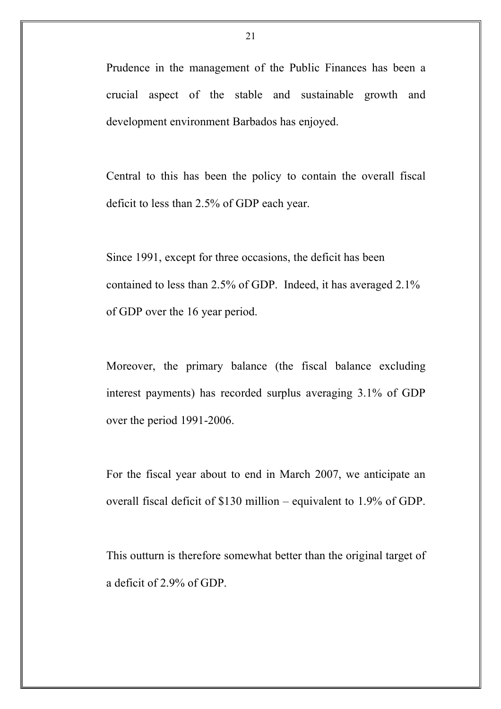Prudence in the management of the Public Finances has been a crucial aspect of the stable and sustainable growth and development environment Barbados has enjoyed.

Central to this has been the policy to contain the overall fiscal deficit to less than 2.5% of GDP each year.

Since 1991, except for three occasions, the deficit has been contained to less than 2.5% of GDP. Indeed, it has averaged 2.1% of GDP over the 16 year period.

Moreover, the primary balance (the fiscal balance excluding interest payments) has recorded surplus averaging 3.1% of GDP over the period 1991-2006.

For the fiscal year about to end in March 2007, we anticipate an overall fiscal deficit of \$130 million – equivalent to 1.9% of GDP.

This outturn is therefore somewhat better than the original target of a deficit of 2.9% of GDP.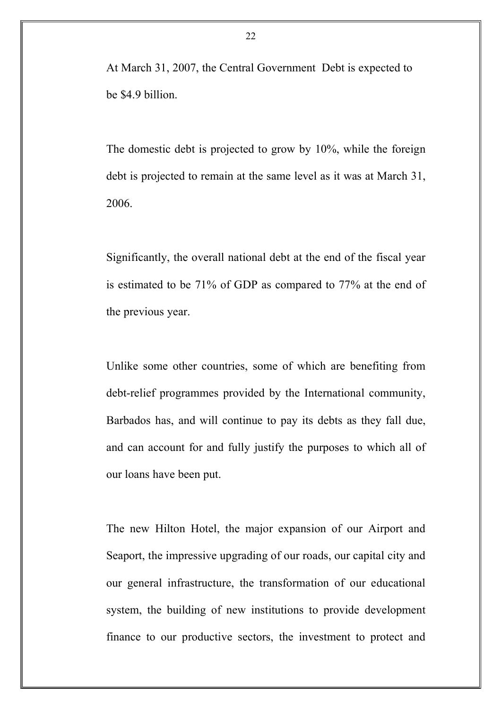At March 31, 2007, the Central Government Debt is expected to be \$4.9 billion.

The domestic debt is projected to grow by 10%, while the foreign debt is projected to remain at the same level as it was at March 31, 2006.

Significantly, the overall national debt at the end of the fiscal year is estimated to be 71% of GDP as compared to 77% at the end of the previous year.

Unlike some other countries, some of which are benefiting from debt-relief programmes provided by the International community, Barbados has, and will continue to pay its debts as they fall due, and can account for and fully justify the purposes to which all of our loans have been put.

The new Hilton Hotel, the major expansion of our Airport and Seaport, the impressive upgrading of our roads, our capital city and our general infrastructure, the transformation of our educational system, the building of new institutions to provide development finance to our productive sectors, the investment to protect and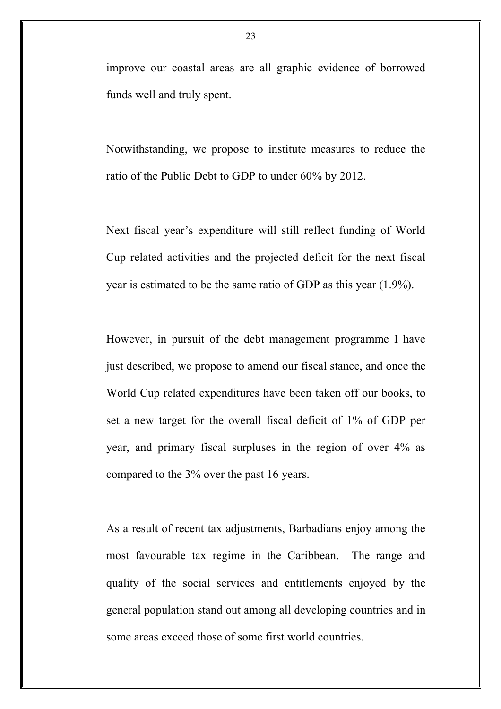improve our coastal areas are all graphic evidence of borrowed funds well and truly spent.

Notwithstanding, we propose to institute measures to reduce the ratio of the Public Debt to GDP to under 60% by 2012.

Next fiscal year's expenditure will still reflect funding of World Cup related activities and the projected deficit for the next fiscal year is estimated to be the same ratio of GDP as this year (1.9%).

However, in pursuit of the debt management programme I have just described, we propose to amend our fiscal stance, and once the World Cup related expenditures have been taken off our books, to set a new target for the overall fiscal deficit of 1% of GDP per year, and primary fiscal surpluses in the region of over 4% as compared to the 3% over the past 16 years.

As a result of recent tax adjustments, Barbadians enjoy among the most favourable tax regime in the Caribbean. The range and quality of the social services and entitlements enjoyed by the general population stand out among all developing countries and in some areas exceed those of some first world countries.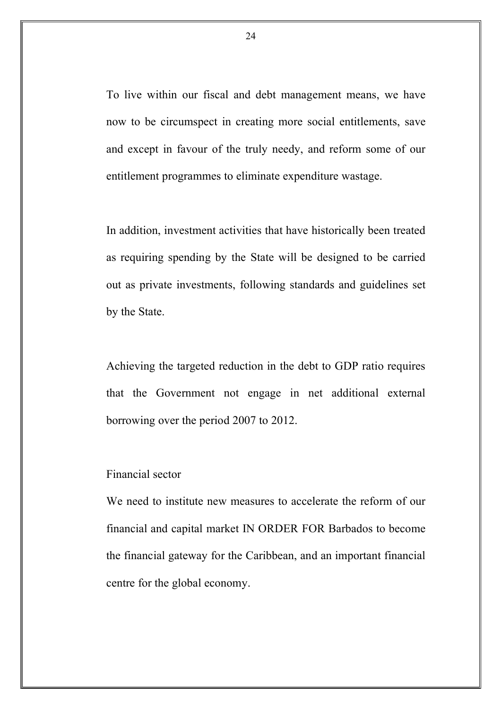To live within our fiscal and debt management means, we have now to be circumspect in creating more social entitlements, save and except in favour of the truly needy, and reform some of our entitlement programmes to eliminate expenditure wastage.

In addition, investment activities that have historically been treated as requiring spending by the State will be designed to be carried out as private investments, following standards and guidelines set by the State.

Achieving the targeted reduction in the debt to GDP ratio requires that the Government not engage in net additional external borrowing over the period 2007 to 2012.

### Financial sector

We need to institute new measures to accelerate the reform of our financial and capital market IN ORDER FOR Barbados to become the financial gateway for the Caribbean, and an important financial centre for the global economy.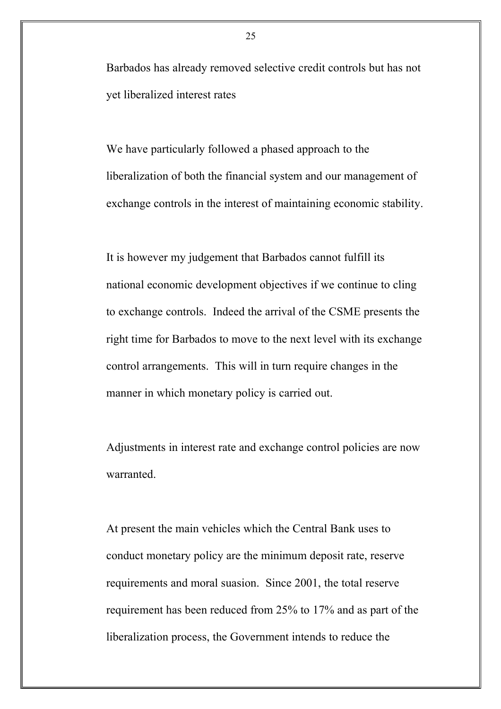Barbados has already removed selective credit controls but has not yet liberalized interest rates

We have particularly followed a phased approach to the liberalization of both the financial system and our management of exchange controls in the interest of maintaining economic stability.

It is however my judgement that Barbados cannot fulfill its national economic development objectives if we continue to cling to exchange controls. Indeed the arrival of the CSME presents the right time for Barbados to move to the next level with its exchange control arrangements. This will in turn require changes in the manner in which monetary policy is carried out.

Adjustments in interest rate and exchange control policies are now warranted.

At present the main vehicles which the Central Bank uses to conduct monetary policy are the minimum deposit rate, reserve requirements and moral suasion. Since 2001, the total reserve requirement has been reduced from 25% to 17% and as part of the liberalization process, the Government intends to reduce the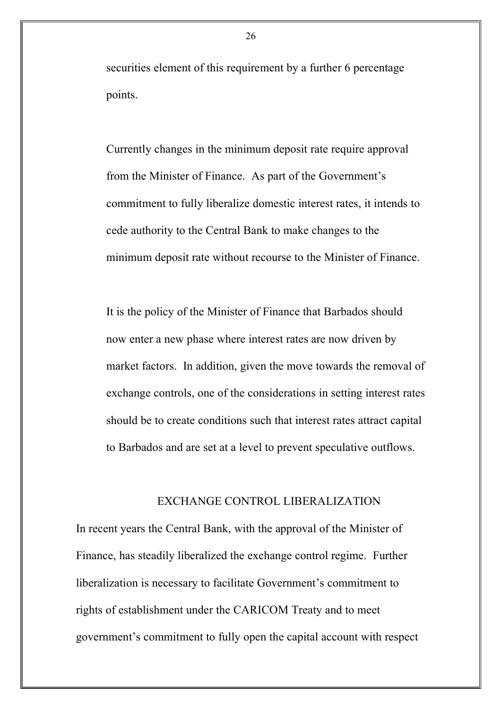securities element of this requirement by a further 6 percentage points.

Currently changes in the minimum deposit rate require approval from the Minister of Finance. As part of the Government's commitment to fully liberalize domestic interest rates, it intends to cede authority to the Central Bank to make changes to the minimum deposit rate without recourse to the Minister of Finance.

It is the policy of the Minister of Finance that Barbados should now enter a new phase where interest rates are now driven by market factors. In addition, given the move towards the removal of exchange controls, one of the considerations in setting interest rates should be to create conditions such that interest rates attract capital to Barbados and are set at a level to prevent speculative outflows.

#### EXCHANGE CONTROL LIBERALIZATION

In recent years the Central Bank, with the approval of the Minister of Finance, has steadily liberalized the exchange control regime. Further liberalization is necessary to facilitate Government's commitment to rights of establishment under the CARICOM Treaty and to meet government's commitment to fully open the capital account with respect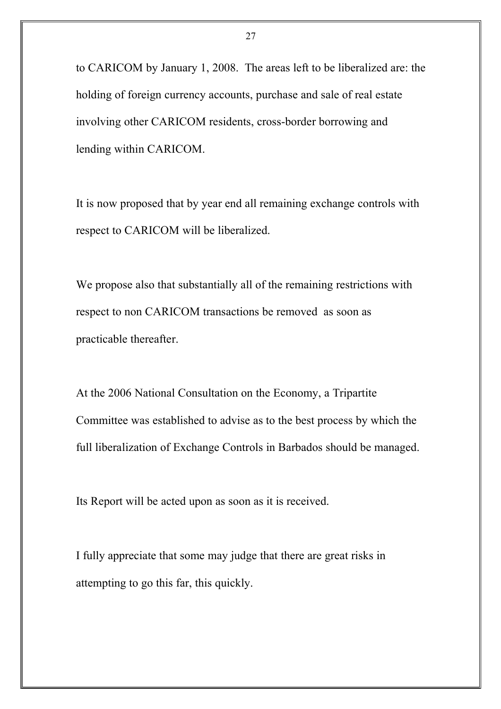to CARICOM by January 1, 2008. The areas left to be liberalized are: the holding of foreign currency accounts, purchase and sale of real estate involving other CARICOM residents, cross-border borrowing and lending within CARICOM.

It is now proposed that by year end all remaining exchange controls with respect to CARICOM will be liberalized.

We propose also that substantially all of the remaining restrictions with respect to non CARICOM transactions be removed as soon as practicable thereafter.

At the 2006 National Consultation on the Economy, a Tripartite Committee was established to advise as to the best process by which the full liberalization of Exchange Controls in Barbados should be managed.

Its Report will be acted upon as soon as it is received.

I fully appreciate that some may judge that there are great risks in attempting to go this far, this quickly.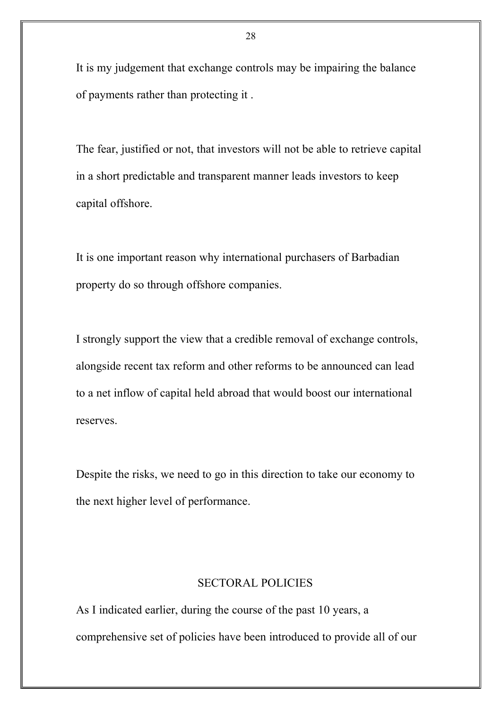It is my judgement that exchange controls may be impairing the balance of payments rather than protecting it .

The fear, justified or not, that investors will not be able to retrieve capital in a short predictable and transparent manner leads investors to keep capital offshore.

It is one important reason why international purchasers of Barbadian property do so through offshore companies.

I strongly support the view that a credible removal of exchange controls, alongside recent tax reform and other reforms to be announced can lead to a net inflow of capital held abroad that would boost our international reserves.

Despite the risks, we need to go in this direction to take our economy to the next higher level of performance.

### SECTORAL POLICIES

As I indicated earlier, during the course of the past 10 years, a comprehensive set of policies have been introduced to provide all of our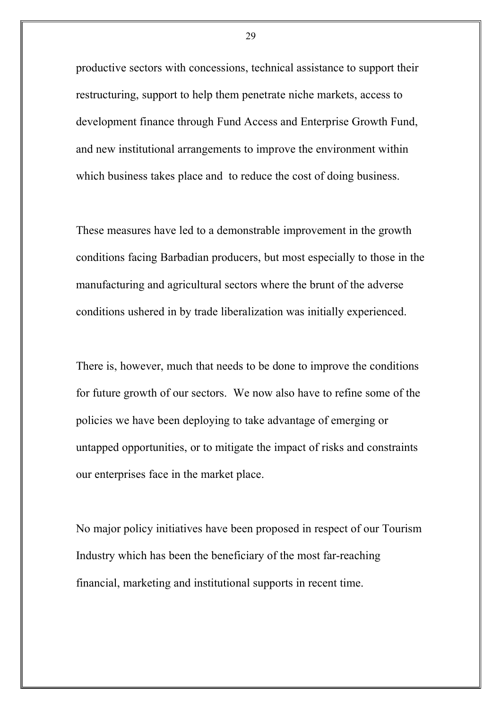productive sectors with concessions, technical assistance to support their restructuring, support to help them penetrate niche markets, access to development finance through Fund Access and Enterprise Growth Fund, and new institutional arrangements to improve the environment within which business takes place and to reduce the cost of doing business.

These measures have led to a demonstrable improvement in the growth conditions facing Barbadian producers, but most especially to those in the manufacturing and agricultural sectors where the brunt of the adverse conditions ushered in by trade liberalization was initially experienced.

There is, however, much that needs to be done to improve the conditions for future growth of our sectors. We now also have to refine some of the policies we have been deploying to take advantage of emerging or untapped opportunities, or to mitigate the impact of risks and constraints our enterprises face in the market place.

No major policy initiatives have been proposed in respect of our Tourism Industry which has been the beneficiary of the most far-reaching financial, marketing and institutional supports in recent time.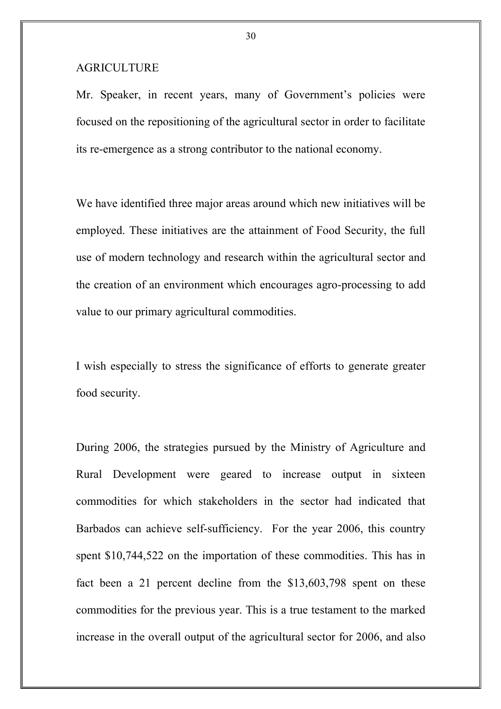### AGRICULTURE

Mr. Speaker, in recent years, many of Government's policies were focused on the repositioning of the agricultural sector in order to facilitate its re-emergence as a strong contributor to the national economy.

We have identified three major areas around which new initiatives will be employed. These initiatives are the attainment of Food Security, the full use of modern technology and research within the agricultural sector and the creation of an environment which encourages agro-processing to add value to our primary agricultural commodities.

I wish especially to stress the significance of efforts to generate greater food security.

During 2006, the strategies pursued by the Ministry of Agriculture and Rural Development were geared to increase output in sixteen commodities for which stakeholders in the sector had indicated that Barbados can achieve self-sufficiency. For the year 2006, this country spent \$10,744,522 on the importation of these commodities. This has in fact been a 21 percent decline from the \$13,603,798 spent on these commodities for the previous year. This is a true testament to the marked increase in the overall output of the agricultural sector for 2006, and also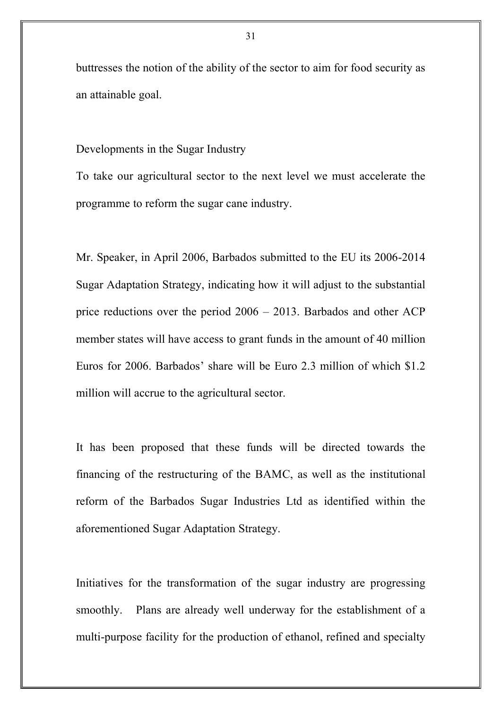buttresses the notion of the ability of the sector to aim for food security as an attainable goal.

Developments in the Sugar Industry

To take our agricultural sector to the next level we must accelerate the programme to reform the sugar cane industry.

Mr. Speaker, in April 2006, Barbados submitted to the EU its 2006-2014 Sugar Adaptation Strategy, indicating how it will adjust to the substantial price reductions over the period 2006 – 2013. Barbados and other ACP member states will have access to grant funds in the amount of 40 million Euros for 2006. Barbados' share will be Euro 2.3 million of which \$1.2 million will accrue to the agricultural sector.

It has been proposed that these funds will be directed towards the financing of the restructuring of the BAMC, as well as the institutional reform of the Barbados Sugar Industries Ltd as identified within the aforementioned Sugar Adaptation Strategy.

Initiatives for the transformation of the sugar industry are progressing smoothly. Plans are already well underway for the establishment of a multi-purpose facility for the production of ethanol, refined and specialty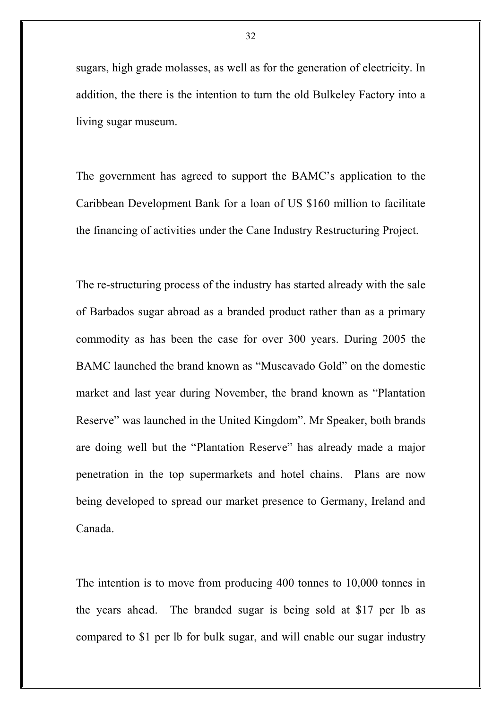sugars, high grade molasses, as well as for the generation of electricity. In addition, the there is the intention to turn the old Bulkeley Factory into a living sugar museum.

The government has agreed to support the BAMC's application to the Caribbean Development Bank for a loan of US \$160 million to facilitate the financing of activities under the Cane Industry Restructuring Project.

The re-structuring process of the industry has started already with the sale of Barbados sugar abroad as a branded product rather than as a primary commodity as has been the case for over 300 years. During 2005 the BAMC launched the brand known as "Muscavado Gold" on the domestic market and last year during November, the brand known as "Plantation Reserve" was launched in the United Kingdom". Mr Speaker, both brands are doing well but the "Plantation Reserve" has already made a major penetration in the top supermarkets and hotel chains. Plans are now being developed to spread our market presence to Germany, Ireland and Canada.

The intention is to move from producing 400 tonnes to 10,000 tonnes in the years ahead. The branded sugar is being sold at \$17 per lb as compared to \$1 per lb for bulk sugar, and will enable our sugar industry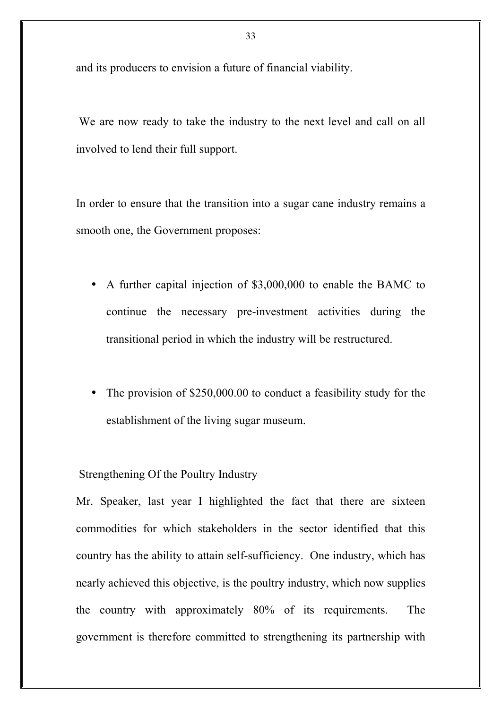and its producers to envision a future of financial viability.

We are now ready to take the industry to the next level and call on all involved to lend their full support.

In order to ensure that the transition into a sugar cane industry remains a smooth one, the Government proposes:

- A further capital injection of \$3,000,000 to enable the BAMC to continue the necessary pre-investment activities during the transitional period in which the industry will be restructured.
- The provision of \$250,000.00 to conduct a feasibility study for the establishment of the living sugar museum.

Strengthening Of the Poultry Industry

Mr. Speaker, last year I highlighted the fact that there are sixteen commodities for which stakeholders in the sector identified that this country has the ability to attain self-sufficiency. One industry, which has nearly achieved this objective, is the poultry industry, which now supplies the country with approximately 80% of its requirements. The government is therefore committed to strengthening its partnership with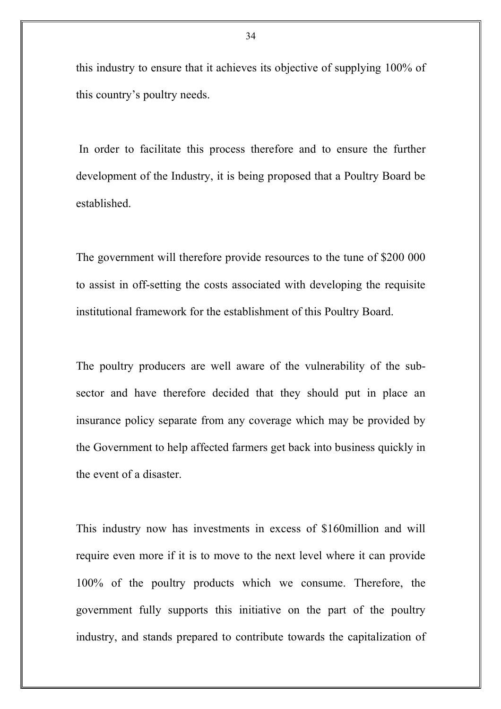this industry to ensure that it achieves its objective of supplying 100% of this country's poultry needs.

In order to facilitate this process therefore and to ensure the further development of the Industry, it is being proposed that a Poultry Board be established.

The government will therefore provide resources to the tune of \$200 000 to assist in off-setting the costs associated with developing the requisite institutional framework for the establishment of this Poultry Board.

The poultry producers are well aware of the vulnerability of the subsector and have therefore decided that they should put in place an insurance policy separate from any coverage which may be provided by the Government to help affected farmers get back into business quickly in the event of a disaster.

This industry now has investments in excess of \$160million and will require even more if it is to move to the next level where it can provide 100% of the poultry products which we consume. Therefore, the government fully supports this initiative on the part of the poultry industry, and stands prepared to contribute towards the capitalization of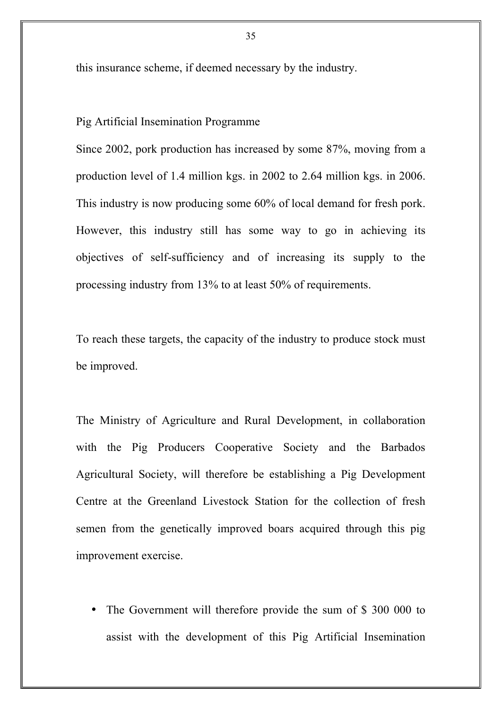this insurance scheme, if deemed necessary by the industry.

### Pig Artificial Insemination Programme

Since 2002, pork production has increased by some 87%, moving from a production level of 1.4 million kgs. in 2002 to 2.64 million kgs. in 2006. This industry is now producing some 60% of local demand for fresh pork. However, this industry still has some way to go in achieving its objectives of self-sufficiency and of increasing its supply to the processing industry from 13% to at least 50% of requirements.

To reach these targets, the capacity of the industry to produce stock must be improved.

The Ministry of Agriculture and Rural Development, in collaboration with the Pig Producers Cooperative Society and the Barbados Agricultural Society, will therefore be establishing a Pig Development Centre at the Greenland Livestock Station for the collection of fresh semen from the genetically improved boars acquired through this pig improvement exercise.

The Government will therefore provide the sum of \$ 300 000 to assist with the development of this Pig Artificial Insemination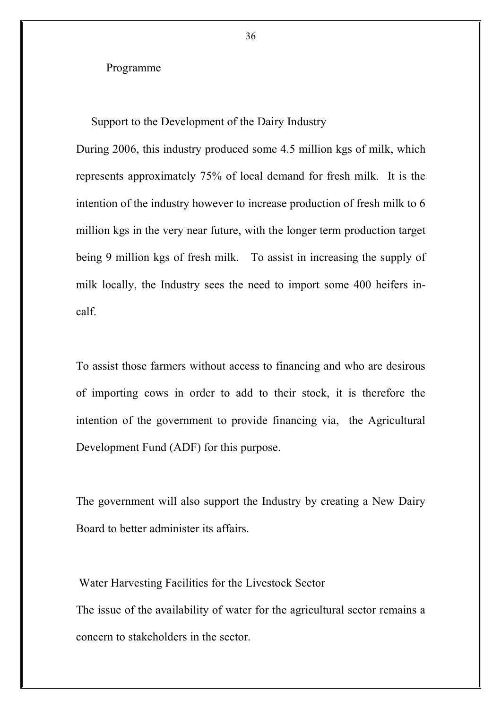#### Programme

Support to the Development of the Dairy Industry

During 2006, this industry produced some 4.5 million kgs of milk, which represents approximately 75% of local demand for fresh milk. It is the intention of the industry however to increase production of fresh milk to 6 million kgs in the very near future, with the longer term production target being 9 million kgs of fresh milk. To assist in increasing the supply of milk locally, the Industry sees the need to import some 400 heifers incalf.

To assist those farmers without access to financing and who are desirous of importing cows in order to add to their stock, it is therefore the intention of the government to provide financing via, the Agricultural Development Fund (ADF) for this purpose.

The government will also support the Industry by creating a New Dairy Board to better administer its affairs.

Water Harvesting Facilities for the Livestock Sector The issue of the availability of water for the agricultural sector remains a concern to stakeholders in the sector.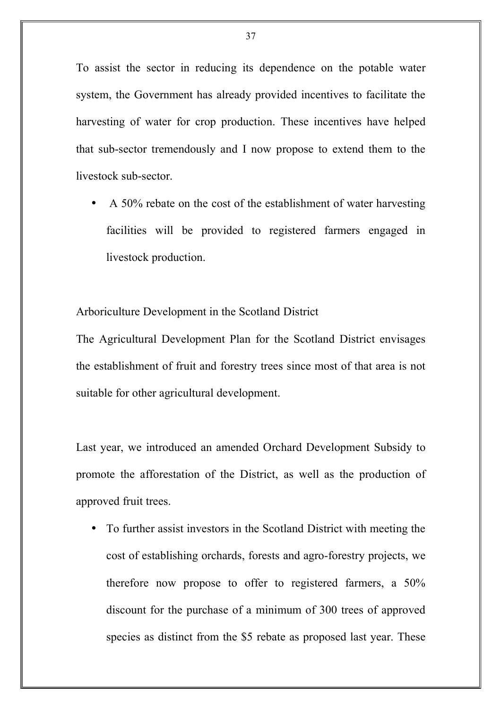To assist the sector in reducing its dependence on the potable water system, the Government has already provided incentives to facilitate the harvesting of water for crop production. These incentives have helped that sub-sector tremendously and I now propose to extend them to the livestock sub-sector.

A 50% rebate on the cost of the establishment of water harvesting facilities will be provided to registered farmers engaged in livestock production.

Arboriculture Development in the Scotland District

The Agricultural Development Plan for the Scotland District envisages the establishment of fruit and forestry trees since most of that area is not suitable for other agricultural development.

Last year, we introduced an amended Orchard Development Subsidy to promote the afforestation of the District, as well as the production of approved fruit trees.

• To further assist investors in the Scotland District with meeting the cost of establishing orchards, forests and agro-forestry projects, we therefore now propose to offer to registered farmers, a 50% discount for the purchase of a minimum of 300 trees of approved species as distinct from the \$5 rebate as proposed last year. These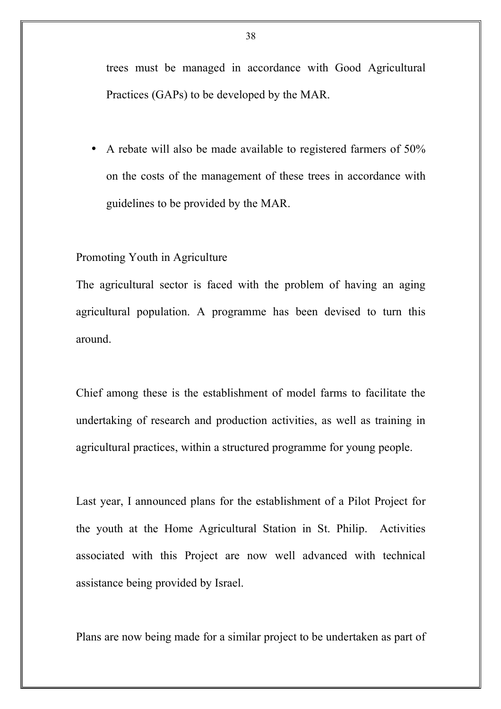trees must be managed in accordance with Good Agricultural Practices (GAPs) to be developed by the MAR.

• A rebate will also be made available to registered farmers of 50% on the costs of the management of these trees in accordance with guidelines to be provided by the MAR.

### Promoting Youth in Agriculture

The agricultural sector is faced with the problem of having an aging agricultural population. A programme has been devised to turn this around.

Chief among these is the establishment of model farms to facilitate the undertaking of research and production activities, as well as training in agricultural practices, within a structured programme for young people.

Last year, I announced plans for the establishment of a Pilot Project for the youth at the Home Agricultural Station in St. Philip. Activities associated with this Project are now well advanced with technical assistance being provided by Israel.

Plans are now being made for a similar project to be undertaken as part of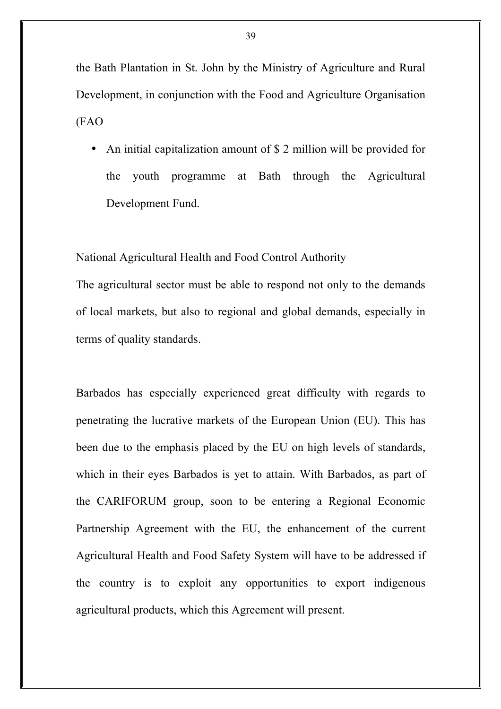the Bath Plantation in St. John by the Ministry of Agriculture and Rural Development, in conjunction with the Food and Agriculture Organisation (FAO

• An initial capitalization amount of \$ 2 million will be provided for the youth programme at Bath through the Agricultural Development Fund.

National Agricultural Health and Food Control Authority

The agricultural sector must be able to respond not only to the demands of local markets, but also to regional and global demands, especially in terms of quality standards.

Barbados has especially experienced great difficulty with regards to penetrating the lucrative markets of the European Union (EU). This has been due to the emphasis placed by the EU on high levels of standards, which in their eyes Barbados is yet to attain. With Barbados, as part of the CARIFORUM group, soon to be entering a Regional Economic Partnership Agreement with the EU, the enhancement of the current Agricultural Health and Food Safety System will have to be addressed if the country is to exploit any opportunities to export indigenous agricultural products, which this Agreement will present.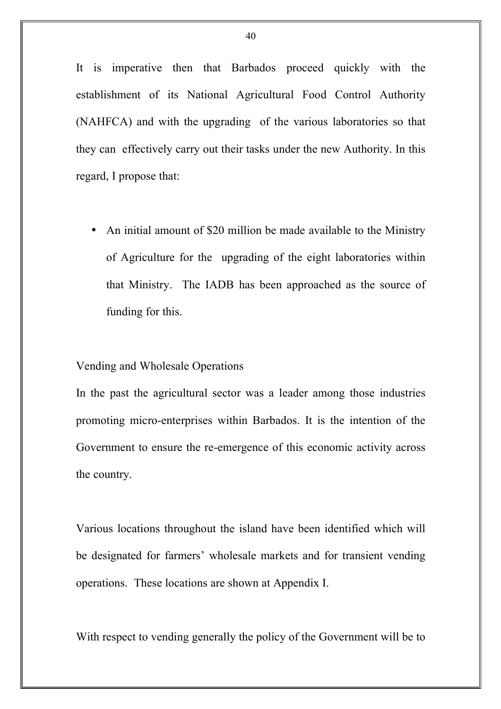It is imperative then that Barbados proceed quickly with the establishment of its National Agricultural Food Control Authority (NAHFCA) and with the upgrading of the various laboratories so that they can effectively carry out their tasks under the new Authority. In this regard, I propose that:

• An initial amount of \$20 million be made available to the Ministry of Agriculture for the upgrading of the eight laboratories within that Ministry. The IADB has been approached as the source of funding for this.

#### Vending and Wholesale Operations

In the past the agricultural sector was a leader among those industries promoting micro-enterprises within Barbados. It is the intention of the Government to ensure the re-emergence of this economic activity across the country.

Various locations throughout the island have been identified which will be designated for farmers' wholesale markets and for transient vending operations. These locations are shown at Appendix I.

With respect to vending generally the policy of the Government will be to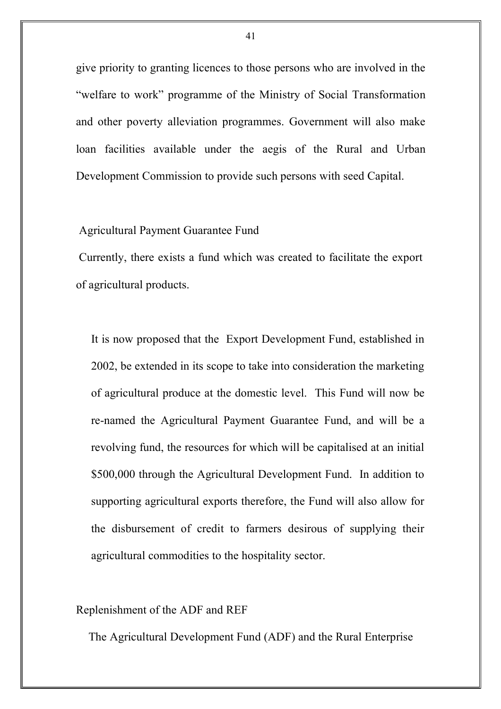give priority to granting licences to those persons who are involved in the "welfare to work" programme of the Ministry of Social Transformation and other poverty alleviation programmes. Government will also make loan facilities available under the aegis of the Rural and Urban Development Commission to provide such persons with seed Capital.

## Agricultural Payment Guarantee Fund

Currently, there exists a fund which was created to facilitate the export of agricultural products.

It is now proposed that the Export Development Fund, established in 2002, be extended in its scope to take into consideration the marketing of agricultural produce at the domestic level. This Fund will now be re-named the Agricultural Payment Guarantee Fund, and will be a revolving fund, the resources for which will be capitalised at an initial \$500,000 through the Agricultural Development Fund. In addition to supporting agricultural exports therefore, the Fund will also allow for the disbursement of credit to farmers desirous of supplying their agricultural commodities to the hospitality sector.

# Replenishment of the ADF and REF

The Agricultural Development Fund (ADF) and the Rural Enterprise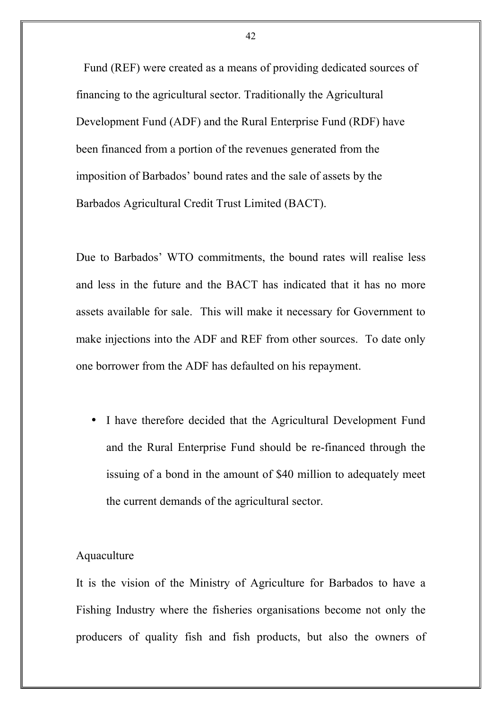Fund (REF) were created as a means of providing dedicated sources of financing to the agricultural sector. Traditionally the Agricultural Development Fund (ADF) and the Rural Enterprise Fund (RDF) have been financed from a portion of the revenues generated from the imposition of Barbados' bound rates and the sale of assets by the Barbados Agricultural Credit Trust Limited (BACT).

Due to Barbados' WTO commitments, the bound rates will realise less and less in the future and the BACT has indicated that it has no more assets available for sale. This will make it necessary for Government to make injections into the ADF and REF from other sources. To date only one borrower from the ADF has defaulted on his repayment.

I have therefore decided that the Agricultural Development Fund and the Rural Enterprise Fund should be re-financed through the issuing of a bond in the amount of \$40 million to adequately meet the current demands of the agricultural sector.

# Aquaculture

It is the vision of the Ministry of Agriculture for Barbados to have a Fishing Industry where the fisheries organisations become not only the producers of quality fish and fish products, but also the owners of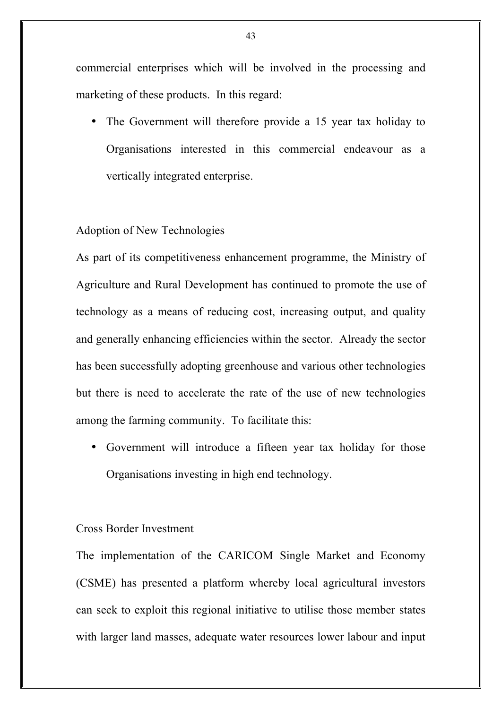commercial enterprises which will be involved in the processing and marketing of these products. In this regard:

• The Government will therefore provide a 15 year tax holiday to Organisations interested in this commercial endeavour as a vertically integrated enterprise.

# Adoption of New Technologies

As part of its competitiveness enhancement programme, the Ministry of Agriculture and Rural Development has continued to promote the use of technology as a means of reducing cost, increasing output, and quality and generally enhancing efficiencies within the sector. Already the sector has been successfully adopting greenhouse and various other technologies but there is need to accelerate the rate of the use of new technologies among the farming community. To facilitate this:

• Government will introduce a fifteen year tax holiday for those Organisations investing in high end technology.

# Cross Border Investment

The implementation of the CARICOM Single Market and Economy (CSME) has presented a platform whereby local agricultural investors can seek to exploit this regional initiative to utilise those member states with larger land masses, adequate water resources lower labour and input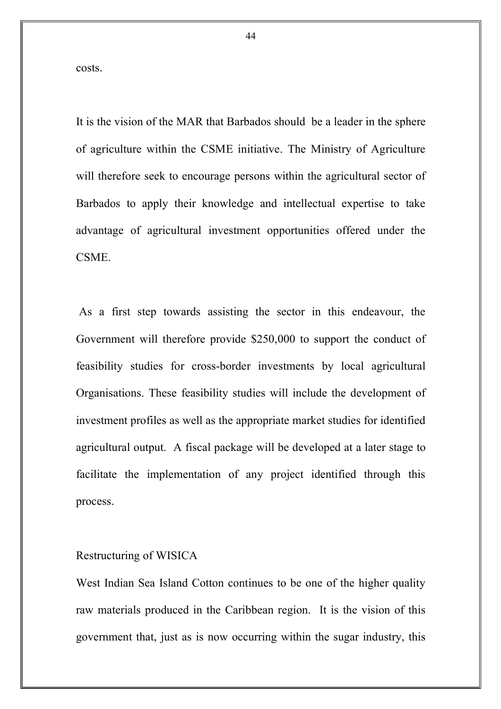costs.

It is the vision of the MAR that Barbados should be a leader in the sphere of agriculture within the CSME initiative. The Ministry of Agriculture will therefore seek to encourage persons within the agricultural sector of Barbados to apply their knowledge and intellectual expertise to take advantage of agricultural investment opportunities offered under the CSME.

As a first step towards assisting the sector in this endeavour, the Government will therefore provide \$250,000 to support the conduct of feasibility studies for cross-border investments by local agricultural Organisations. These feasibility studies will include the development of investment profiles as well as the appropriate market studies for identified agricultural output. A fiscal package will be developed at a later stage to facilitate the implementation of any project identified through this process.

#### Restructuring of WISICA

West Indian Sea Island Cotton continues to be one of the higher quality raw materials produced in the Caribbean region. It is the vision of this government that, just as is now occurring within the sugar industry, this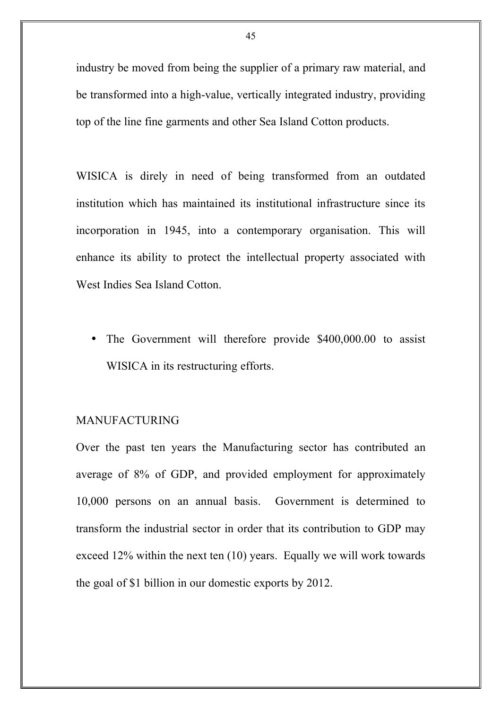industry be moved from being the supplier of a primary raw material, and be transformed into a high-value, vertically integrated industry, providing top of the line fine garments and other Sea Island Cotton products.

WISICA is direly in need of being transformed from an outdated institution which has maintained its institutional infrastructure since its incorporation in 1945, into a contemporary organisation. This will enhance its ability to protect the intellectual property associated with West Indies Sea Island Cotton.

The Government will therefore provide \$400,000.00 to assist WISICA in its restructuring efforts.

# MANUFACTURING

Over the past ten years the Manufacturing sector has contributed an average of 8% of GDP, and provided employment for approximately 10,000 persons on an annual basis. Government is determined to transform the industrial sector in order that its contribution to GDP may exceed 12% within the next ten (10) years. Equally we will work towards the goal of \$1 billion in our domestic exports by 2012.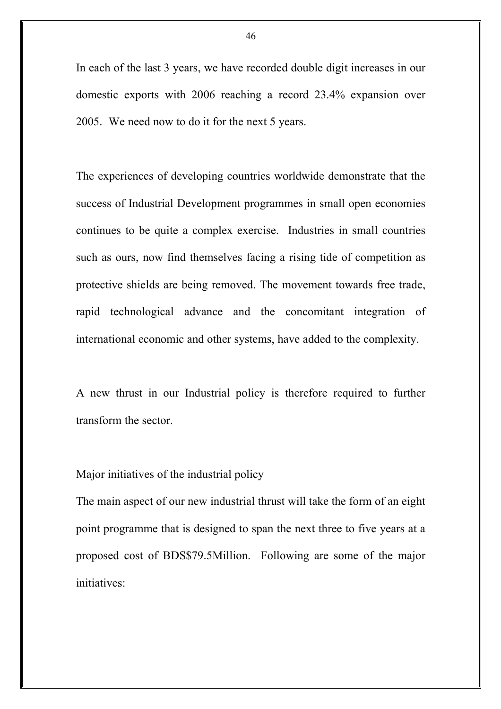In each of the last 3 years, we have recorded double digit increases in our domestic exports with 2006 reaching a record 23.4% expansion over 2005. We need now to do it for the next 5 years.

The experiences of developing countries worldwide demonstrate that the success of Industrial Development programmes in small open economies continues to be quite a complex exercise. Industries in small countries such as ours, now find themselves facing a rising tide of competition as protective shields are being removed. The movement towards free trade, rapid technological advance and the concomitant integration of international economic and other systems, have added to the complexity.

A new thrust in our Industrial policy is therefore required to further transform the sector.

### Major initiatives of the industrial policy

The main aspect of our new industrial thrust will take the form of an eight point programme that is designed to span the next three to five years at a proposed cost of BDS\$79.5Million. Following are some of the major initiatives: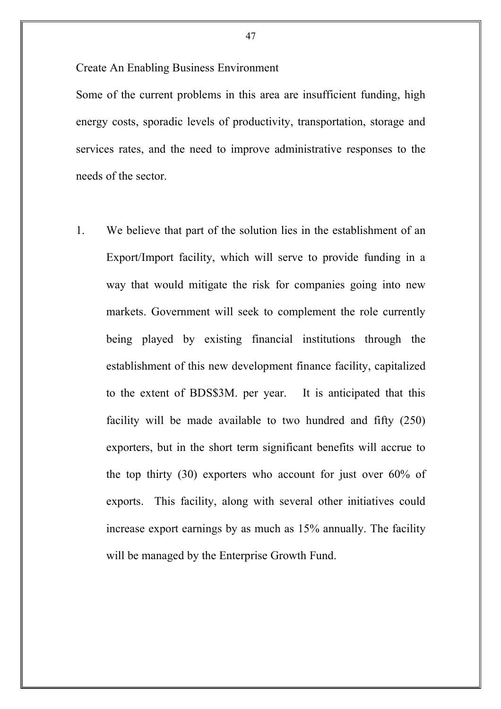Create An Enabling Business Environment

Some of the current problems in this area are insufficient funding, high energy costs, sporadic levels of productivity, transportation, storage and services rates, and the need to improve administrative responses to the needs of the sector.

1. We believe that part of the solution lies in the establishment of an Export/Import facility, which will serve to provide funding in a way that would mitigate the risk for companies going into new markets. Government will seek to complement the role currently being played by existing financial institutions through the establishment of this new development finance facility, capitalized to the extent of BDS\$3M. per year. It is anticipated that this facility will be made available to two hundred and fifty (250) exporters, but in the short term significant benefits will accrue to the top thirty (30) exporters who account for just over 60% of exports. This facility, along with several other initiatives could increase export earnings by as much as 15% annually. The facility will be managed by the Enterprise Growth Fund.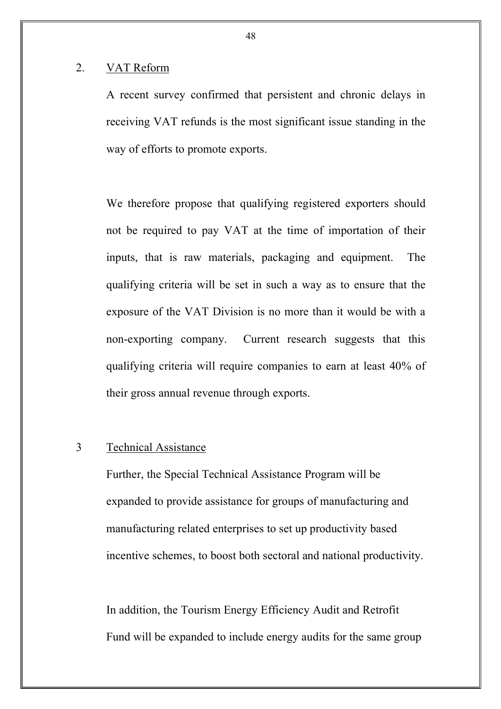#### 2. VAT Reform

A recent survey confirmed that persistent and chronic delays in receiving VAT refunds is the most significant issue standing in the way of efforts to promote exports.

We therefore propose that qualifying registered exporters should not be required to pay VAT at the time of importation of their inputs, that is raw materials, packaging and equipment. The qualifying criteria will be set in such a way as to ensure that the exposure of the VAT Division is no more than it would be with a non-exporting company. Current research suggests that this qualifying criteria will require companies to earn at least 40% of their gross annual revenue through exports.

# 3 Technical Assistance

Further, the Special Technical Assistance Program will be expanded to provide assistance for groups of manufacturing and manufacturing related enterprises to set up productivity based incentive schemes, to boost both sectoral and national productivity.

In addition, the Tourism Energy Efficiency Audit and Retrofit Fund will be expanded to include energy audits for the same group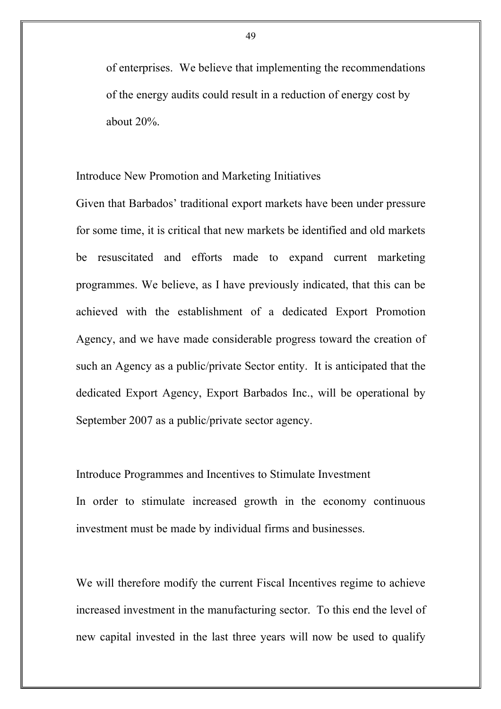of enterprises. We believe that implementing the recommendations of the energy audits could result in a reduction of energy cost by about 20%.

Introduce New Promotion and Marketing Initiatives

Given that Barbados' traditional export markets have been under pressure for some time, it is critical that new markets be identified and old markets be resuscitated and efforts made to expand current marketing programmes. We believe, as I have previously indicated, that this can be achieved with the establishment of a dedicated Export Promotion Agency, and we have made considerable progress toward the creation of such an Agency as a public/private Sector entity. It is anticipated that the dedicated Export Agency, Export Barbados Inc., will be operational by September 2007 as a public/private sector agency.

Introduce Programmes and Incentives to Stimulate Investment In order to stimulate increased growth in the economy continuous investment must be made by individual firms and businesses.

We will therefore modify the current Fiscal Incentives regime to achieve increased investment in the manufacturing sector. To this end the level of new capital invested in the last three years will now be used to qualify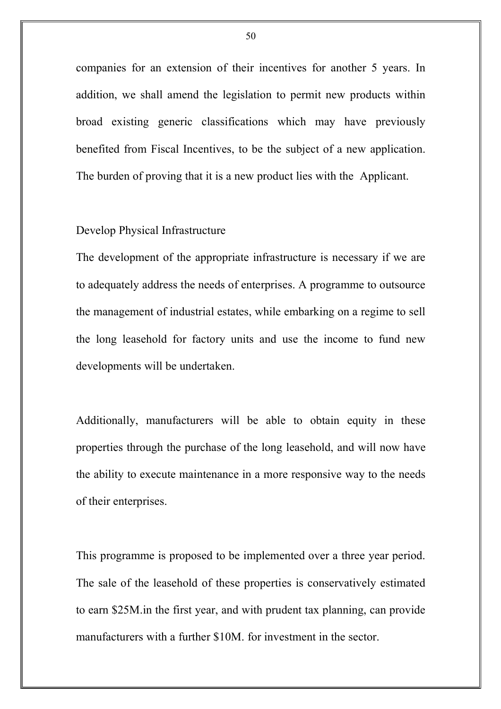companies for an extension of their incentives for another 5 years. In addition, we shall amend the legislation to permit new products within broad existing generic classifications which may have previously benefited from Fiscal Incentives, to be the subject of a new application. The burden of proving that it is a new product lies with the Applicant.

# Develop Physical Infrastructure

The development of the appropriate infrastructure is necessary if we are to adequately address the needs of enterprises. A programme to outsource the management of industrial estates, while embarking on a regime to sell the long leasehold for factory units and use the income to fund new developments will be undertaken.

Additionally, manufacturers will be able to obtain equity in these properties through the purchase of the long leasehold, and will now have the ability to execute maintenance in a more responsive way to the needs of their enterprises.

This programme is proposed to be implemented over a three year period. The sale of the leasehold of these properties is conservatively estimated to earn \$25M.in the first year, and with prudent tax planning, can provide manufacturers with a further \$10M. for investment in the sector.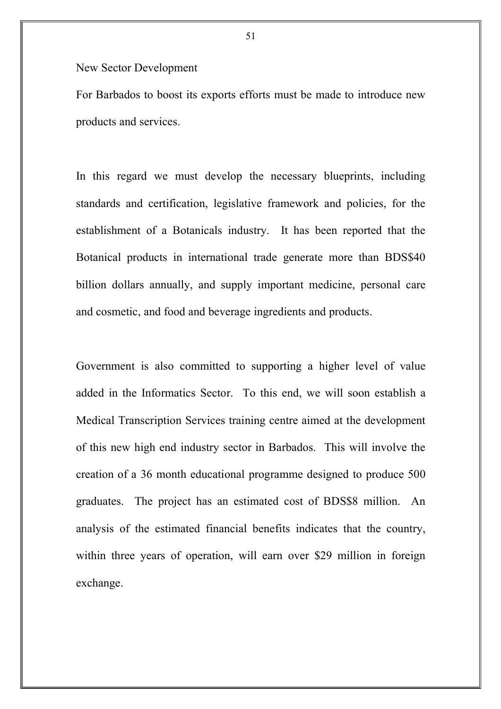New Sector Development

For Barbados to boost its exports efforts must be made to introduce new products and services.

In this regard we must develop the necessary blueprints, including standards and certification, legislative framework and policies, for the establishment of a Botanicals industry. It has been reported that the Botanical products in international trade generate more than BDS\$40 billion dollars annually, and supply important medicine, personal care and cosmetic, and food and beverage ingredients and products.

Government is also committed to supporting a higher level of value added in the Informatics Sector. To this end, we will soon establish a Medical Transcription Services training centre aimed at the development of this new high end industry sector in Barbados. This will involve the creation of a 36 month educational programme designed to produce 500 graduates. The project has an estimated cost of BDS\$8 million. An analysis of the estimated financial benefits indicates that the country, within three years of operation, will earn over \$29 million in foreign exchange.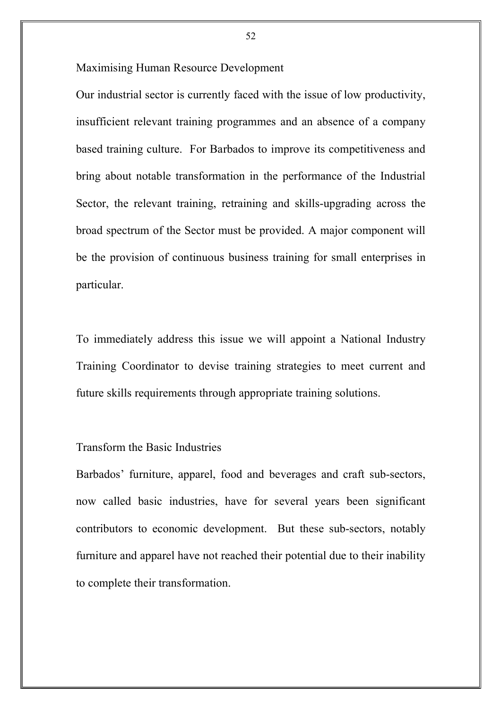Maximising Human Resource Development

Our industrial sector is currently faced with the issue of low productivity, insufficient relevant training programmes and an absence of a company based training culture. For Barbados to improve its competitiveness and bring about notable transformation in the performance of the Industrial Sector, the relevant training, retraining and skills-upgrading across the broad spectrum of the Sector must be provided. A major component will be the provision of continuous business training for small enterprises in particular.

To immediately address this issue we will appoint a National Industry Training Coordinator to devise training strategies to meet current and future skills requirements through appropriate training solutions.

## Transform the Basic Industries

Barbados' furniture, apparel, food and beverages and craft sub-sectors, now called basic industries, have for several years been significant contributors to economic development. But these sub-sectors, notably furniture and apparel have not reached their potential due to their inability to complete their transformation.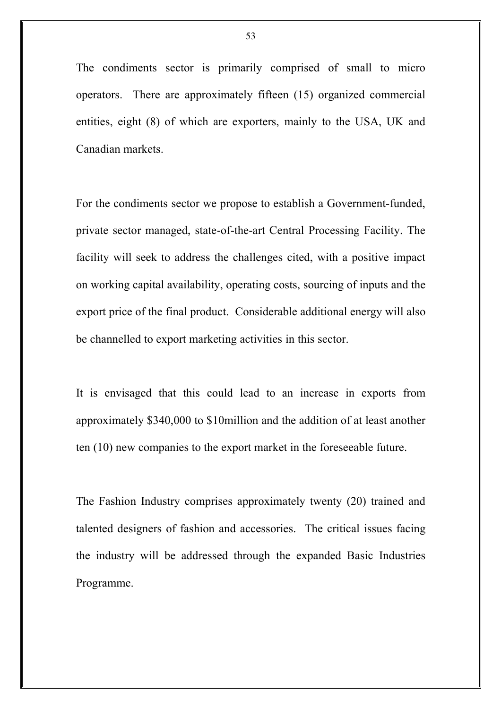The condiments sector is primarily comprised of small to micro operators. There are approximately fifteen (15) organized commercial entities, eight (8) of which are exporters, mainly to the USA, UK and Canadian markets.

For the condiments sector we propose to establish a Government-funded, private sector managed, state-of-the-art Central Processing Facility. The facility will seek to address the challenges cited, with a positive impact on working capital availability, operating costs, sourcing of inputs and the export price of the final product. Considerable additional energy will also be channelled to export marketing activities in this sector.

It is envisaged that this could lead to an increase in exports from approximately \$340,000 to \$10million and the addition of at least another ten (10) new companies to the export market in the foreseeable future.

The Fashion Industry comprises approximately twenty (20) trained and talented designers of fashion and accessories. The critical issues facing the industry will be addressed through the expanded Basic Industries Programme.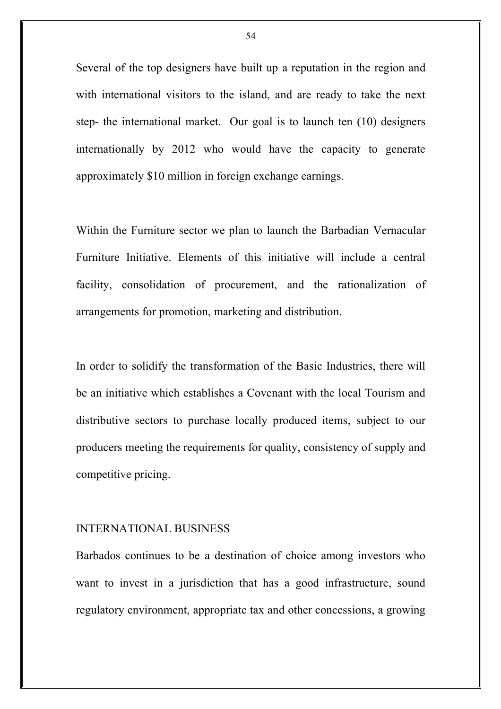Several of the top designers have built up a reputation in the region and with international visitors to the island, and are ready to take the next step- the international market. Our goal is to launch ten (10) designers internationally by 2012 who would have the capacity to generate approximately \$10 million in foreign exchange earnings.

Within the Furniture sector we plan to launch the Barbadian Vernacular Furniture Initiative. Elements of this initiative will include a central facility, consolidation of procurement, and the rationalization of arrangements for promotion, marketing and distribution.

In order to solidify the transformation of the Basic Industries, there will be an initiative which establishes a Covenant with the local Tourism and distributive sectors to purchase locally produced items, subject to our producers meeting the requirements for quality, consistency of supply and competitive pricing.

### INTERNATIONAL BUSINESS

Barbados continues to be a destination of choice among investors who want to invest in a jurisdiction that has a good infrastructure, sound regulatory environment, appropriate tax and other concessions, a growing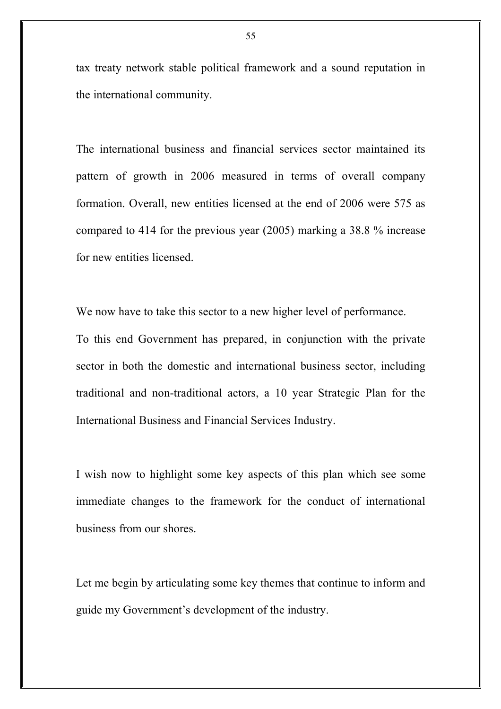tax treaty network stable political framework and a sound reputation in the international community.

The international business and financial services sector maintained its pattern of growth in 2006 measured in terms of overall company formation. Overall, new entities licensed at the end of 2006 were 575 as compared to 414 for the previous year (2005) marking a 38.8 % increase for new entities licensed.

We now have to take this sector to a new higher level of performance.

To this end Government has prepared, in conjunction with the private sector in both the domestic and international business sector, including traditional and non-traditional actors, a 10 year Strategic Plan for the International Business and Financial Services Industry.

I wish now to highlight some key aspects of this plan which see some immediate changes to the framework for the conduct of international business from our shores.

Let me begin by articulating some key themes that continue to inform and guide my Government's development of the industry.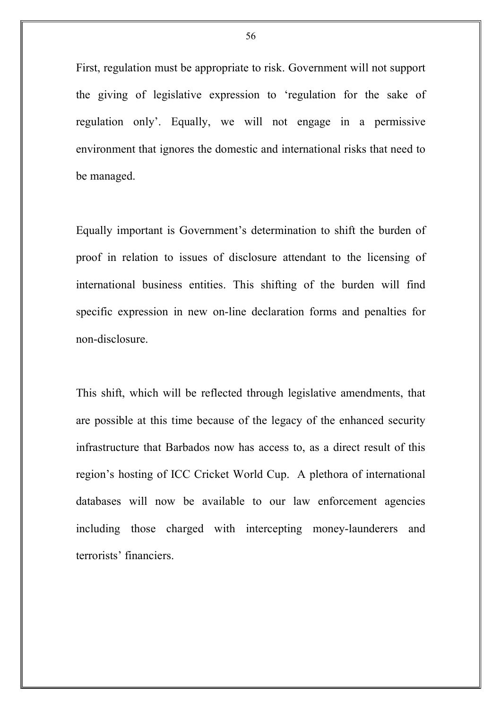First, regulation must be appropriate to risk. Government will not support the giving of legislative expression to 'regulation for the sake of regulation only'. Equally, we will not engage in a permissive environment that ignores the domestic and international risks that need to be managed.

Equally important is Government's determination to shift the burden of proof in relation to issues of disclosure attendant to the licensing of international business entities. This shifting of the burden will find specific expression in new on-line declaration forms and penalties for non-disclosure.

This shift, which will be reflected through legislative amendments, that are possible at this time because of the legacy of the enhanced security infrastructure that Barbados now has access to, as a direct result of this region's hosting of ICC Cricket World Cup. A plethora of international databases will now be available to our law enforcement agencies including those charged with intercepting money-launderers and terrorists' financiers.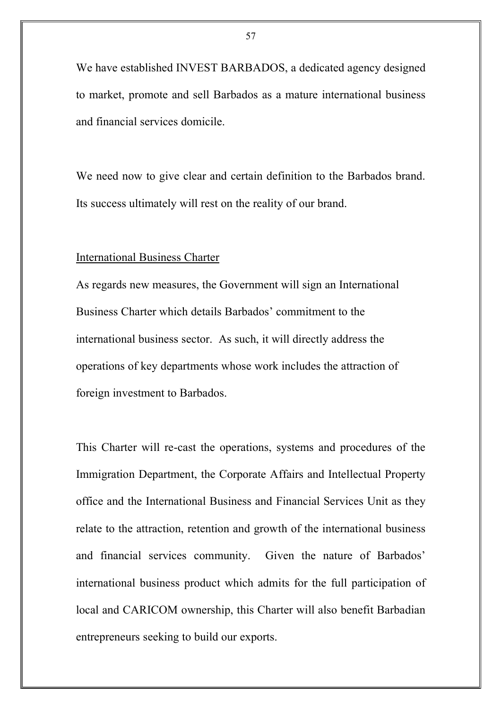We have established INVEST BARBADOS, a dedicated agency designed to market, promote and sell Barbados as a mature international business and financial services domicile.

We need now to give clear and certain definition to the Barbados brand. Its success ultimately will rest on the reality of our brand.

#### International Business Charter

As regards new measures, the Government will sign an International Business Charter which details Barbados' commitment to the international business sector. As such, it will directly address the operations of key departments whose work includes the attraction of foreign investment to Barbados.

This Charter will re-cast the operations, systems and procedures of the Immigration Department, the Corporate Affairs and Intellectual Property office and the International Business and Financial Services Unit as they relate to the attraction, retention and growth of the international business and financial services community. Given the nature of Barbados' international business product which admits for the full participation of local and CARICOM ownership, this Charter will also benefit Barbadian entrepreneurs seeking to build our exports.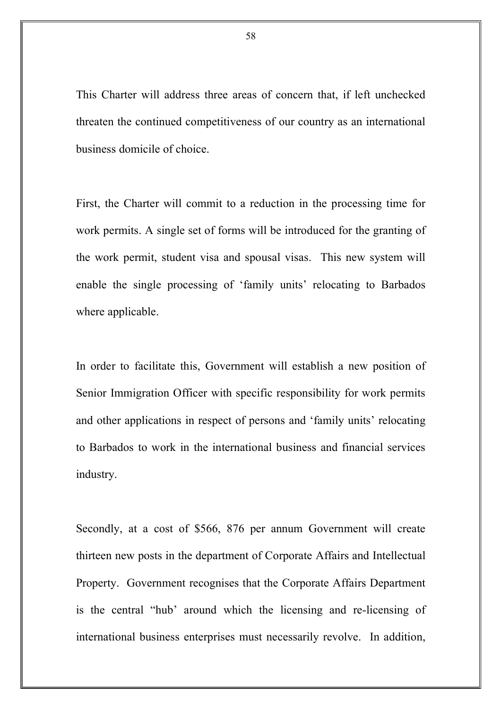This Charter will address three areas of concern that, if left unchecked threaten the continued competitiveness of our country as an international business domicile of choice.

First, the Charter will commit to a reduction in the processing time for work permits. A single set of forms will be introduced for the granting of the work permit, student visa and spousal visas. This new system will enable the single processing of 'family units' relocating to Barbados where applicable.

In order to facilitate this, Government will establish a new position of Senior Immigration Officer with specific responsibility for work permits and other applications in respect of persons and 'family units' relocating to Barbados to work in the international business and financial services industry.

Secondly, at a cost of \$566, 876 per annum Government will create thirteen new posts in the department of Corporate Affairs and Intellectual Property. Government recognises that the Corporate Affairs Department is the central "hub' around which the licensing and re-licensing of international business enterprises must necessarily revolve. In addition,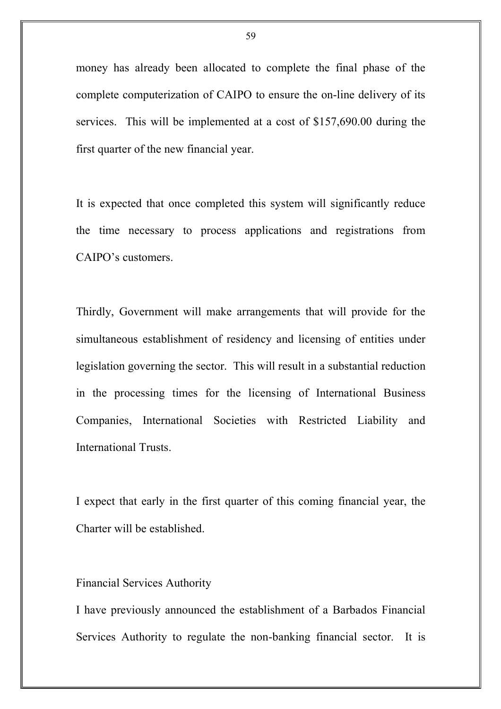money has already been allocated to complete the final phase of the complete computerization of CAIPO to ensure the on-line delivery of its services. This will be implemented at a cost of \$157,690.00 during the first quarter of the new financial year.

It is expected that once completed this system will significantly reduce the time necessary to process applications and registrations from CAIPO's customers.

Thirdly, Government will make arrangements that will provide for the simultaneous establishment of residency and licensing of entities under legislation governing the sector. This will result in a substantial reduction in the processing times for the licensing of International Business Companies, International Societies with Restricted Liability and International Trusts.

I expect that early in the first quarter of this coming financial year, the Charter will be established.

#### Financial Services Authority

I have previously announced the establishment of a Barbados Financial Services Authority to regulate the non-banking financial sector. It is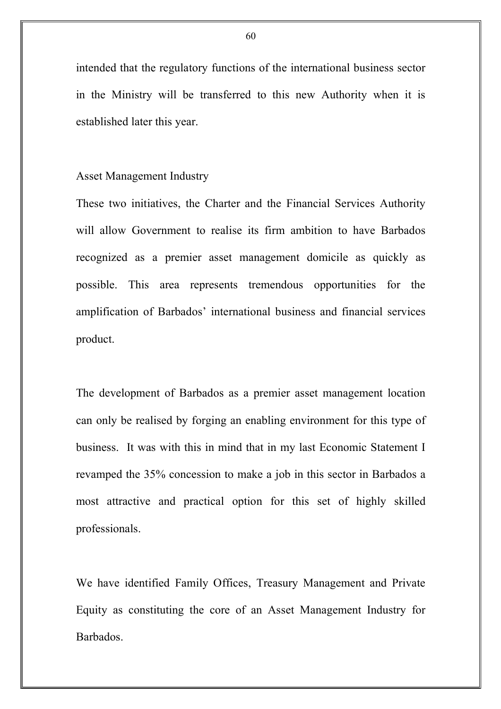intended that the regulatory functions of the international business sector in the Ministry will be transferred to this new Authority when it is established later this year.

# Asset Management Industry

These two initiatives, the Charter and the Financial Services Authority will allow Government to realise its firm ambition to have Barbados recognized as a premier asset management domicile as quickly as possible. This area represents tremendous opportunities for the amplification of Barbados' international business and financial services product.

The development of Barbados as a premier asset management location can only be realised by forging an enabling environment for this type of business. It was with this in mind that in my last Economic Statement I revamped the 35% concession to make a job in this sector in Barbados a most attractive and practical option for this set of highly skilled professionals.

We have identified Family Offices, Treasury Management and Private Equity as constituting the core of an Asset Management Industry for Barbados.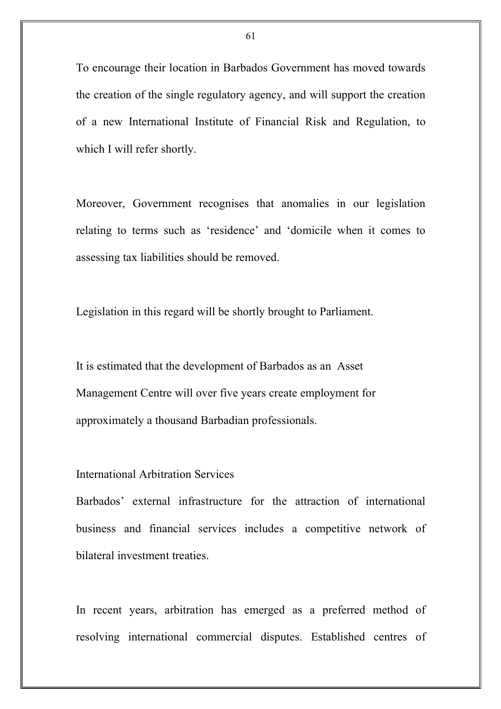To encourage their location in Barbados Government has moved towards the creation of the single regulatory agency, and will support the creation of a new International Institute of Financial Risk and Regulation, to which I will refer shortly.

Moreover, Government recognises that anomalies in our legislation relating to terms such as 'residence' and 'domicile when it comes to assessing tax liabilities should be removed.

Legislation in this regard will be shortly brought to Parliament.

It is estimated that the development of Barbados as an Asset Management Centre will over five years create employment for approximately a thousand Barbadian professionals.

### International Arbitration Services

Barbados' external infrastructure for the attraction of international business and financial services includes a competitive network of bilateral investment treaties.

In recent years, arbitration has emerged as a preferred method of resolving international commercial disputes. Established centres of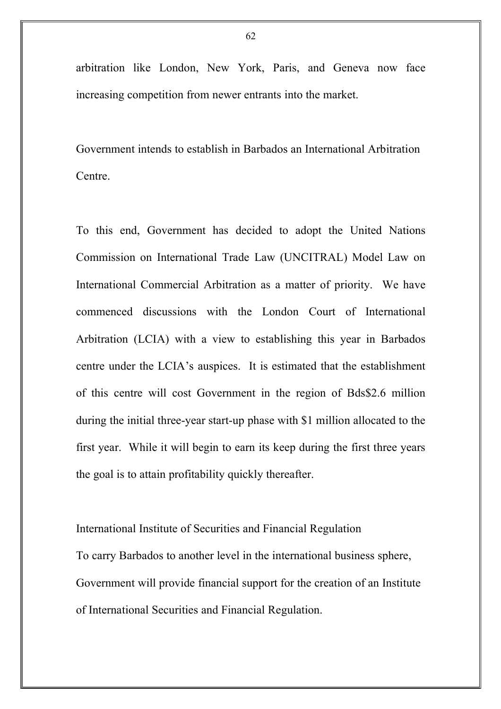arbitration like London, New York, Paris, and Geneva now face increasing competition from newer entrants into the market.

Government intends to establish in Barbados an International Arbitration Centre.

To this end, Government has decided to adopt the United Nations Commission on International Trade Law (UNCITRAL) Model Law on International Commercial Arbitration as a matter of priority. We have commenced discussions with the London Court of International Arbitration (LCIA) with a view to establishing this year in Barbados centre under the LCIA's auspices. It is estimated that the establishment of this centre will cost Government in the region of Bds\$2.6 million during the initial three-year start-up phase with \$1 million allocated to the first year. While it will begin to earn its keep during the first three years the goal is to attain profitability quickly thereafter.

International Institute of Securities and Financial Regulation To carry Barbados to another level in the international business sphere, Government will provide financial support for the creation of an Institute of International Securities and Financial Regulation.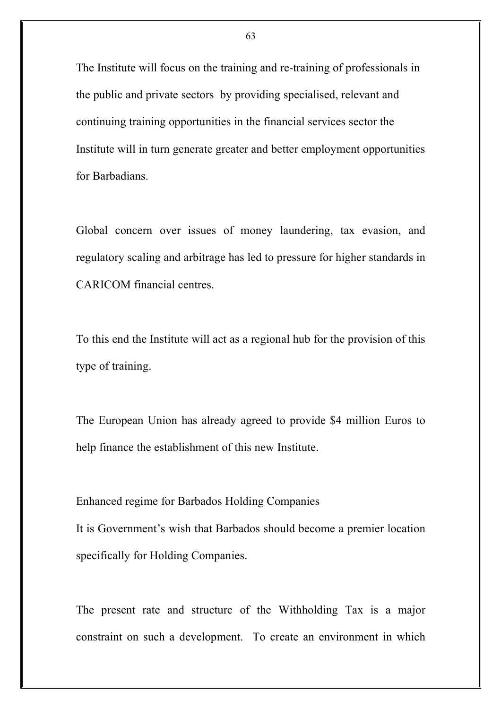The Institute will focus on the training and re-training of professionals in the public and private sectors by providing specialised, relevant and continuing training opportunities in the financial services sector the Institute will in turn generate greater and better employment opportunities for Barbadians.

Global concern over issues of money laundering, tax evasion, and regulatory scaling and arbitrage has led to pressure for higher standards in CARICOM financial centres.

To this end the Institute will act as a regional hub for the provision of this type of training.

The European Union has already agreed to provide \$4 million Euros to help finance the establishment of this new Institute.

Enhanced regime for Barbados Holding Companies

It is Government's wish that Barbados should become a premier location specifically for Holding Companies.

The present rate and structure of the Withholding Tax is a major constraint on such a development. To create an environment in which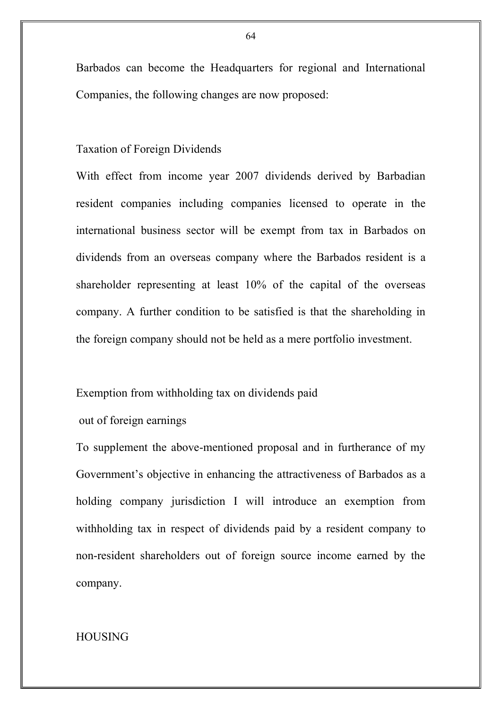Barbados can become the Headquarters for regional and International Companies, the following changes are now proposed:

### Taxation of Foreign Dividends

With effect from income year 2007 dividends derived by Barbadian resident companies including companies licensed to operate in the international business sector will be exempt from tax in Barbados on dividends from an overseas company where the Barbados resident is a shareholder representing at least 10% of the capital of the overseas company. A further condition to be satisfied is that the shareholding in the foreign company should not be held as a mere portfolio investment.

### Exemption from withholding tax on dividends paid

# out of foreign earnings

To supplement the above-mentioned proposal and in furtherance of my Government's objective in enhancing the attractiveness of Barbados as a holding company jurisdiction I will introduce an exemption from withholding tax in respect of dividends paid by a resident company to non-resident shareholders out of foreign source income earned by the company.

# HOUSING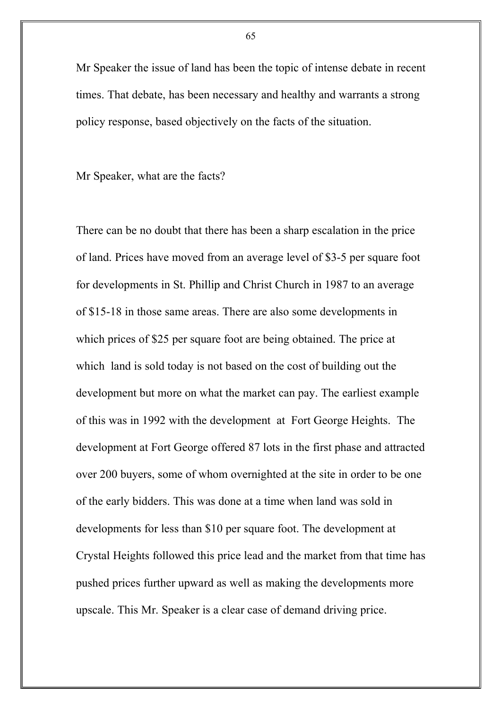Mr Speaker the issue of land has been the topic of intense debate in recent times. That debate, has been necessary and healthy and warrants a strong policy response, based objectively on the facts of the situation.

Mr Speaker, what are the facts?

There can be no doubt that there has been a sharp escalation in the price of land. Prices have moved from an average level of \$3-5 per square foot for developments in St. Phillip and Christ Church in 1987 to an average of \$15-18 in those same areas. There are also some developments in which prices of \$25 per square foot are being obtained. The price at which land is sold today is not based on the cost of building out the development but more on what the market can pay. The earliest example of this was in 1992 with the development at Fort George Heights. The development at Fort George offered 87 lots in the first phase and attracted over 200 buyers, some of whom overnighted at the site in order to be one of the early bidders. This was done at a time when land was sold in developments for less than \$10 per square foot. The development at Crystal Heights followed this price lead and the market from that time has pushed prices further upward as well as making the developments more upscale. This Mr. Speaker is a clear case of demand driving price.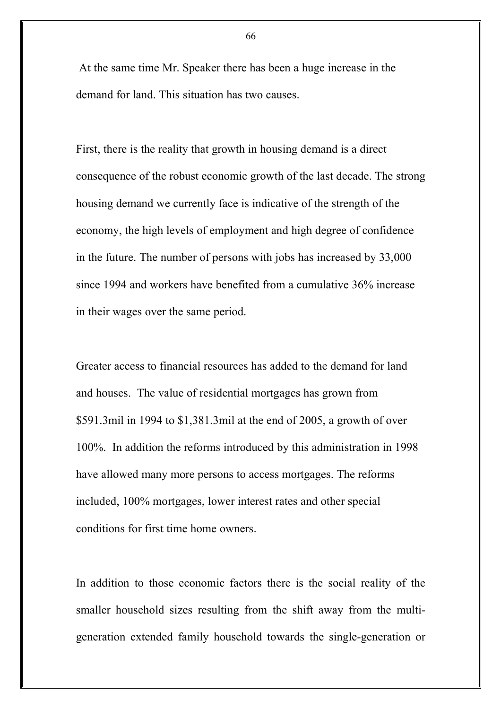At the same time Mr. Speaker there has been a huge increase in the demand for land. This situation has two causes.

First, there is the reality that growth in housing demand is a direct consequence of the robust economic growth of the last decade. The strong housing demand we currently face is indicative of the strength of the economy, the high levels of employment and high degree of confidence in the future. The number of persons with jobs has increased by 33,000 since 1994 and workers have benefited from a cumulative 36% increase in their wages over the same period.

Greater access to financial resources has added to the demand for land and houses. The value of residential mortgages has grown from \$591.3mil in 1994 to \$1,381.3mil at the end of 2005, a growth of over 100%. In addition the reforms introduced by this administration in 1998 have allowed many more persons to access mortgages. The reforms included, 100% mortgages, lower interest rates and other special conditions for first time home owners.

In addition to those economic factors there is the social reality of the smaller household sizes resulting from the shift away from the multigeneration extended family household towards the single-generation or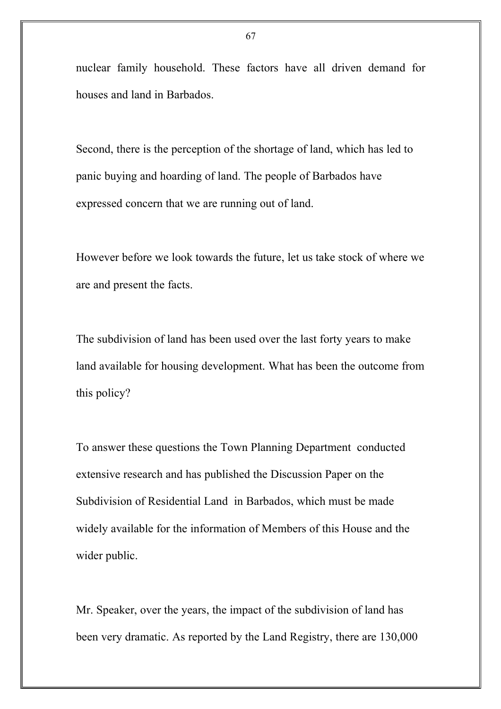nuclear family household. These factors have all driven demand for houses and land in Barbados.

Second, there is the perception of the shortage of land, which has led to panic buying and hoarding of land. The people of Barbados have expressed concern that we are running out of land.

However before we look towards the future, let us take stock of where we are and present the facts.

The subdivision of land has been used over the last forty years to make land available for housing development. What has been the outcome from this policy?

To answer these questions the Town Planning Department conducted extensive research and has published the Discussion Paper on the Subdivision of Residential Land in Barbados, which must be made widely available for the information of Members of this House and the wider public.

Mr. Speaker, over the years, the impact of the subdivision of land has been very dramatic. As reported by the Land Registry, there are 130,000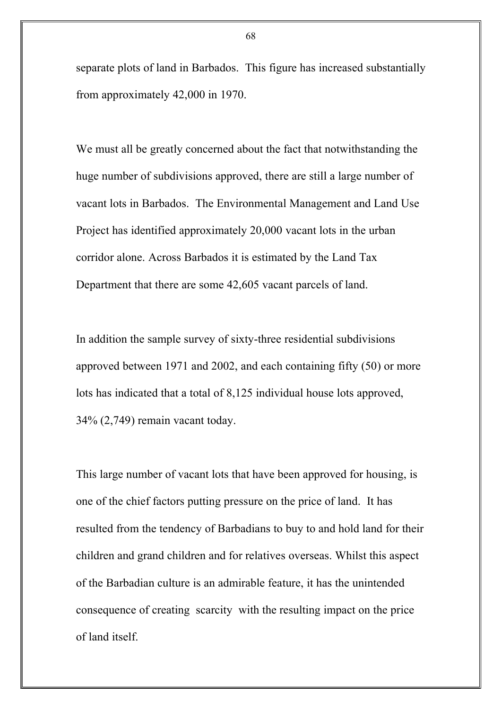separate plots of land in Barbados. This figure has increased substantially from approximately 42,000 in 1970.

We must all be greatly concerned about the fact that notwithstanding the huge number of subdivisions approved, there are still a large number of vacant lots in Barbados. The Environmental Management and Land Use Project has identified approximately 20,000 vacant lots in the urban corridor alone. Across Barbados it is estimated by the Land Tax Department that there are some 42,605 vacant parcels of land.

In addition the sample survey of sixty-three residential subdivisions approved between 1971 and 2002, and each containing fifty (50) or more lots has indicated that a total of 8,125 individual house lots approved, 34% (2,749) remain vacant today.

This large number of vacant lots that have been approved for housing, is one of the chief factors putting pressure on the price of land. It has resulted from the tendency of Barbadians to buy to and hold land for their children and grand children and for relatives overseas. Whilst this aspect of the Barbadian culture is an admirable feature, it has the unintended consequence of creating scarcity with the resulting impact on the price of land itself.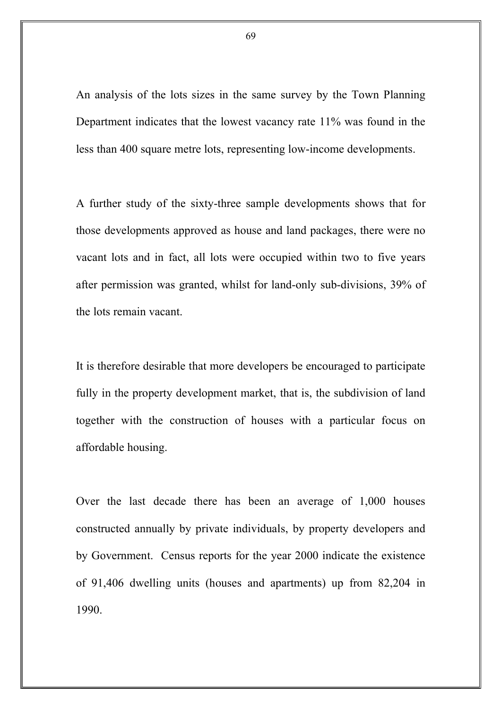An analysis of the lots sizes in the same survey by the Town Planning Department indicates that the lowest vacancy rate 11% was found in the less than 400 square metre lots, representing low-income developments.

A further study of the sixty-three sample developments shows that for those developments approved as house and land packages, there were no vacant lots and in fact, all lots were occupied within two to five years after permission was granted, whilst for land-only sub-divisions, 39% of the lots remain vacant.

It is therefore desirable that more developers be encouraged to participate fully in the property development market, that is, the subdivision of land together with the construction of houses with a particular focus on affordable housing.

Over the last decade there has been an average of 1,000 houses constructed annually by private individuals, by property developers and by Government. Census reports for the year 2000 indicate the existence of 91,406 dwelling units (houses and apartments) up from 82,204 in 1990.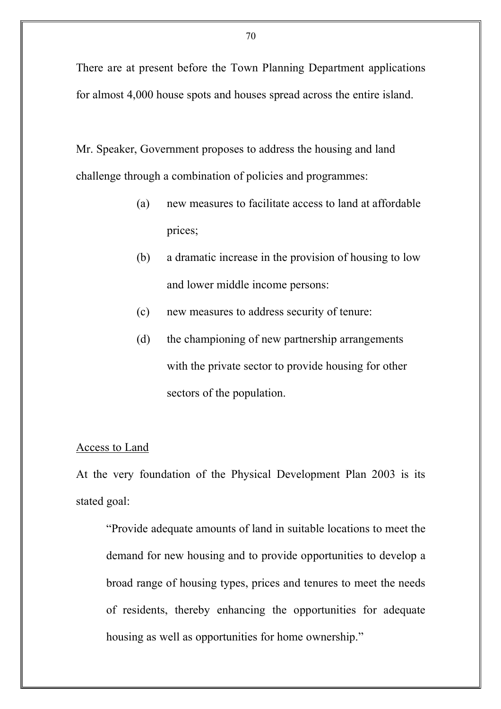There are at present before the Town Planning Department applications for almost 4,000 house spots and houses spread across the entire island.

Mr. Speaker, Government proposes to address the housing and land challenge through a combination of policies and programmes:

- (a) new measures to facilitate access to land at affordable prices;
- (b) a dramatic increase in the provision of housing to low and lower middle income persons:
- (c) new measures to address security of tenure:
- (d) the championing of new partnership arrangements with the private sector to provide housing for other sectors of the population.

### Access to Land

At the very foundation of the Physical Development Plan 2003 is its stated goal:

"Provide adequate amounts of land in suitable locations to meet the demand for new housing and to provide opportunities to develop a broad range of housing types, prices and tenures to meet the needs of residents, thereby enhancing the opportunities for adequate housing as well as opportunities for home ownership."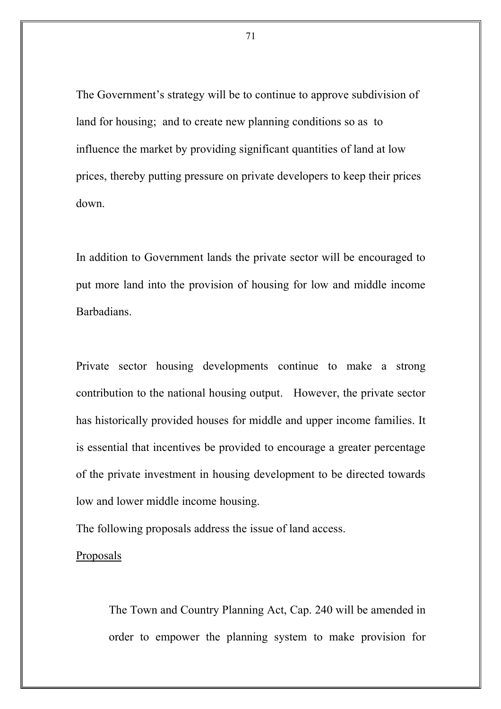The Government's strategy will be to continue to approve subdivision of land for housing; and to create new planning conditions so as to influence the market by providing significant quantities of land at low prices, thereby putting pressure on private developers to keep their prices down.

In addition to Government lands the private sector will be encouraged to put more land into the provision of housing for low and middle income Barbadians.

Private sector housing developments continue to make a strong contribution to the national housing output. However, the private sector has historically provided houses for middle and upper income families. It is essential that incentives be provided to encourage a greater percentage of the private investment in housing development to be directed towards low and lower middle income housing.

The following proposals address the issue of land access.

#### Proposals

The Town and Country Planning Act, Cap. 240 will be amended in order to empower the planning system to make provision for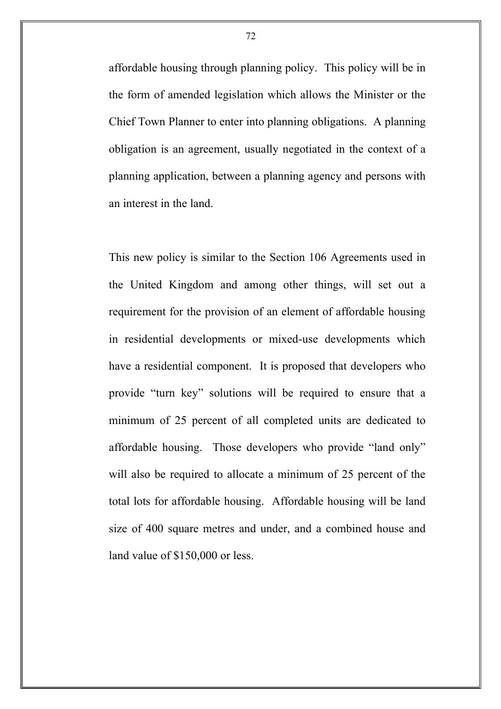affordable housing through planning policy. This policy will be in the form of amended legislation which allows the Minister or the Chief Town Planner to enter into planning obligations. A planning obligation is an agreement, usually negotiated in the context of a planning application, between a planning agency and persons with an interest in the land.

This new policy is similar to the Section 106 Agreements used in the United Kingdom and among other things, will set out a requirement for the provision of an element of affordable housing in residential developments or mixed-use developments which have a residential component. It is proposed that developers who provide "turn key" solutions will be required to ensure that a minimum of 25 percent of all completed units are dedicated to affordable housing. Those developers who provide "land only" will also be required to allocate a minimum of 25 percent of the total lots for affordable housing. Affordable housing will be land size of 400 square metres and under, and a combined house and land value of \$150,000 or less.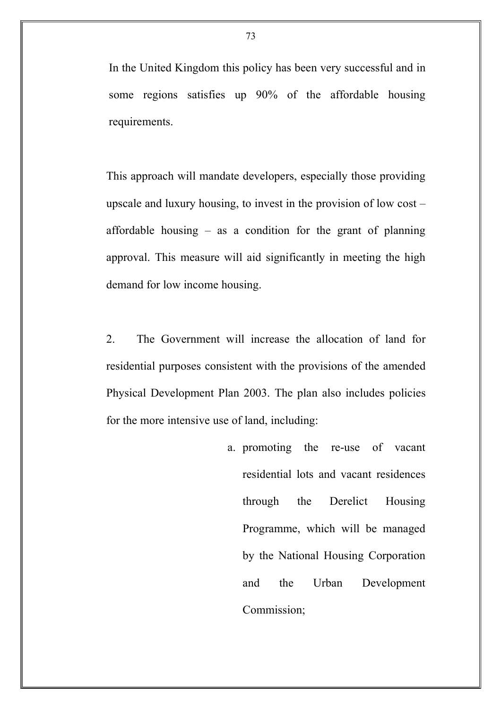In the United Kingdom this policy has been very successful and in some regions satisfies up 90% of the affordable housing requirements.

This approach will mandate developers, especially those providing upscale and luxury housing, to invest in the provision of low cost – affordable housing  $-$  as a condition for the grant of planning approval. This measure will aid significantly in meeting the high demand for low income housing.

2. The Government will increase the allocation of land for residential purposes consistent with the provisions of the amended Physical Development Plan 2003. The plan also includes policies for the more intensive use of land, including:

> a. promoting the re-use of vacant residential lots and vacant residences through the Derelict Housing Programme, which will be managed by the National Housing Corporation and the Urban Development Commission;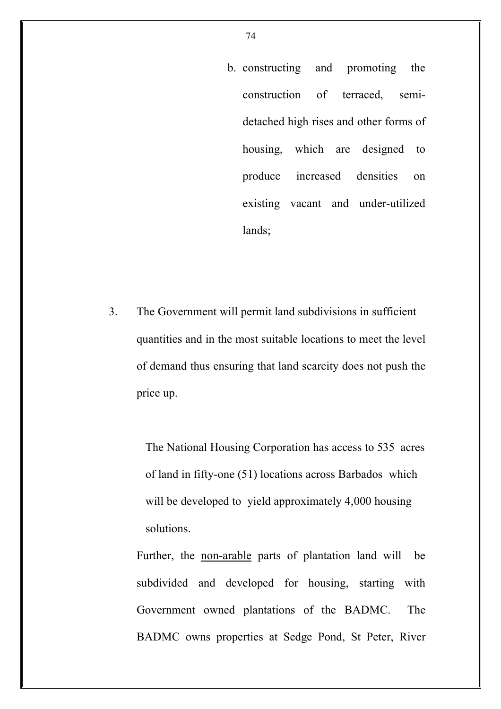b. constructing and promoting the construction of terraced, semidetached high rises and other forms of housing, which are designed to produce increased densities on existing vacant and under-utilized lands;

3. The Government will permit land subdivisions in sufficient quantities and in the most suitable locations to meet the level of demand thus ensuring that land scarcity does not push the price up.

> The National Housing Corporation has access to 535 acres of land in fifty-one (51) locations across Barbados which will be developed to yield approximately 4,000 housing solutions.

Further, the non-arable parts of plantation land will be subdivided and developed for housing, starting with Government owned plantations of the BADMC. The BADMC owns properties at Sedge Pond, St Peter, River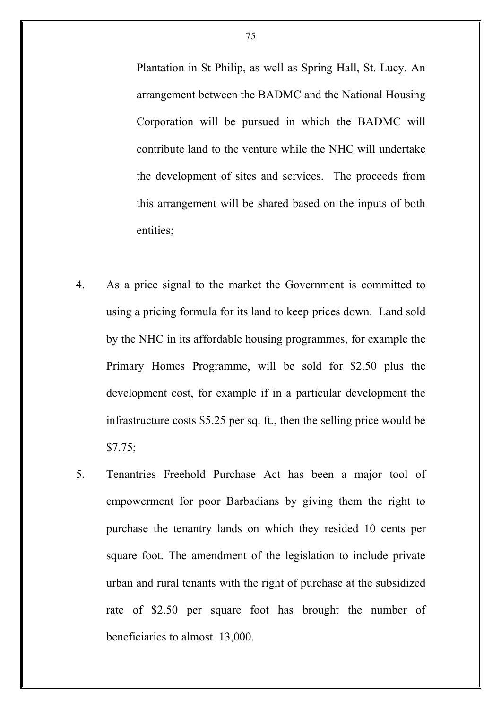Plantation in St Philip, as well as Spring Hall, St. Lucy. An arrangement between the BADMC and the National Housing Corporation will be pursued in which the BADMC will contribute land to the venture while the NHC will undertake the development of sites and services. The proceeds from this arrangement will be shared based on the inputs of both entities;

- 4. As a price signal to the market the Government is committed to using a pricing formula for its land to keep prices down. Land sold by the NHC in its affordable housing programmes, for example the Primary Homes Programme, will be sold for \$2.50 plus the development cost, for example if in a particular development the infrastructure costs \$5.25 per sq. ft., then the selling price would be \$7.75;
- 5. Tenantries Freehold Purchase Act has been a major tool of empowerment for poor Barbadians by giving them the right to purchase the tenantry lands on which they resided 10 cents per square foot. The amendment of the legislation to include private urban and rural tenants with the right of purchase at the subsidized rate of \$2.50 per square foot has brought the number of beneficiaries to almost 13,000.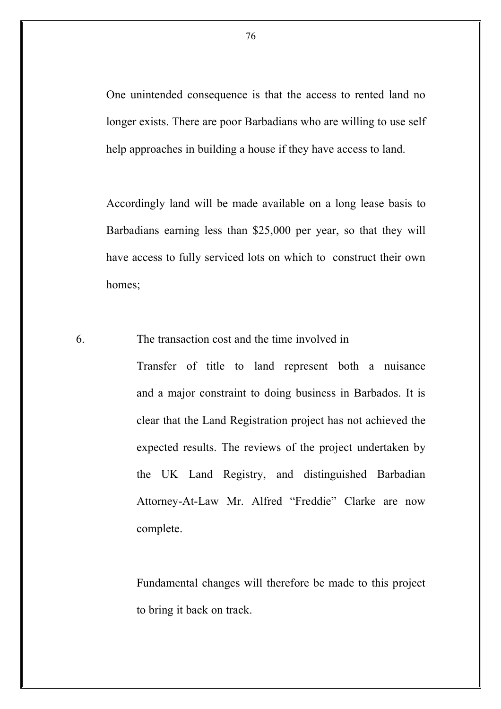One unintended consequence is that the access to rented land no longer exists. There are poor Barbadians who are willing to use self help approaches in building a house if they have access to land.

Accordingly land will be made available on a long lease basis to Barbadians earning less than \$25,000 per year, so that they will have access to fully serviced lots on which to construct their own homes;

6. The transaction cost and the time involved in

Transfer of title to land represent both a nuisance and a major constraint to doing business in Barbados. It is clear that the Land Registration project has not achieved the expected results. The reviews of the project undertaken by the UK Land Registry, and distinguished Barbadian Attorney-At-Law Mr. Alfred "Freddie" Clarke are now complete.

Fundamental changes will therefore be made to this project to bring it back on track.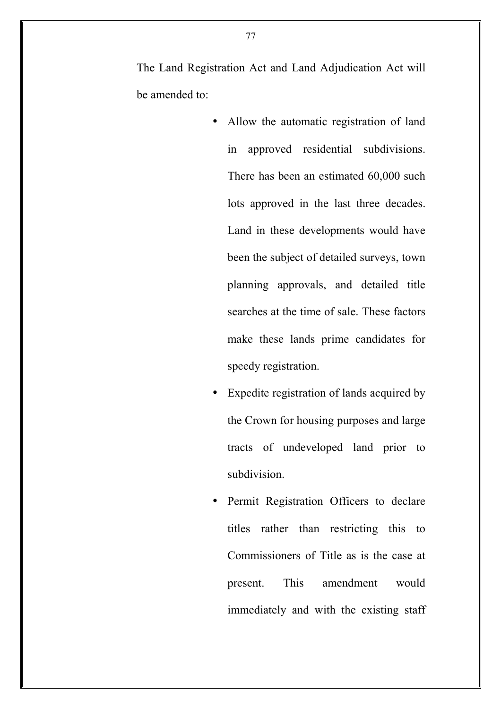The Land Registration Act and Land Adjudication Act will be amended to:

- Allow the automatic registration of land in approved residential subdivisions. There has been an estimated 60,000 such lots approved in the last three decades. Land in these developments would have been the subject of detailed surveys, town planning approvals, and detailed title searches at the time of sale. These factors make these lands prime candidates for speedy registration.
- Expedite registration of lands acquired by the Crown for housing purposes and large tracts of undeveloped land prior to subdivision.
- Permit Registration Officers to declare titles rather than restricting this to Commissioners of Title as is the case at present. This amendment would immediately and with the existing staff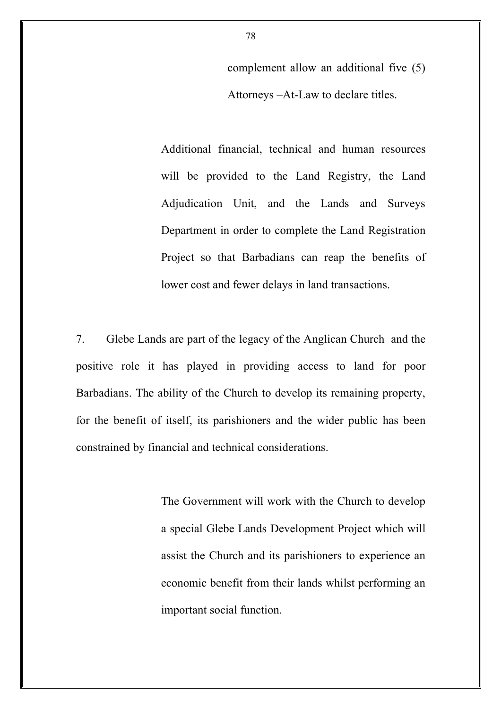complement allow an additional five (5) Attorneys –At-Law to declare titles.

Additional financial, technical and human resources will be provided to the Land Registry, the Land Adjudication Unit, and the Lands and Surveys Department in order to complete the Land Registration Project so that Barbadians can reap the benefits of lower cost and fewer delays in land transactions.

7. Glebe Lands are part of the legacy of the Anglican Church and the positive role it has played in providing access to land for poor Barbadians. The ability of the Church to develop its remaining property, for the benefit of itself, its parishioners and the wider public has been constrained by financial and technical considerations.

> The Government will work with the Church to develop a special Glebe Lands Development Project which will assist the Church and its parishioners to experience an economic benefit from their lands whilst performing an important social function.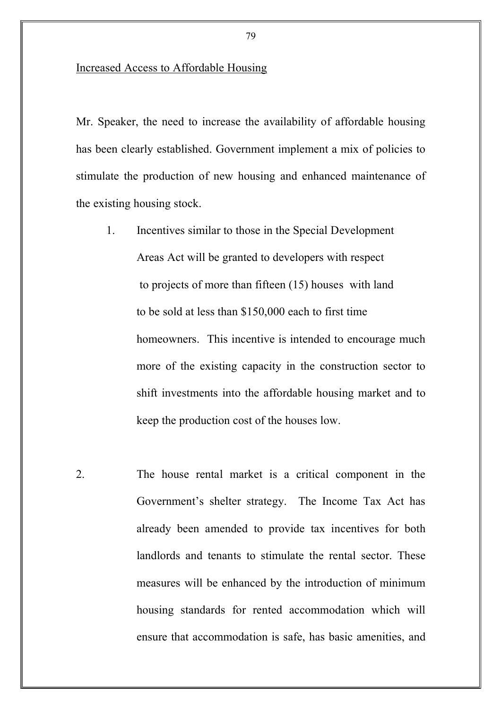### Increased Access to Affordable Housing

Mr. Speaker, the need to increase the availability of affordable housing has been clearly established. Government implement a mix of policies to stimulate the production of new housing and enhanced maintenance of the existing housing stock.

- 1. Incentives similar to those in the Special Development Areas Act will be granted to developers with respect to projects of more than fifteen (15) houses with land to be sold at less than \$150,000 each to first time homeowners. This incentive is intended to encourage much more of the existing capacity in the construction sector to shift investments into the affordable housing market and to keep the production cost of the houses low.
- 2. The house rental market is a critical component in the Government's shelter strategy. The Income Tax Act has already been amended to provide tax incentives for both landlords and tenants to stimulate the rental sector. These measures will be enhanced by the introduction of minimum housing standards for rented accommodation which will ensure that accommodation is safe, has basic amenities, and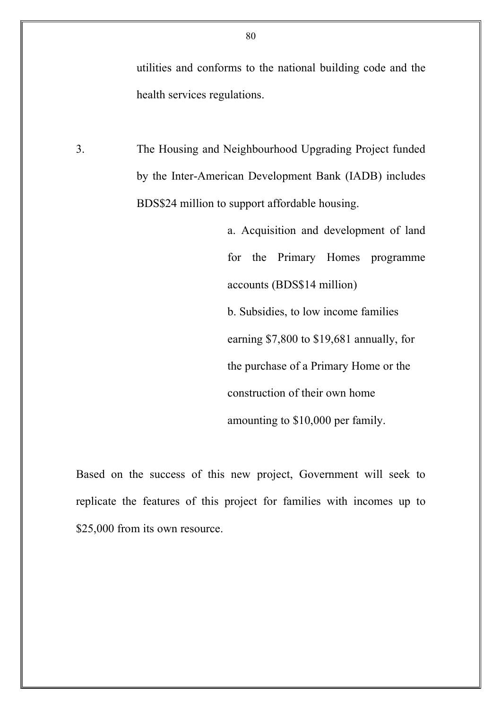utilities and conforms to the national building code and the health services regulations.

3. The Housing and Neighbourhood Upgrading Project funded by the Inter-American Development Bank (IADB) includes BDS\$24 million to support affordable housing.

> a. Acquisition and development of land for the Primary Homes programme accounts (BDS\$14 million) b. Subsidies, to low income families earning \$7,800 to \$19,681 annually, for the purchase of a Primary Home or the construction of their own home amounting to \$10,000 per family.

Based on the success of this new project, Government will seek to replicate the features of this project for families with incomes up to \$25,000 from its own resource.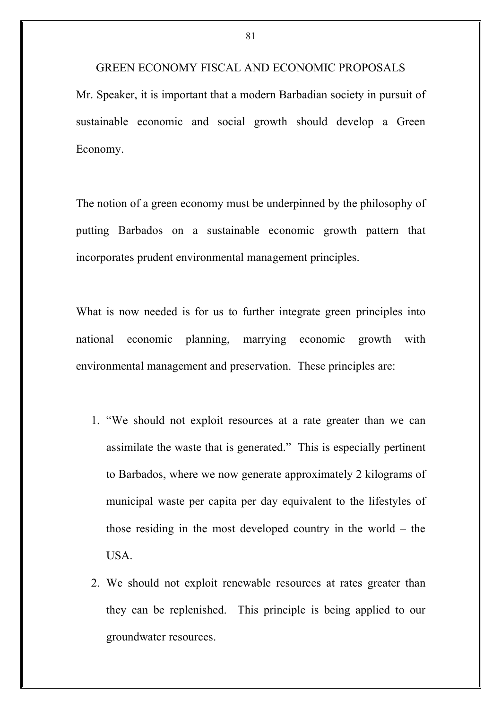GREEN ECONOMY FISCAL AND ECONOMIC PROPOSALS Mr. Speaker, it is important that a modern Barbadian society in pursuit of sustainable economic and social growth should develop a Green Economy.

The notion of a green economy must be underpinned by the philosophy of putting Barbados on a sustainable economic growth pattern that incorporates prudent environmental management principles.

What is now needed is for us to further integrate green principles into national economic planning, marrying economic growth with environmental management and preservation. These principles are:

- 1. "We should not exploit resources at a rate greater than we can assimilate the waste that is generated." This is especially pertinent to Barbados, where we now generate approximately 2 kilograms of municipal waste per capita per day equivalent to the lifestyles of those residing in the most developed country in the world – the **USA**
- 2. We should not exploit renewable resources at rates greater than they can be replenished. This principle is being applied to our groundwater resources.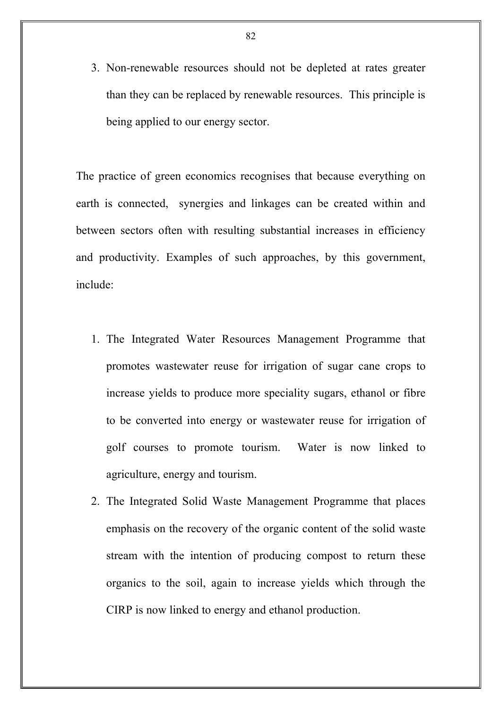3. Non-renewable resources should not be depleted at rates greater than they can be replaced by renewable resources. This principle is being applied to our energy sector.

The practice of green economics recognises that because everything on earth is connected, synergies and linkages can be created within and between sectors often with resulting substantial increases in efficiency and productivity. Examples of such approaches, by this government, include:

- 1. The Integrated Water Resources Management Programme that promotes wastewater reuse for irrigation of sugar cane crops to increase yields to produce more speciality sugars, ethanol or fibre to be converted into energy or wastewater reuse for irrigation of golf courses to promote tourism. Water is now linked to agriculture, energy and tourism.
- 2. The Integrated Solid Waste Management Programme that places emphasis on the recovery of the organic content of the solid waste stream with the intention of producing compost to return these organics to the soil, again to increase yields which through the CIRP is now linked to energy and ethanol production.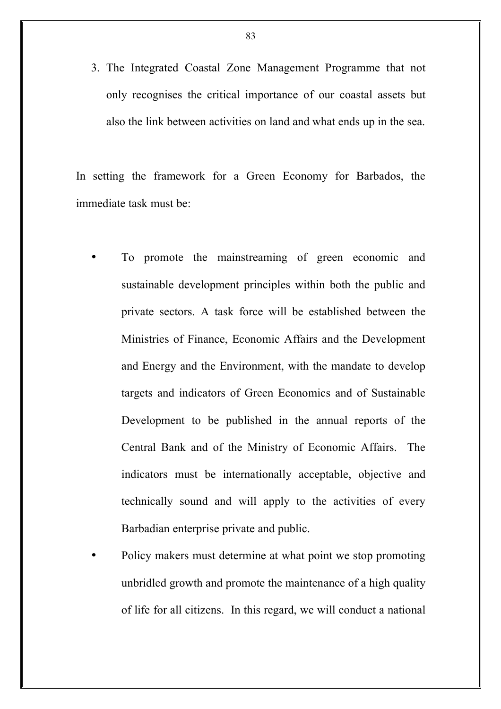3. The Integrated Coastal Zone Management Programme that not only recognises the critical importance of our coastal assets but also the link between activities on land and what ends up in the sea.

In setting the framework for a Green Economy for Barbados, the immediate task must be:

- To promote the mainstreaming of green economic and sustainable development principles within both the public and private sectors. A task force will be established between the Ministries of Finance, Economic Affairs and the Development and Energy and the Environment, with the mandate to develop targets and indicators of Green Economics and of Sustainable Development to be published in the annual reports of the Central Bank and of the Ministry of Economic Affairs. The indicators must be internationally acceptable, objective and technically sound and will apply to the activities of every Barbadian enterprise private and public.
- Policy makers must determine at what point we stop promoting unbridled growth and promote the maintenance of a high quality of life for all citizens. In this regard, we will conduct a national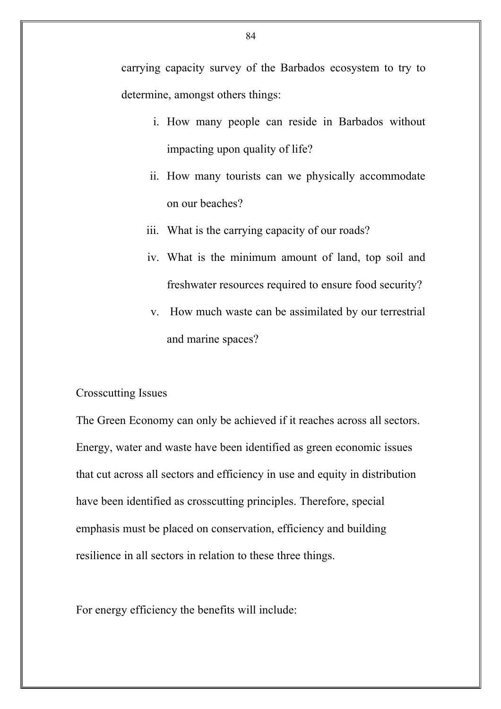carrying capacity survey of the Barbados ecosystem to try to determine, amongst others things:

- i. How many people can reside in Barbados without impacting upon quality of life?
- ii. How many tourists can we physically accommodate on our beaches?
- iii. What is the carrying capacity of our roads?
- iv. What is the minimum amount of land, top soil and freshwater resources required to ensure food security?
- v. How much waste can be assimilated by our terrestrial and marine spaces?

# Crosscutting Issues

The Green Economy can only be achieved if it reaches across all sectors. Energy, water and waste have been identified as green economic issues that cut across all sectors and efficiency in use and equity in distribution have been identified as crosscutting principles. Therefore, special emphasis must be placed on conservation, efficiency and building resilience in all sectors in relation to these three things.

For energy efficiency the benefits will include: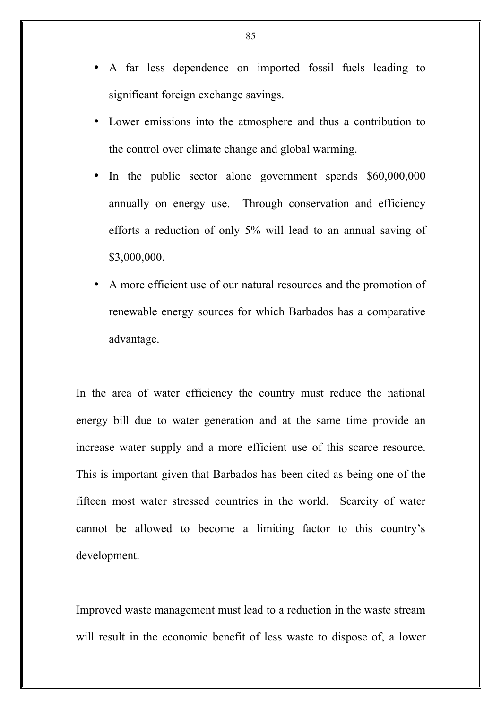- A far less dependence on imported fossil fuels leading to significant foreign exchange savings.
- Lower emissions into the atmosphere and thus a contribution to the control over climate change and global warming.
- In the public sector alone government spends \$60,000,000 annually on energy use. Through conservation and efficiency efforts a reduction of only 5% will lead to an annual saving of \$3,000,000.
- A more efficient use of our natural resources and the promotion of renewable energy sources for which Barbados has a comparative advantage.

In the area of water efficiency the country must reduce the national energy bill due to water generation and at the same time provide an increase water supply and a more efficient use of this scarce resource. This is important given that Barbados has been cited as being one of the fifteen most water stressed countries in the world. Scarcity of water cannot be allowed to become a limiting factor to this country's development.

Improved waste management must lead to a reduction in the waste stream will result in the economic benefit of less waste to dispose of, a lower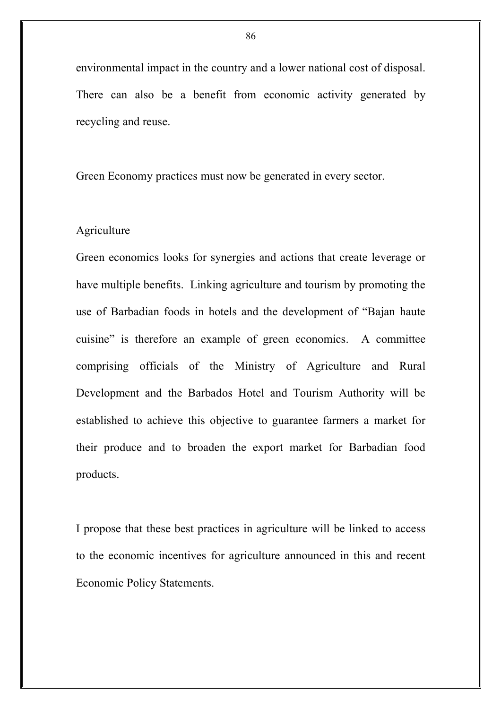environmental impact in the country and a lower national cost of disposal. There can also be a benefit from economic activity generated by recycling and reuse.

Green Economy practices must now be generated in every sector.

# Agriculture

Green economics looks for synergies and actions that create leverage or have multiple benefits. Linking agriculture and tourism by promoting the use of Barbadian foods in hotels and the development of "Bajan haute cuisine" is therefore an example of green economics. A committee comprising officials of the Ministry of Agriculture and Rural Development and the Barbados Hotel and Tourism Authority will be established to achieve this objective to guarantee farmers a market for their produce and to broaden the export market for Barbadian food products.

I propose that these best practices in agriculture will be linked to access to the economic incentives for agriculture announced in this and recent Economic Policy Statements.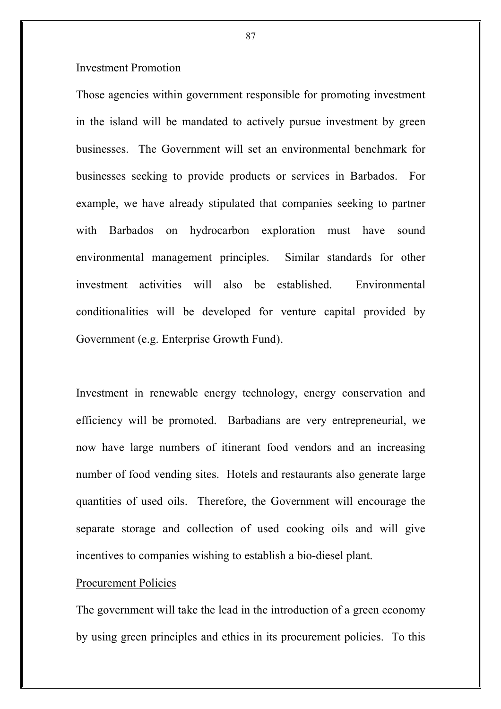### Investment Promotion

Those agencies within government responsible for promoting investment in the island will be mandated to actively pursue investment by green businesses. The Government will set an environmental benchmark for businesses seeking to provide products or services in Barbados. For example, we have already stipulated that companies seeking to partner with Barbados on hydrocarbon exploration must have sound environmental management principles. Similar standards for other investment activities will also be established. Environmental conditionalities will be developed for venture capital provided by Government (e.g. Enterprise Growth Fund).

Investment in renewable energy technology, energy conservation and efficiency will be promoted. Barbadians are very entrepreneurial, we now have large numbers of itinerant food vendors and an increasing number of food vending sites. Hotels and restaurants also generate large quantities of used oils. Therefore, the Government will encourage the separate storage and collection of used cooking oils and will give incentives to companies wishing to establish a bio-diesel plant.

### Procurement Policies

The government will take the lead in the introduction of a green economy by using green principles and ethics in its procurement policies. To this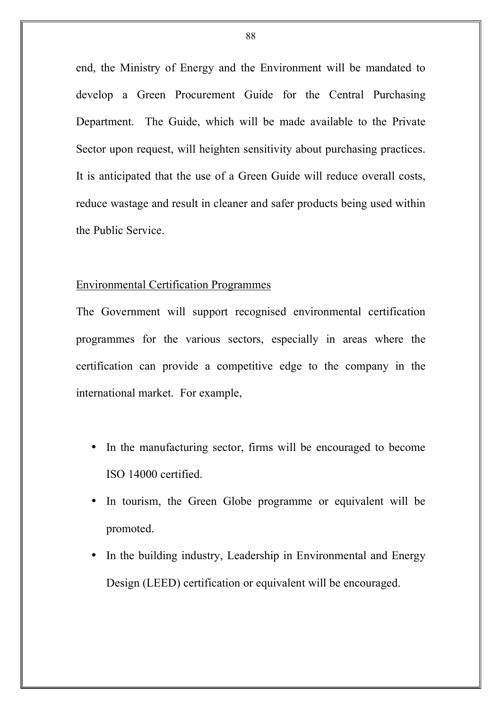end, the Ministry of Energy and the Environment will be mandated to develop a Green Procurement Guide for the Central Purchasing Department. The Guide, which will be made available to the Private Sector upon request, will heighten sensitivity about purchasing practices. It is anticipated that the use of a Green Guide will reduce overall costs, reduce wastage and result in cleaner and safer products being used within the Public Service.

### Environmental Certification Programmes

The Government will support recognised environmental certification programmes for the various sectors, especially in areas where the certification can provide a competitive edge to the company in the international market. For example,

- In the manufacturing sector, firms will be encouraged to become ISO 14000 certified.
- In tourism, the Green Globe programme or equivalent will be promoted.
- In the building industry, Leadership in Environmental and Energy Design (LEED) certification or equivalent will be encouraged.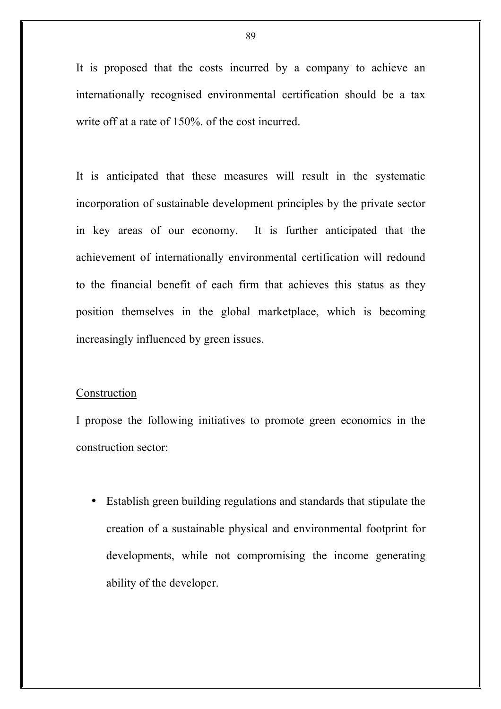It is proposed that the costs incurred by a company to achieve an internationally recognised environmental certification should be a tax write off at a rate of 150%. of the cost incurred.

It is anticipated that these measures will result in the systematic incorporation of sustainable development principles by the private sector in key areas of our economy. It is further anticipated that the achievement of internationally environmental certification will redound to the financial benefit of each firm that achieves this status as they position themselves in the global marketplace, which is becoming increasingly influenced by green issues.

### Construction

I propose the following initiatives to promote green economics in the construction sector:

• Establish green building regulations and standards that stipulate the creation of a sustainable physical and environmental footprint for developments, while not compromising the income generating ability of the developer.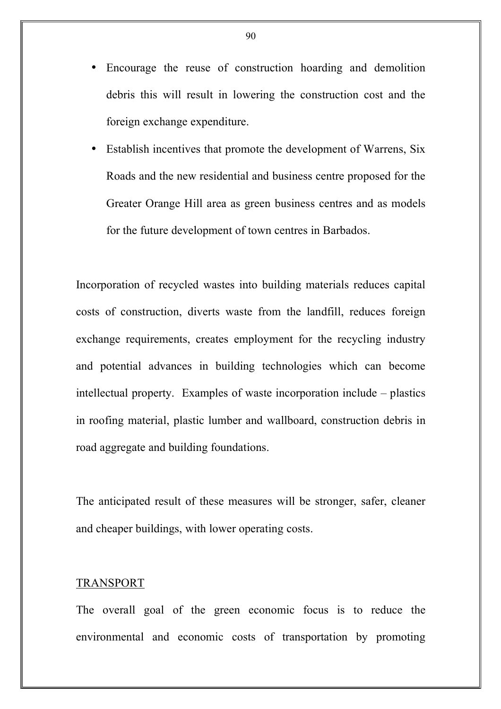- Encourage the reuse of construction hoarding and demolition debris this will result in lowering the construction cost and the foreign exchange expenditure.
- Establish incentives that promote the development of Warrens, Six Roads and the new residential and business centre proposed for the Greater Orange Hill area as green business centres and as models for the future development of town centres in Barbados.

Incorporation of recycled wastes into building materials reduces capital costs of construction, diverts waste from the landfill, reduces foreign exchange requirements, creates employment for the recycling industry and potential advances in building technologies which can become intellectual property. Examples of waste incorporation include – plastics in roofing material, plastic lumber and wallboard, construction debris in road aggregate and building foundations.

The anticipated result of these measures will be stronger, safer, cleaner and cheaper buildings, with lower operating costs.

### TRANSPORT

The overall goal of the green economic focus is to reduce the environmental and economic costs of transportation by promoting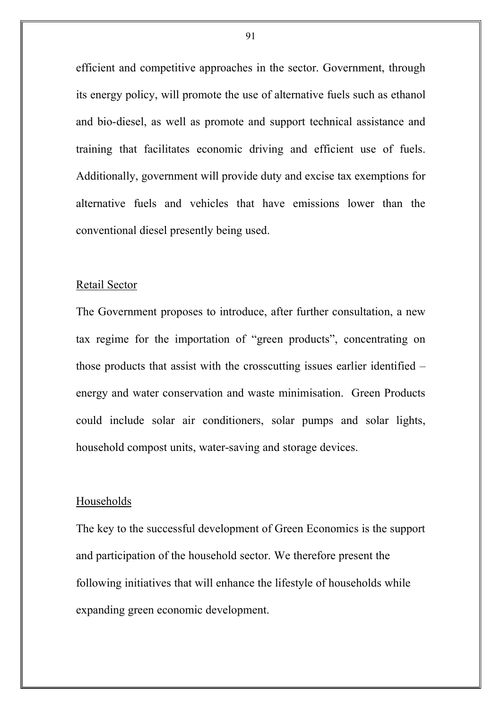efficient and competitive approaches in the sector. Government, through its energy policy, will promote the use of alternative fuels such as ethanol and bio-diesel, as well as promote and support technical assistance and training that facilitates economic driving and efficient use of fuels. Additionally, government will provide duty and excise tax exemptions for alternative fuels and vehicles that have emissions lower than the conventional diesel presently being used.

#### Retail Sector

The Government proposes to introduce, after further consultation, a new tax regime for the importation of "green products", concentrating on those products that assist with the crosscutting issues earlier identified – energy and water conservation and waste minimisation. Green Products could include solar air conditioners, solar pumps and solar lights, household compost units, water-saving and storage devices.

### Households

The key to the successful development of Green Economics is the support and participation of the household sector. We therefore present the following initiatives that will enhance the lifestyle of households while expanding green economic development.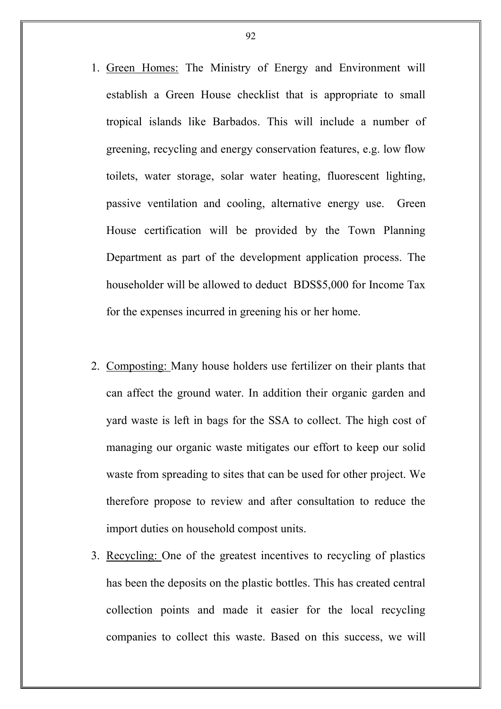- 1. Green Homes: The Ministry of Energy and Environment will establish a Green House checklist that is appropriate to small tropical islands like Barbados. This will include a number of greening, recycling and energy conservation features, e.g. low flow toilets, water storage, solar water heating, fluorescent lighting, passive ventilation and cooling, alternative energy use. Green House certification will be provided by the Town Planning Department as part of the development application process. The householder will be allowed to deduct BDS\$5,000 for Income Tax for the expenses incurred in greening his or her home.
- 2. Composting: Many house holders use fertilizer on their plants that can affect the ground water. In addition their organic garden and yard waste is left in bags for the SSA to collect. The high cost of managing our organic waste mitigates our effort to keep our solid waste from spreading to sites that can be used for other project. We therefore propose to review and after consultation to reduce the import duties on household compost units.
- 3. Recycling: One of the greatest incentives to recycling of plastics has been the deposits on the plastic bottles. This has created central collection points and made it easier for the local recycling companies to collect this waste. Based on this success, we will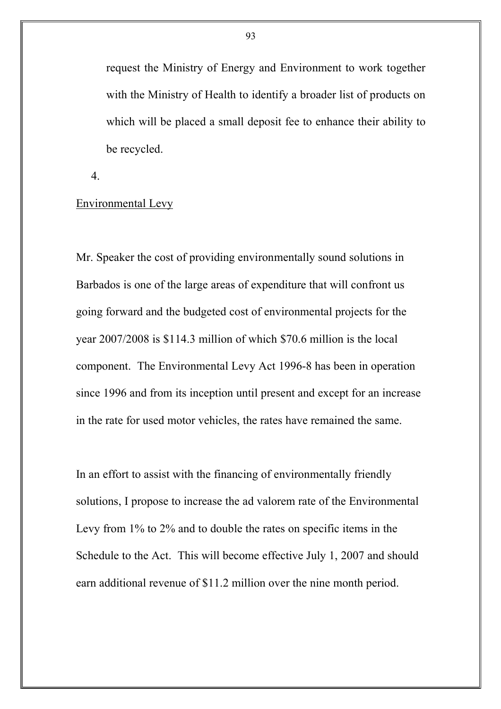request the Ministry of Energy and Environment to work together with the Ministry of Health to identify a broader list of products on which will be placed a small deposit fee to enhance their ability to be recycled.

4.

# Environmental Levy

Mr. Speaker the cost of providing environmentally sound solutions in Barbados is one of the large areas of expenditure that will confront us going forward and the budgeted cost of environmental projects for the year 2007/2008 is \$114.3 million of which \$70.6 million is the local component. The Environmental Levy Act 1996-8 has been in operation since 1996 and from its inception until present and except for an increase in the rate for used motor vehicles, the rates have remained the same.

In an effort to assist with the financing of environmentally friendly solutions, I propose to increase the ad valorem rate of the Environmental Levy from 1% to 2% and to double the rates on specific items in the Schedule to the Act. This will become effective July 1, 2007 and should earn additional revenue of \$11.2 million over the nine month period.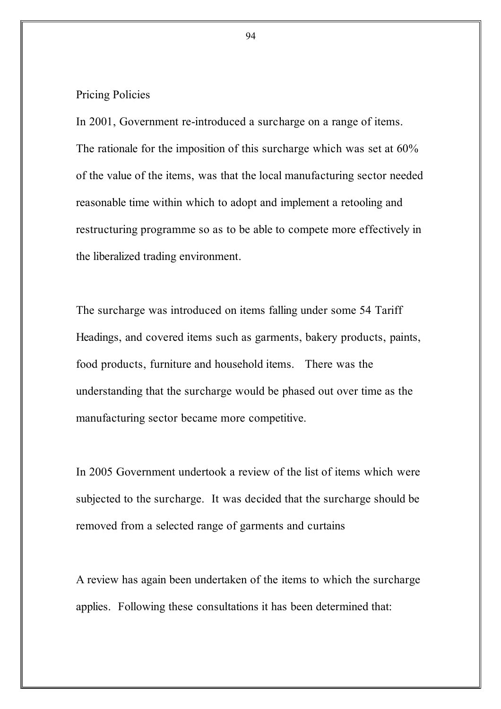Pricing Policies

In 2001, Government re-introduced a surcharge on a range of items. The rationale for the imposition of this surcharge which was set at 60% of the value of the items, was that the local manufacturing sector needed reasonable time within which to adopt and implement a retooling and restructuring programme so as to be able to compete more effectively in the liberalized trading environment.

The surcharge was introduced on items falling under some 54 Tariff Headings, and covered items such as garments, bakery products, paints, food products, furniture and household items. There was the understanding that the surcharge would be phased out over time as the manufacturing sector became more competitive.

In 2005 Government undertook a review of the list of items which were subjected to the surcharge. It was decided that the surcharge should be removed from a selected range of garments and curtains

A review has again been undertaken of the items to which the surcharge applies. Following these consultations it has been determined that: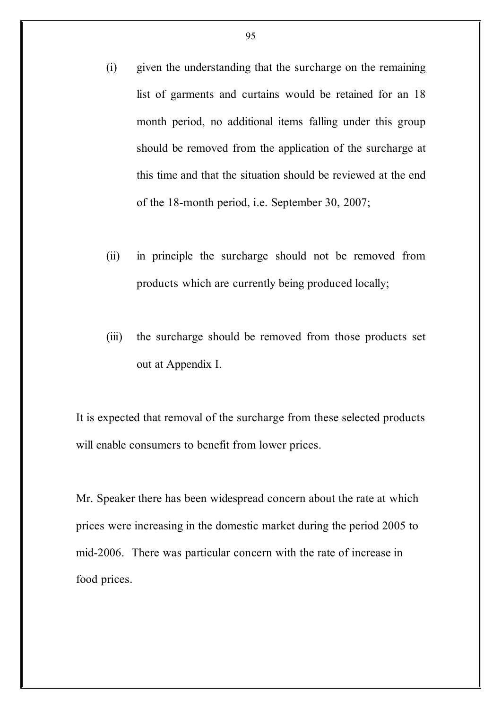- (i) given the understanding that the surcharge on the remaining list of garments and curtains would be retained for an 18 month period, no additional items falling under this group should be removed from the application of the surcharge at this time and that the situation should be reviewed at the end of the 18-month period, i.e. September 30, 2007;
- (ii) in principle the surcharge should not be removed from products which are currently being produced locally;
- (iii) the surcharge should be removed from those products set out at Appendix I.

It is expected that removal of the surcharge from these selected products will enable consumers to benefit from lower prices.

Mr. Speaker there has been widespread concern about the rate at which prices were increasing in the domestic market during the period 2005 to mid-2006. There was particular concern with the rate of increase in food prices.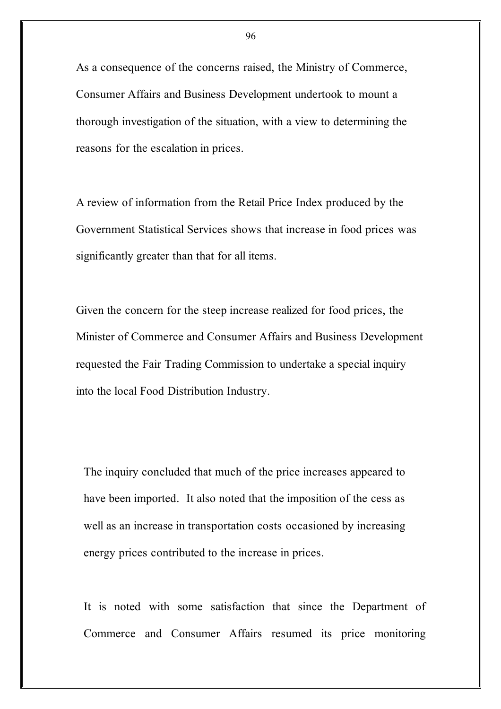As a consequence of the concerns raised, the Ministry of Commerce, Consumer Affairs and Business Development undertook to mount a thorough investigation of the situation, with a view to determining the reasons for the escalation in prices.

A review of information from the Retail Price Index produced by the Government Statistical Services shows that increase in food prices was significantly greater than that for all items.

Given the concern for the steep increase realized for food prices, the Minister of Commerce and Consumer Affairs and Business Development requested the Fair Trading Commission to undertake a special inquiry into the local Food Distribution Industry.

The inquiry concluded that much of the price increases appeared to have been imported. It also noted that the imposition of the cess as well as an increase in transportation costs occasioned by increasing energy prices contributed to the increase in prices.

It is noted with some satisfaction that since the Department of Commerce and Consumer Affairs resumed its price monitoring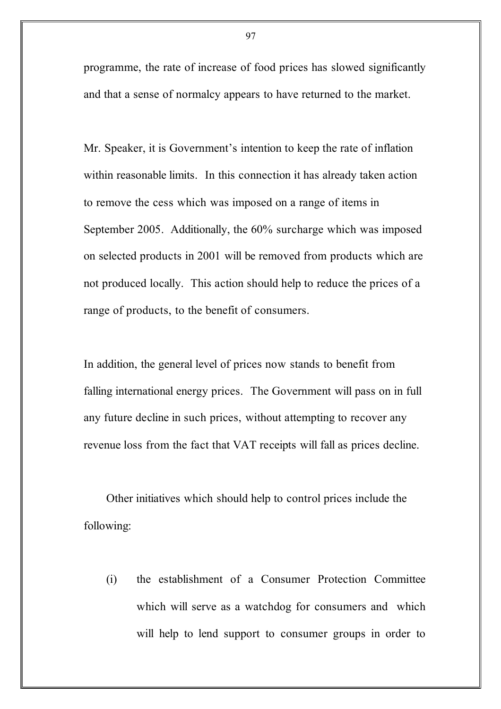programme, the rate of increase of food prices has slowed significantly and that a sense of normalcy appears to have returned to the market.

Mr. Speaker, it is Government's intention to keep the rate of inflation within reasonable limits. In this connection it has already taken action to remove the cess which was imposed on a range of items in September 2005. Additionally, the 60% surcharge which was imposed on selected products in 2001 will be removed from products which are not produced locally. This action should help to reduce the prices of a range of products, to the benefit of consumers.

In addition, the general level of prices now stands to benefit from falling international energy prices. The Government will pass on in full any future decline in such prices, without attempting to recover any revenue loss from the fact that VAT receipts will fall as prices decline.

Other initiatives which should help to control prices include the following:

(i) the establishment of a Consumer Protection Committee which will serve as a watchdog for consumers and which will help to lend support to consumer groups in order to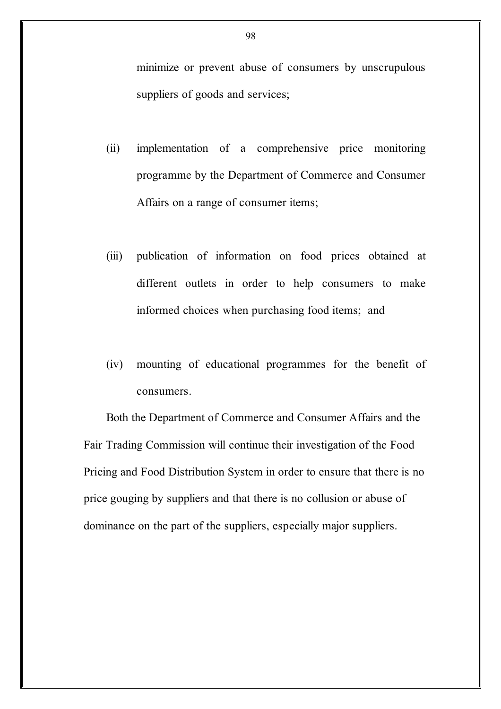minimize or prevent abuse of consumers by unscrupulous suppliers of goods and services;

- (ii) implementation of a comprehensive price monitoring programme by the Department of Commerce and Consumer Affairs on a range of consumer items;
- (iii) publication of information on food prices obtained at different outlets in order to help consumers to make informed choices when purchasing food items; and
- (iv) mounting of educational programmes for the benefit of consumers.

Both the Department of Commerce and Consumer Affairs and the Fair Trading Commission will continue their investigation of the Food Pricing and Food Distribution System in order to ensure that there is no price gouging by suppliers and that there is no collusion or abuse of dominance on the part of the suppliers, especially major suppliers.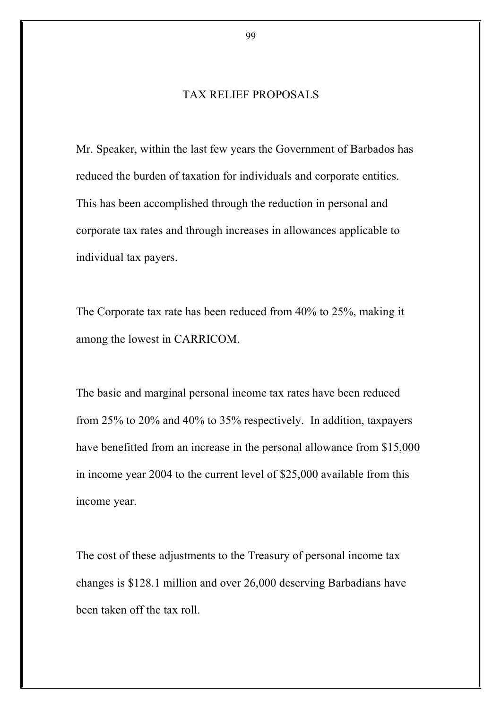# TAX RELIEF PROPOSALS

Mr. Speaker, within the last few years the Government of Barbados has reduced the burden of taxation for individuals and corporate entities. This has been accomplished through the reduction in personal and corporate tax rates and through increases in allowances applicable to individual tax payers.

The Corporate tax rate has been reduced from 40% to 25%, making it among the lowest in CARRICOM.

The basic and marginal personal income tax rates have been reduced from 25% to 20% and 40% to 35% respectively. In addition, taxpayers have benefitted from an increase in the personal allowance from \$15,000 in income year 2004 to the current level of \$25,000 available from this income year.

The cost of these adjustments to the Treasury of personal income tax changes is \$128.1 million and over 26,000 deserving Barbadians have been taken off the tax roll.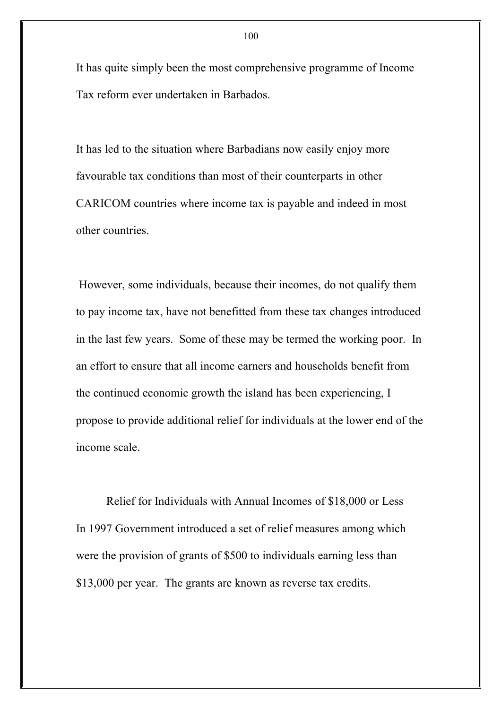It has quite simply been the most comprehensive programme of Income Tax reform ever undertaken in Barbados.

It has led to the situation where Barbadians now easily enjoy more favourable tax conditions than most of their counterparts in other CARICOM countries where income tax is payable and indeed in most other countries.

However, some individuals, because their incomes, do not qualify them to pay income tax, have not benefitted from these tax changes introduced in the last few years. Some of these may be termed the working poor. In an effort to ensure that all income earners and households benefit from the continued economic growth the island has been experiencing, I propose to provide additional relief for individuals at the lower end of the income scale.

Relief for Individuals with Annual Incomes of \$18,000 or Less In 1997 Government introduced a set of relief measures among which were the provision of grants of \$500 to individuals earning less than \$13,000 per year. The grants are known as reverse tax credits.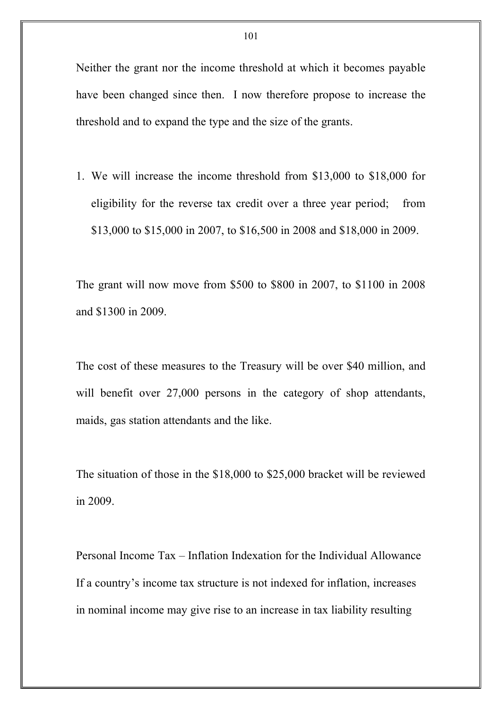Neither the grant nor the income threshold at which it becomes payable have been changed since then. I now therefore propose to increase the threshold and to expand the type and the size of the grants.

1. We will increase the income threshold from \$13,000 to \$18,000 for eligibility for the reverse tax credit over a three year period; from \$13,000 to \$15,000 in 2007, to \$16,500 in 2008 and \$18,000 in 2009.

The grant will now move from \$500 to \$800 in 2007, to \$1100 in 2008 and \$1300 in 2009.

The cost of these measures to the Treasury will be over \$40 million, and will benefit over 27,000 persons in the category of shop attendants, maids, gas station attendants and the like.

The situation of those in the \$18,000 to \$25,000 bracket will be reviewed in 2009.

Personal Income Tax – Inflation Indexation for the Individual Allowance If a country's income tax structure is not indexed for inflation, increases in nominal income may give rise to an increase in tax liability resulting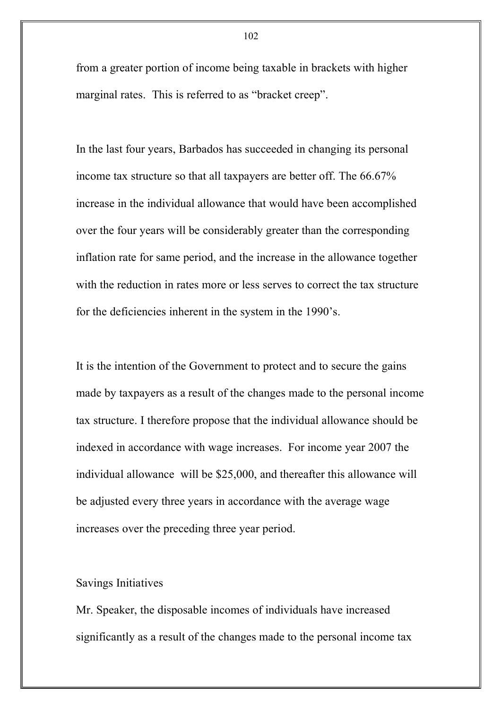from a greater portion of income being taxable in brackets with higher marginal rates. This is referred to as "bracket creep".

In the last four years, Barbados has succeeded in changing its personal income tax structure so that all taxpayers are better off. The 66.67% increase in the individual allowance that would have been accomplished over the four years will be considerably greater than the corresponding inflation rate for same period, and the increase in the allowance together with the reduction in rates more or less serves to correct the tax structure for the deficiencies inherent in the system in the 1990's.

It is the intention of the Government to protect and to secure the gains made by taxpayers as a result of the changes made to the personal income tax structure. I therefore propose that the individual allowance should be indexed in accordance with wage increases. For income year 2007 the individual allowance will be \$25,000, and thereafter this allowance will be adjusted every three years in accordance with the average wage increases over the preceding three year period.

# Savings Initiatives

Mr. Speaker, the disposable incomes of individuals have increased significantly as a result of the changes made to the personal income tax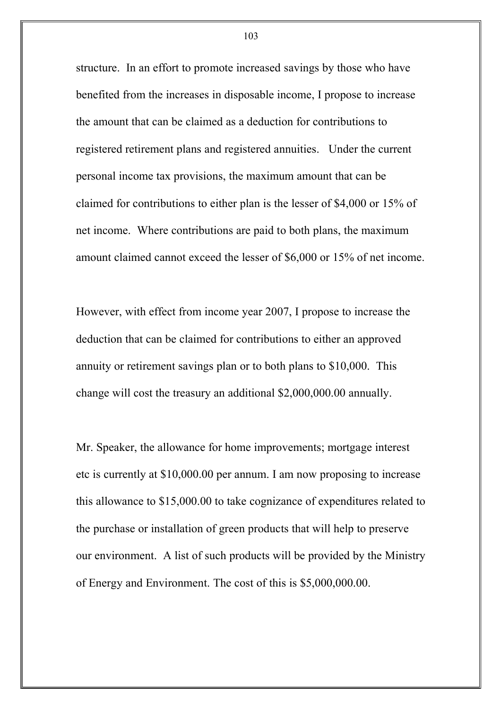structure. In an effort to promote increased savings by those who have benefited from the increases in disposable income, I propose to increase the amount that can be claimed as a deduction for contributions to registered retirement plans and registered annuities. Under the current personal income tax provisions, the maximum amount that can be claimed for contributions to either plan is the lesser of \$4,000 or 15% of net income. Where contributions are paid to both plans, the maximum amount claimed cannot exceed the lesser of \$6,000 or 15% of net income.

However, with effect from income year 2007, I propose to increase the deduction that can be claimed for contributions to either an approved annuity or retirement savings plan or to both plans to \$10,000. This change will cost the treasury an additional \$2,000,000.00 annually.

Mr. Speaker, the allowance for home improvements; mortgage interest etc is currently at \$10,000.00 per annum. I am now proposing to increase this allowance to \$15,000.00 to take cognizance of expenditures related to the purchase or installation of green products that will help to preserve our environment. A list of such products will be provided by the Ministry of Energy and Environment. The cost of this is \$5,000,000.00.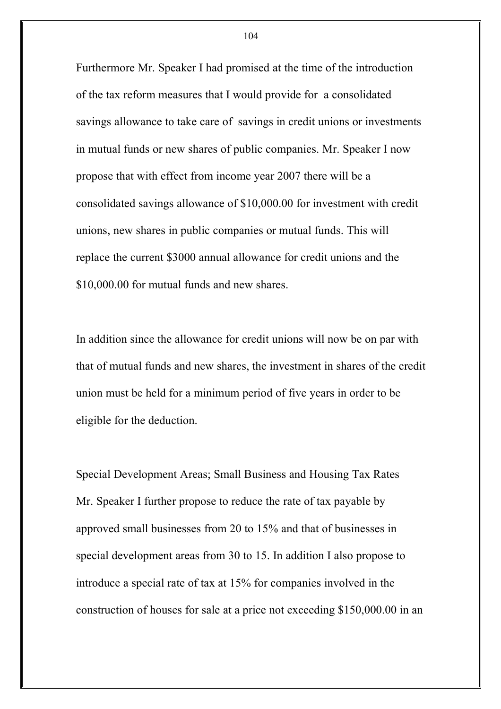Furthermore Mr. Speaker I had promised at the time of the introduction of the tax reform measures that I would provide for a consolidated savings allowance to take care of savings in credit unions or investments in mutual funds or new shares of public companies. Mr. Speaker I now propose that with effect from income year 2007 there will be a consolidated savings allowance of \$10,000.00 for investment with credit unions, new shares in public companies or mutual funds. This will replace the current \$3000 annual allowance for credit unions and the \$10,000.00 for mutual funds and new shares.

In addition since the allowance for credit unions will now be on par with that of mutual funds and new shares, the investment in shares of the credit union must be held for a minimum period of five years in order to be eligible for the deduction.

Special Development Areas; Small Business and Housing Tax Rates Mr. Speaker I further propose to reduce the rate of tax payable by approved small businesses from 20 to 15% and that of businesses in special development areas from 30 to 15. In addition I also propose to introduce a special rate of tax at 15% for companies involved in the construction of houses for sale at a price not exceeding \$150,000.00 in an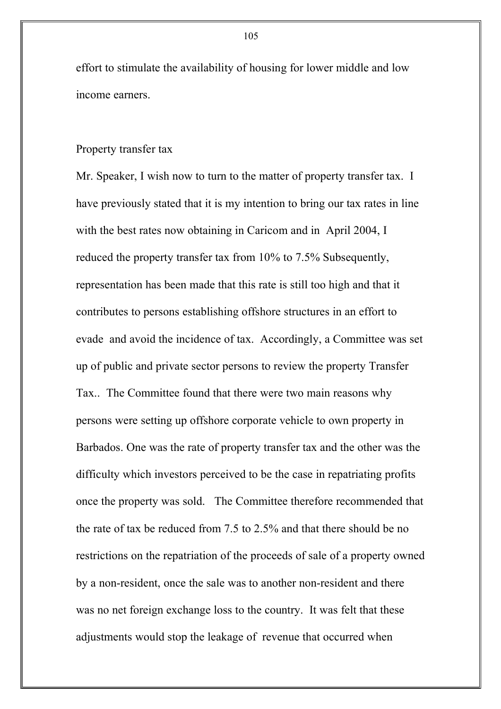effort to stimulate the availability of housing for lower middle and low income earners.

## Property transfer tax

Mr. Speaker, I wish now to turn to the matter of property transfer tax. I have previously stated that it is my intention to bring our tax rates in line with the best rates now obtaining in Caricom and in April 2004, I reduced the property transfer tax from 10% to 7.5% Subsequently, representation has been made that this rate is still too high and that it contributes to persons establishing offshore structures in an effort to evade and avoid the incidence of tax. Accordingly, a Committee was set up of public and private sector persons to review the property Transfer Tax.. The Committee found that there were two main reasons why persons were setting up offshore corporate vehicle to own property in Barbados. One was the rate of property transfer tax and the other was the difficulty which investors perceived to be the case in repatriating profits once the property was sold. The Committee therefore recommended that the rate of tax be reduced from 7.5 to 2.5% and that there should be no restrictions on the repatriation of the proceeds of sale of a property owned by a non-resident, once the sale was to another non-resident and there was no net foreign exchange loss to the country. It was felt that these adjustments would stop the leakage of revenue that occurred when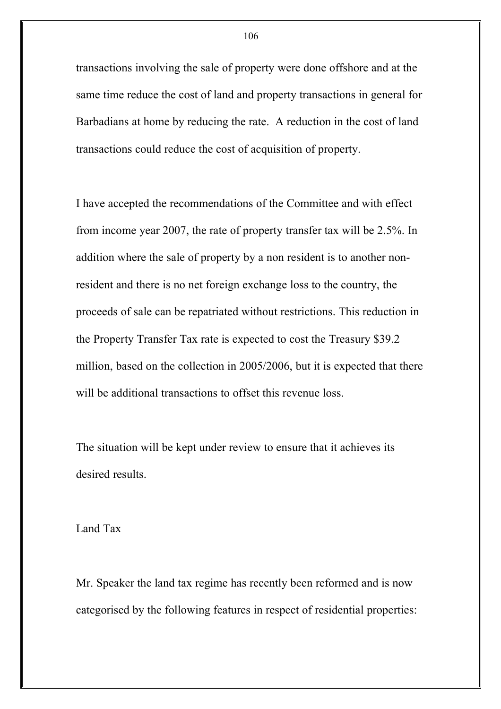transactions involving the sale of property were done offshore and at the same time reduce the cost of land and property transactions in general for Barbadians at home by reducing the rate. A reduction in the cost of land transactions could reduce the cost of acquisition of property.

I have accepted the recommendations of the Committee and with effect from income year 2007, the rate of property transfer tax will be 2.5%. In addition where the sale of property by a non resident is to another nonresident and there is no net foreign exchange loss to the country, the proceeds of sale can be repatriated without restrictions. This reduction in the Property Transfer Tax rate is expected to cost the Treasury \$39.2 million, based on the collection in 2005/2006, but it is expected that there will be additional transactions to offset this revenue loss.

The situation will be kept under review to ensure that it achieves its desired results.

Land Tax

Mr. Speaker the land tax regime has recently been reformed and is now categorised by the following features in respect of residential properties: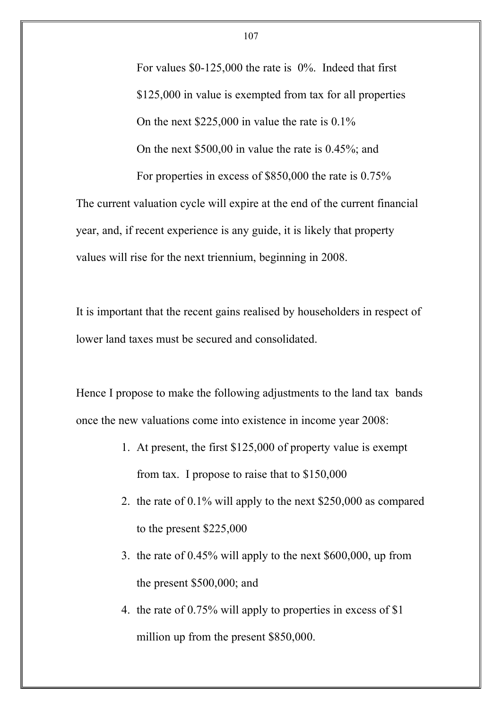For values \$0-125,000 the rate is 0%. Indeed that first \$125,000 in value is exempted from tax for all properties On the next \$225,000 in value the rate is 0.1% On the next \$500,00 in value the rate is 0.45%; and For properties in excess of \$850,000 the rate is 0.75%

The current valuation cycle will expire at the end of the current financial year, and, if recent experience is any guide, it is likely that property values will rise for the next triennium, beginning in 2008.

It is important that the recent gains realised by householders in respect of lower land taxes must be secured and consolidated.

Hence I propose to make the following adjustments to the land tax bands once the new valuations come into existence in income year 2008:

- 1. At present, the first \$125,000 of property value is exempt from tax. I propose to raise that to \$150,000
- 2. the rate of 0.1% will apply to the next \$250,000 as compared to the present \$225,000
- 3. the rate of 0.45% will apply to the next \$600,000, up from the present \$500,000; and
- 4. the rate of 0.75% will apply to properties in excess of \$1 million up from the present \$850,000.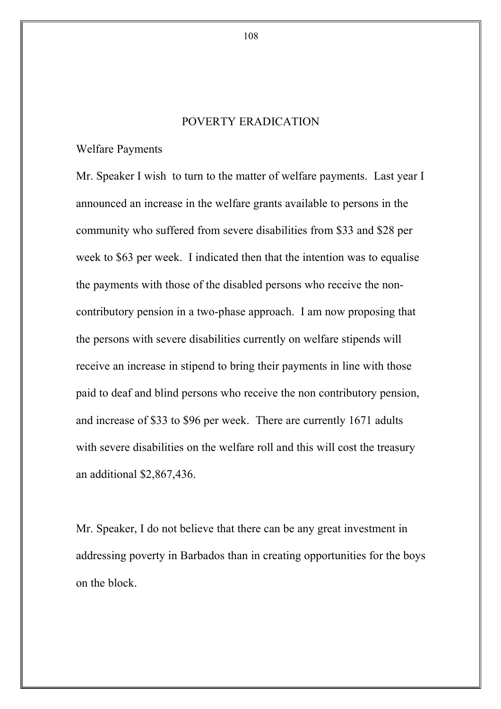# POVERTY ERADICATION

Welfare Payments

Mr. Speaker I wish to turn to the matter of welfare payments. Last year I announced an increase in the welfare grants available to persons in the community who suffered from severe disabilities from \$33 and \$28 per week to \$63 per week. I indicated then that the intention was to equalise the payments with those of the disabled persons who receive the noncontributory pension in a two-phase approach. I am now proposing that the persons with severe disabilities currently on welfare stipends will receive an increase in stipend to bring their payments in line with those paid to deaf and blind persons who receive the non contributory pension, and increase of \$33 to \$96 per week. There are currently 1671 adults with severe disabilities on the welfare roll and this will cost the treasury an additional \$2,867,436.

Mr. Speaker, I do not believe that there can be any great investment in addressing poverty in Barbados than in creating opportunities for the boys on the block.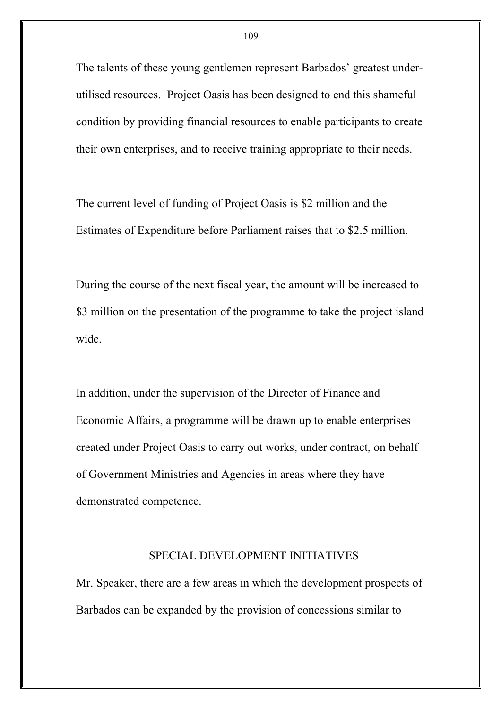The talents of these young gentlemen represent Barbados' greatest underutilised resources. Project Oasis has been designed to end this shameful condition by providing financial resources to enable participants to create their own enterprises, and to receive training appropriate to their needs.

The current level of funding of Project Oasis is \$2 million and the Estimates of Expenditure before Parliament raises that to \$2.5 million.

During the course of the next fiscal year, the amount will be increased to \$3 million on the presentation of the programme to take the project island wide.

In addition, under the supervision of the Director of Finance and Economic Affairs, a programme will be drawn up to enable enterprises created under Project Oasis to carry out works, under contract, on behalf of Government Ministries and Agencies in areas where they have demonstrated competence.

### SPECIAL DEVELOPMENT INITIATIVES

Mr. Speaker, there are a few areas in which the development prospects of Barbados can be expanded by the provision of concessions similar to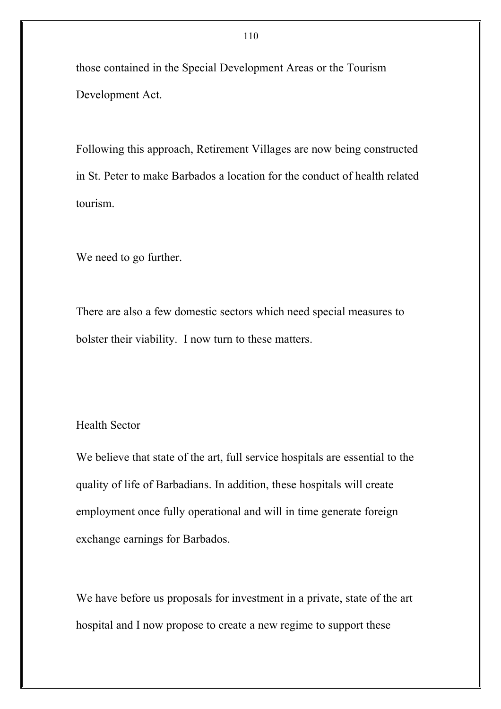those contained in the Special Development Areas or the Tourism Development Act.

Following this approach, Retirement Villages are now being constructed in St. Peter to make Barbados a location for the conduct of health related tourism.

We need to go further.

There are also a few domestic sectors which need special measures to bolster their viability. I now turn to these matters.

# Health Sector

We believe that state of the art, full service hospitals are essential to the quality of life of Barbadians. In addition, these hospitals will create employment once fully operational and will in time generate foreign exchange earnings for Barbados.

We have before us proposals for investment in a private, state of the art hospital and I now propose to create a new regime to support these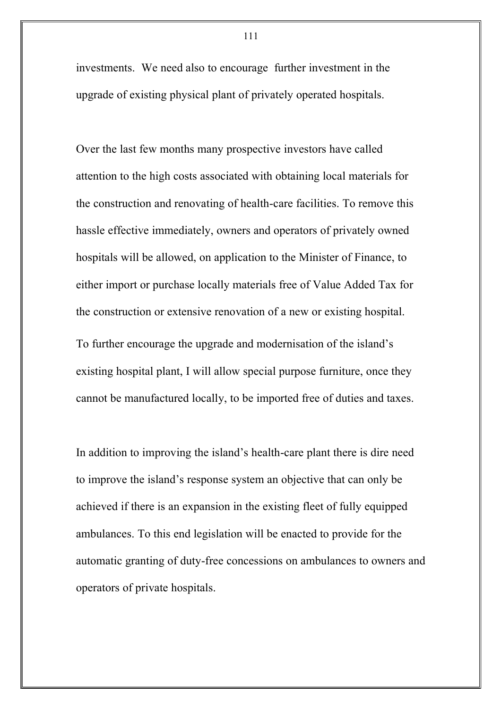investments. We need also to encourage further investment in the upgrade of existing physical plant of privately operated hospitals.

Over the last few months many prospective investors have called attention to the high costs associated with obtaining local materials for the construction and renovating of health-care facilities. To remove this hassle effective immediately, owners and operators of privately owned hospitals will be allowed, on application to the Minister of Finance, to either import or purchase locally materials free of Value Added Tax for the construction or extensive renovation of a new or existing hospital. To further encourage the upgrade and modernisation of the island's existing hospital plant, I will allow special purpose furniture, once they cannot be manufactured locally, to be imported free of duties and taxes.

In addition to improving the island's health-care plant there is dire need to improve the island's response system an objective that can only be achieved if there is an expansion in the existing fleet of fully equipped ambulances. To this end legislation will be enacted to provide for the automatic granting of duty-free concessions on ambulances to owners and operators of private hospitals.

111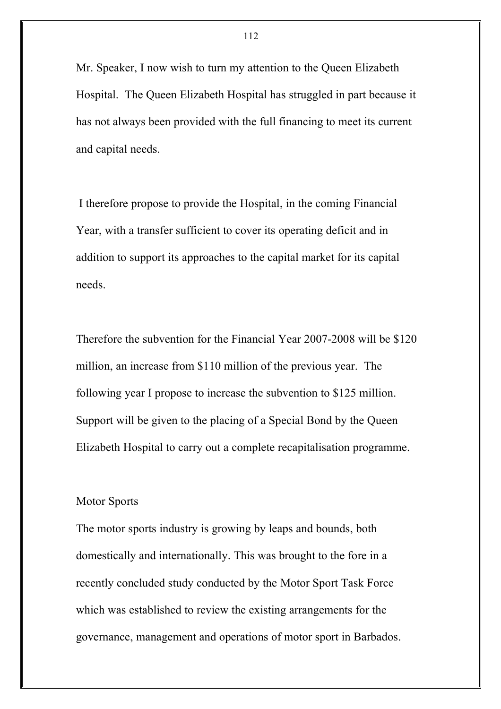Mr. Speaker, I now wish to turn my attention to the Queen Elizabeth Hospital. The Queen Elizabeth Hospital has struggled in part because it has not always been provided with the full financing to meet its current and capital needs.

I therefore propose to provide the Hospital, in the coming Financial Year, with a transfer sufficient to cover its operating deficit and in addition to support its approaches to the capital market for its capital needs.

Therefore the subvention for the Financial Year 2007-2008 will be \$120 million, an increase from \$110 million of the previous year. The following year I propose to increase the subvention to \$125 million. Support will be given to the placing of a Special Bond by the Queen Elizabeth Hospital to carry out a complete recapitalisation programme.

#### Motor Sports

The motor sports industry is growing by leaps and bounds, both domestically and internationally. This was brought to the fore in a recently concluded study conducted by the Motor Sport Task Force which was established to review the existing arrangements for the governance, management and operations of motor sport in Barbados.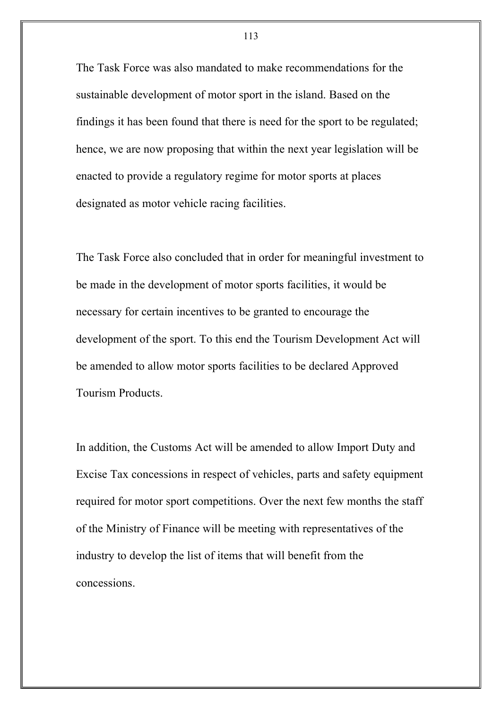The Task Force was also mandated to make recommendations for the sustainable development of motor sport in the island. Based on the findings it has been found that there is need for the sport to be regulated; hence, we are now proposing that within the next year legislation will be enacted to provide a regulatory regime for motor sports at places designated as motor vehicle racing facilities.

The Task Force also concluded that in order for meaningful investment to be made in the development of motor sports facilities, it would be necessary for certain incentives to be granted to encourage the development of the sport. To this end the Tourism Development Act will be amended to allow motor sports facilities to be declared Approved Tourism Products.

In addition, the Customs Act will be amended to allow Import Duty and Excise Tax concessions in respect of vehicles, parts and safety equipment required for motor sport competitions. Over the next few months the staff of the Ministry of Finance will be meeting with representatives of the industry to develop the list of items that will benefit from the concessions.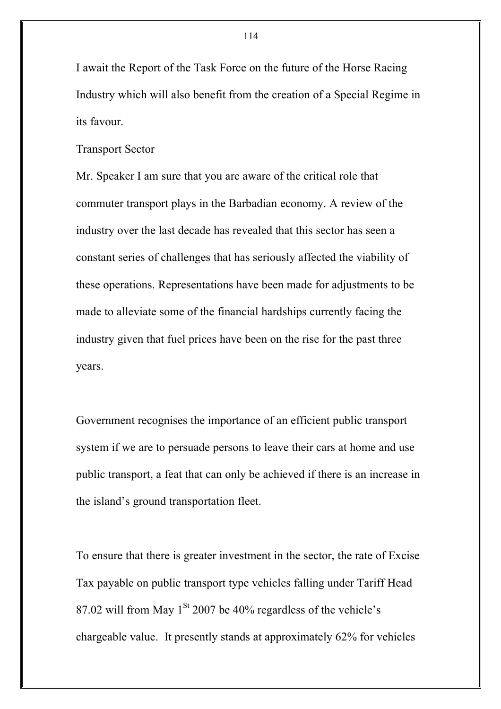I await the Report of the Task Force on the future of the Horse Racing Industry which will also benefit from the creation of a Special Regime in its favour.

Transport Sector

Mr. Speaker I am sure that you are aware of the critical role that commuter transport plays in the Barbadian economy. A review of the industry over the last decade has revealed that this sector has seen a constant series of challenges that has seriously affected the viability of these operations. Representations have been made for adjustments to be made to alleviate some of the financial hardships currently facing the industry given that fuel prices have been on the rise for the past three years.

Government recognises the importance of an efficient public transport system if we are to persuade persons to leave their cars at home and use public transport, a feat that can only be achieved if there is an increase in the island's ground transportation fleet.

To ensure that there is greater investment in the sector, the rate of Excise Tax payable on public transport type vehicles falling under Tariff Head 87.02 will from May  $1<sup>St</sup>$  2007 be 40% regardless of the vehicle's chargeable value. It presently stands at approximately 62% for vehicles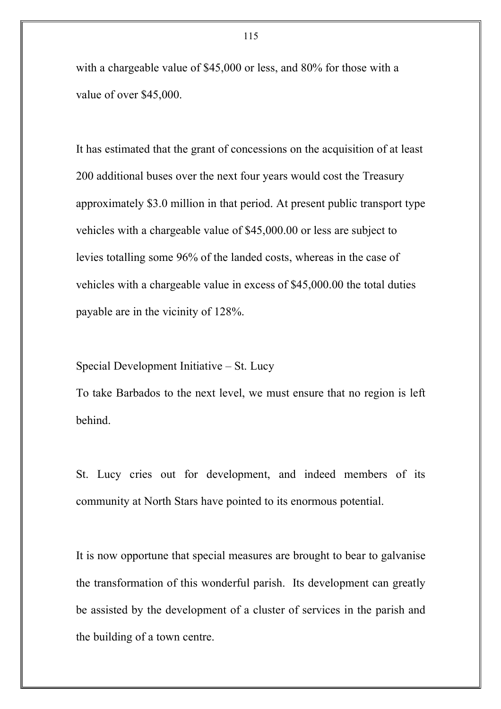with a chargeable value of \$45,000 or less, and 80% for those with a value of over \$45,000.

It has estimated that the grant of concessions on the acquisition of at least 200 additional buses over the next four years would cost the Treasury approximately \$3.0 million in that period. At present public transport type vehicles with a chargeable value of \$45,000.00 or less are subject to levies totalling some 96% of the landed costs, whereas in the case of vehicles with a chargeable value in excess of \$45,000.00 the total duties payable are in the vicinity of 128%.

Special Development Initiative – St. Lucy

To take Barbados to the next level, we must ensure that no region is left behind.

St. Lucy cries out for development, and indeed members of its community at North Stars have pointed to its enormous potential.

It is now opportune that special measures are brought to bear to galvanise the transformation of this wonderful parish. Its development can greatly be assisted by the development of a cluster of services in the parish and the building of a town centre.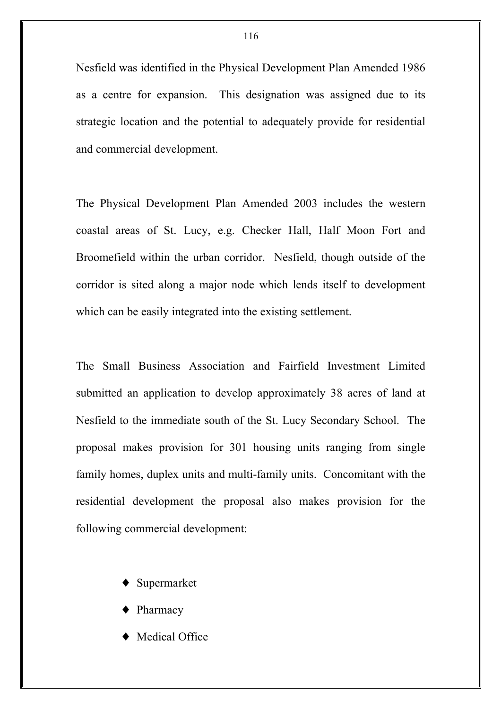Nesfield was identified in the Physical Development Plan Amended 1986 as a centre for expansion. This designation was assigned due to its strategic location and the potential to adequately provide for residential and commercial development.

The Physical Development Plan Amended 2003 includes the western coastal areas of St. Lucy, e.g. Checker Hall, Half Moon Fort and Broomefield within the urban corridor. Nesfield, though outside of the corridor is sited along a major node which lends itself to development which can be easily integrated into the existing settlement.

The Small Business Association and Fairfield Investment Limited submitted an application to develop approximately 38 acres of land at Nesfield to the immediate south of the St. Lucy Secondary School. The proposal makes provision for 301 housing units ranging from single family homes, duplex units and multi-family units. Concomitant with the residential development the proposal also makes provision for the following commercial development:

- ♦ Supermarket
- Pharmacy
- Medical Office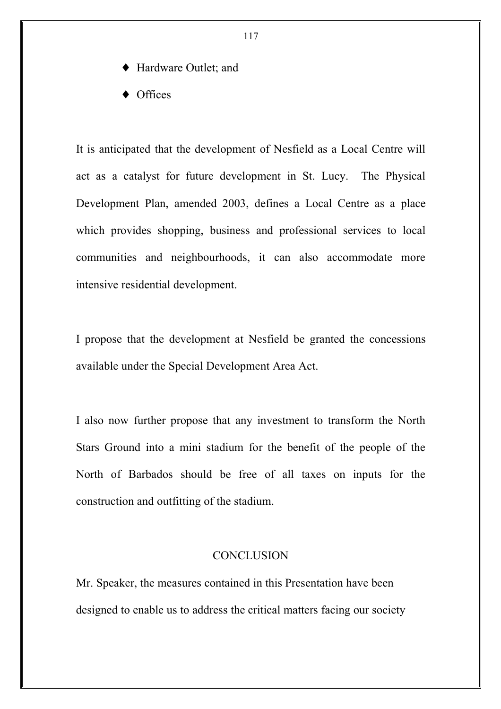- Hardware Outlet; and
- ♦ Offices

It is anticipated that the development of Nesfield as a Local Centre will act as a catalyst for future development in St. Lucy. The Physical Development Plan, amended 2003, defines a Local Centre as a place which provides shopping, business and professional services to local communities and neighbourhoods, it can also accommodate more intensive residential development.

I propose that the development at Nesfield be granted the concessions available under the Special Development Area Act.

I also now further propose that any investment to transform the North Stars Ground into a mini stadium for the benefit of the people of the North of Barbados should be free of all taxes on inputs for the construction and outfitting of the stadium.

## **CONCLUSION**

Mr. Speaker, the measures contained in this Presentation have been designed to enable us to address the critical matters facing our society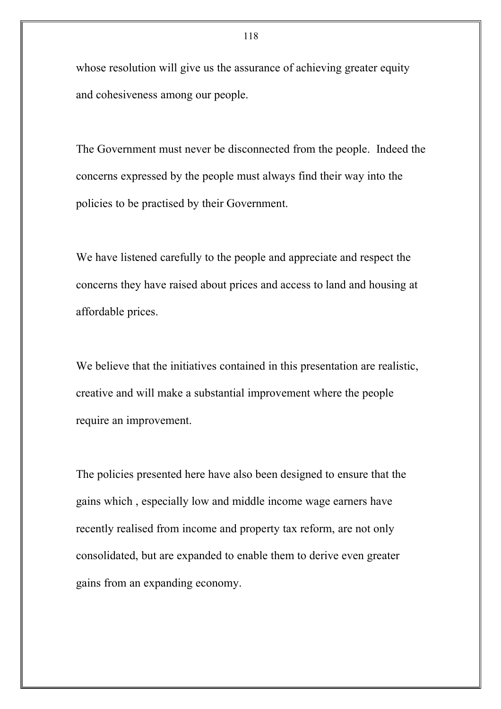whose resolution will give us the assurance of achieving greater equity and cohesiveness among our people.

The Government must never be disconnected from the people. Indeed the concerns expressed by the people must always find their way into the policies to be practised by their Government.

We have listened carefully to the people and appreciate and respect the concerns they have raised about prices and access to land and housing at affordable prices.

We believe that the initiatives contained in this presentation are realistic, creative and will make a substantial improvement where the people require an improvement.

The policies presented here have also been designed to ensure that the gains which , especially low and middle income wage earners have recently realised from income and property tax reform, are not only consolidated, but are expanded to enable them to derive even greater gains from an expanding economy.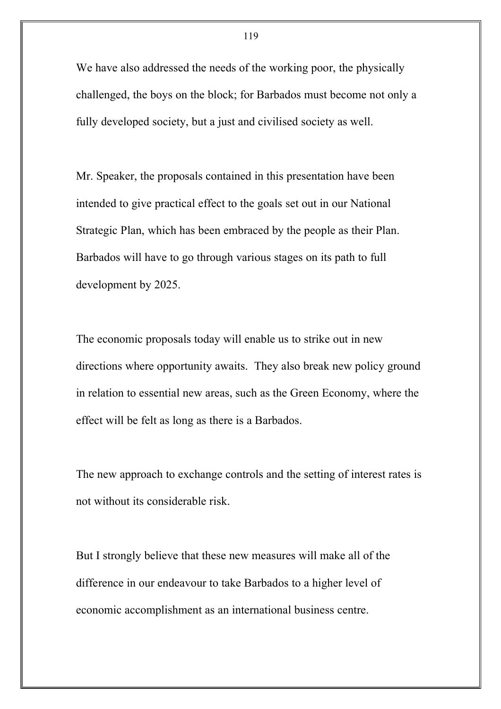We have also addressed the needs of the working poor, the physically challenged, the boys on the block; for Barbados must become not only a fully developed society, but a just and civilised society as well.

Mr. Speaker, the proposals contained in this presentation have been intended to give practical effect to the goals set out in our National Strategic Plan, which has been embraced by the people as their Plan. Barbados will have to go through various stages on its path to full development by 2025.

The economic proposals today will enable us to strike out in new directions where opportunity awaits. They also break new policy ground in relation to essential new areas, such as the Green Economy, where the effect will be felt as long as there is a Barbados.

The new approach to exchange controls and the setting of interest rates is not without its considerable risk.

But I strongly believe that these new measures will make all of the difference in our endeavour to take Barbados to a higher level of economic accomplishment as an international business centre.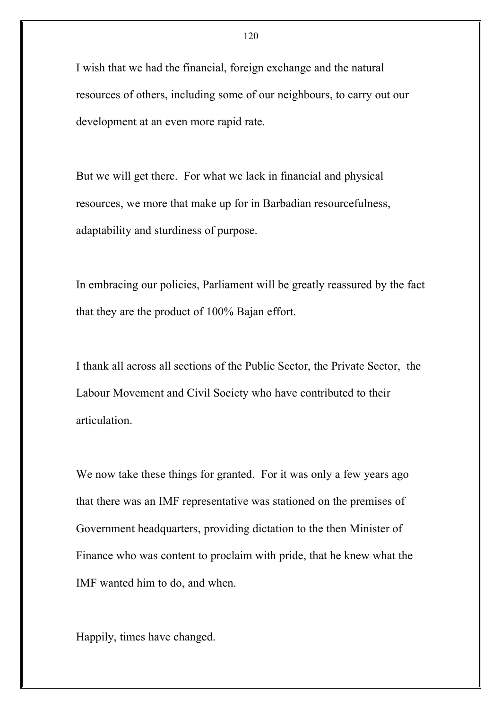I wish that we had the financial, foreign exchange and the natural resources of others, including some of our neighbours, to carry out our development at an even more rapid rate.

But we will get there. For what we lack in financial and physical resources, we more that make up for in Barbadian resourcefulness, adaptability and sturdiness of purpose.

In embracing our policies, Parliament will be greatly reassured by the fact that they are the product of 100% Bajan effort.

I thank all across all sections of the Public Sector, the Private Sector, the Labour Movement and Civil Society who have contributed to their articulation.

We now take these things for granted. For it was only a few years ago that there was an IMF representative was stationed on the premises of Government headquarters, providing dictation to the then Minister of Finance who was content to proclaim with pride, that he knew what the IMF wanted him to do, and when.

Happily, times have changed.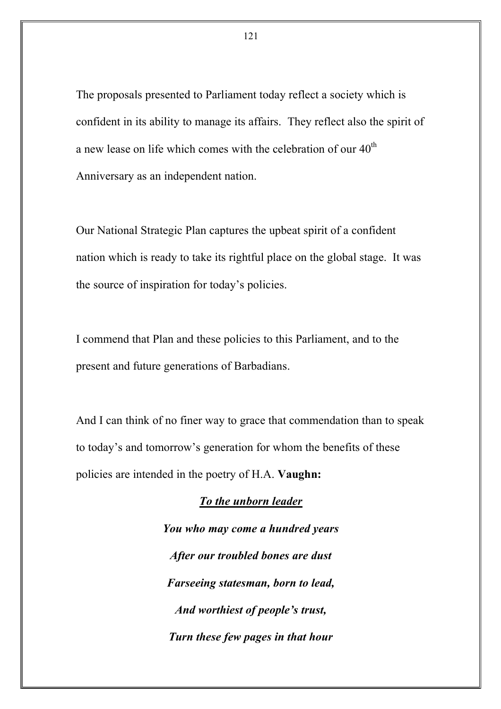The proposals presented to Parliament today reflect a society which is confident in its ability to manage its affairs. They reflect also the spirit of a new lease on life which comes with the celebration of our  $40<sup>th</sup>$ Anniversary as an independent nation.

Our National Strategic Plan captures the upbeat spirit of a confident nation which is ready to take its rightful place on the global stage. It was the source of inspiration for today's policies.

I commend that Plan and these policies to this Parliament, and to the present and future generations of Barbadians.

And I can think of no finer way to grace that commendation than to speak to today's and tomorrow's generation for whom the benefits of these policies are intended in the poetry of H.A. **Vaughn:**

#### *To the unborn leader*

*You who may come a hundred years After our troubled bones are dust Farseeing statesman, born to lead, And worthiest of people's trust, Turn these few pages in that hour*